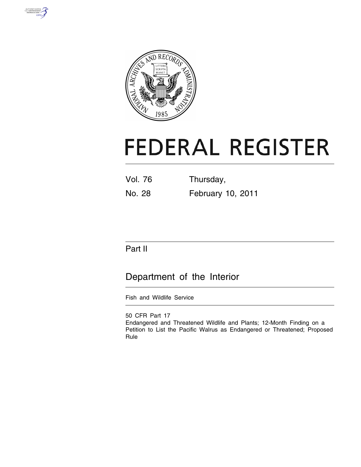



# **FEDERAL REGISTER**

Vol. 76 Thursday, No. 28 February 10, 2011

# Part II

# Department of the Interior

Fish and Wildlife Service

50 CFR Part 17 Endangered and Threatened Wildlife and Plants; 12-Month Finding on a Petition to List the Pacific Walrus as Endangered or Threatened; Proposed Rule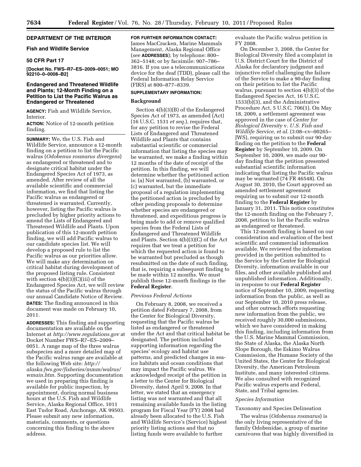# **DEPARTMENT OF THE INTERIOR**

# **Fish and Wildlife Service**

# **50 CFR Part 17**

**[Docket No. FWS–R7–ES–2009–0051; MO 92210–0–0008–B2]** 

# **Endangered and Threatened Wildlife and Plants; 12-Month Finding on a Petition to List the Pacific Walrus as Endangered or Threatened**

**AGENCY:** Fish and Wildlife Service, Interior.

**ACTION:** Notice of 12-month petition finding.

**SUMMARY:** We, the U.S. Fish and Wildlife Service, announce a 12-month finding on a petition to list the Pacific walrus (*Odobenus rosmarus divergens*) as endangered or threatened and to designate critical habitat under the Endangered Species Act of 1973, as amended. After review of all the available scientific and commercial information, we find that listing the Pacific walrus as endangered or threatened is warranted. Currently, however, listing the Pacific walrus is precluded by higher priority actions to amend the Lists of Endangered and Threatened Wildlife and Plants. Upon publication of this 12-month petition finding, we will add Pacific walrus to our candidate species list. We will develop a proposed rule to list the Pacific walrus as our priorities allow. We will make any determination on critical habitat during development of the proposed listing rule. Consistent with section 4(b)(3)(C)(iii) of the Endangered Species Act, we will review the status of the Pacific walrus through our annual Candidate Notice of Review. **DATES:** The finding announced in this document was made on February 10, 2011.

**ADDRESSES:** This finding and supporting documentation are available on the Internet at *<http://www.regulations.gov>* at Docket Number FWS–R7–ES–2009– 0051. A range map of the three walrus subspecies and a more detailed map of the Pacific walrus range are available at the following Web site: *[http://](http://alaska.fws.gov/fisheries/mmm/walrus/wmain.htm) [alaska.fws.gov/fisheries/mmm/walrus/](http://alaska.fws.gov/fisheries/mmm/walrus/wmain.htm) [wmain.htm.](http://alaska.fws.gov/fisheries/mmm/walrus/wmain.htm)* Supporting documentation we used in preparing this finding is available for public inspection, by appointment, during normal business hours at the U.S. Fish and Wildlife Service, Alaska Regional Office, 1011 East Tudor Road, Anchorage, AK 99503. Please submit any new information, materials, comments, or questions concerning this finding to the above address.

#### **FOR FURTHER INFORMATION CONTACT:**

James MacCracken, Marine Mammals Management, Alaska Regional Office (*see* **ADDRESSES**); by telephone: 800– 362–5148; or by facsimile: 907–786– 3816. If you use a telecommunications device for the deaf (TDD), please call the Federal Information Relay Service (FIRS) at 800–877–8339.

# **SUPPLEMENTARY INFORMATION:**

# **Background**

Section 4(b)(3)(B) of the Endangered Species Act of 1973, as amended (Act) (16 U.S.C. 1531 *et seq.*), requires that, for any petition to revise the Federal Lists of Endangered and Threatened Wildlife and Plants that contains substantial scientific or commercial information that listing the species may be warranted, we make a finding within 12 months of the date of receipt of the petition. In this finding, we will determine whether the petitioned action is: (a) Not warranted, (b) warranted, or (c) warranted, but the immediate proposal of a regulation implementing the petitioned action is precluded by other pending proposals to determine whether species are endangered or threatened, and expeditious progress is being made to add or remove qualified species from the Federal Lists of Endangered and Threatened Wildlife and Plants. Section 4(b)(3)(C) of the Act requires that we treat a petition for which the requested action is found to be warranted but precluded as though resubmitted on the date of such finding, that is, requiring a subsequent finding to be made within 12 months. We must publish these 12-month findings in the **Federal Register**.

#### *Previous Federal Actions*

On February 8, 2008, we received a petition dated February 7, 2008, from the Center for Biological Diversity, requesting that the Pacific walrus be listed as endangered or threatened under the Act and that critical habitat be designated. The petition included supporting information regarding the species' ecology and habitat use patterns, and predicted changes in seaice habitats and ocean conditions that may impact the Pacific walrus. We acknowledged receipt of the petition in a letter to the Center for Biological Diversity, dated April 9, 2008. In that letter, we stated that an emergency listing was not warranted and that all remaining available funds in the listing program for Fiscal Year (FY) 2008 had already been allocated to the U.S. Fish and Wildlife Service's (Service) highest priority listing actions and that no listing funds were available to further

evaluate the Pacific walrus petition in FY 2008.

On December 3, 2008, the Center for Biological Diversity filed a complaint in U.S. District Court for the District of Alaska for declaratory judgment and injunctive relief challenging the failure of the Service to make a 90-day finding on their petition to list the Pacific walrus, pursuant to section 4(b)(3) of the Endangered Species Act, 16 U.S.C. 1533(b)(3), and the Administrative Procedure Act, 5 U.S.C. 706(1). On May 18, 2009, a settlement agreement was approved in the case of *Center for Biological Diversity* v. *U.S. Fish and Wildlife Service, et al.* (3:08–cv–00265– JWS), requiring us to submit our 90-day finding on the petition to the **Federal Register** by September 10, 2009. On September 10, 2009, we made our 90 day finding that the petition presented substantial scientific information indicating that listing the Pacific walrus may be warranted (74 FR 46548). On August 30, 2010, the Court approved an amended settlement agreement requiring us to submit our 12-month finding to the **Federal Register** by January 31, 2011. This notice constitutes the 12-month finding on the February 7, 2008, petition to list the Pacific walrus as endangered or threatened.

This 12-month finding is based on our consideration and evaluation of the best scientific and commercial information available. We reviewed the information provided in the petition submitted to the Service by the Center for Biological Diversity, information available in our files, and other available published and unpublished information. Additionally, in response to our **Federal Register**  notice of September 10, 2009, requesting information from the public, as well as our September 10, 2010 press release, and other outreach efforts requesting new information from the public, we received roughly 30,000 submissions, which we have considered in making this finding, including information from the U.S. Marine Mammal Commission, the State of Alaska, the Alaska North Slope Borough, the Eskimo Walrus Commission, the Humane Society of the United States, the Center for Biological Diversity, the American Petroleum Institute, and many interested citizens. We also consulted with recognized Pacific walrus experts and Federal, State, and Tribal agencies.

#### *Species Information*

#### Taxonomy and Species Delineation

The walrus (*Odobenus rosmarus*) is the only living representative of the family Odobenidae, a group of marine carnivores that was highly diversified in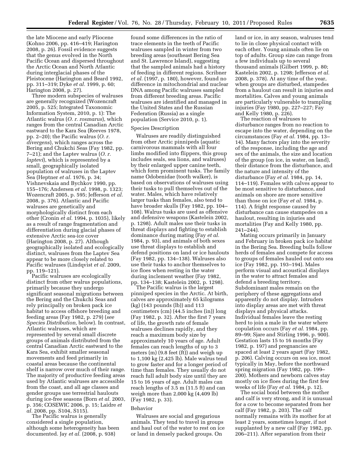the late Miocene and early Pliocene (Kohno 2006, pp. 416–419; Harington 2008, p. 26). Fossil evidence suggests that the genus evolved in the North Pacific Ocean and dispersed throughout the Arctic Ocean and North Atlantic during interglacial phases of the Pleistocene (Harington and Beard 1992, pp. 311–319; Dyke *et al.* 1999, p. 60; Harington 2008, p. 27).

Three modern subspecies of walruses are generally recognized (Wozencraft 2005, p. 525; Integrated Taxonomic Information System, 2010, p. 1): The Atlantic walrus (*O. r. rosmarus*), which ranges from the central Canadian Arctic eastward to the Kara Sea (Reeves 1978, pp. 2–20); the Pacific walrus (*O. r. divergens*), which ranges across the Bering and Chukchi Seas (Fay 1982, pp. 7–21); and the Laptev walrus (*O. r. laptevi*), which is represented by a small, geographically isolated population of walruses in the Laptev Sea (Heptner *et al.* 1976, p. 34; Vishnevskaia and Bychkov 1990, pp. 155–176; Andersen *et al.* 1998, p. 1323; Wozencraft 2005, p. 595; Jefferson *et al.*  2008, p. 376). Atlantic and Pacific walruses are genetically and morphologically distinct from each other (Cronin *et al.* 1994, p. 1035), likely as a result of range fragmentation and differentiation during glacial phases of extensive Arctic sea-ice cover (Harington 2008, p. 27). Although geographically isolated and ecologically distinct, walruses from the Laptev Sea appear to be more closely related to Pacific walruses (Lindqvist *et al.* 2009, pp. 119–121).

Pacific walruses are ecologically distinct from other walrus populations, primarily because they undergo significant seasonal migrations between the Bering and the Chukchi Seas and rely principally on broken pack ice habitat to access offshore breeding and feeding areas (Fay 1982, p. 279) (*see Species Distribution,* below). In contrast, Atlantic walruses, which are represented by several small discrete groups of animals distributed from the central Canadian Arctic eastward to the Kara Sea, exhibit smaller seasonal movements and feed primarily in coastal areas because the continental shelf is narrow over much of their range. The majority of productive feeding areas used by Atlantic walruses are accessible from the coast, and all age classes and gender groups use terrestrial haulouts during ice-free seasons (Born *et al.* 2003, p. 356; COSEWIC 2006, p. 15; Laidre *et al.* 2008, pp. S104, S115).

The Pacific walrus is generally considered a single population, although some heterogeneity has been documented. Jay *et al.* (2008, p. 938)

found some differences in the ratio of trace elements in the teeth of Pacific walruses sampled in winter from two breeding areas (southeast Bering Sea and St. Lawrence Island), suggesting that the sampled animals had a history of feeding in different regions. Scribner *et al.* (1997, p. 180), however, found no difference in mitochondrial and nuclear DNA among Pacific walruses sampled from different breeding areas. Pacific walruses are identified and managed in the United States and the Russian Federation (Russia) as a single population (Service 2010, p. 1).

#### Species Description

Walruses are readily distinguished from other Arctic pinnipeds (aquatic carnivorous mammals with all four limbs modified into flippers, this group includes seals, sea lions, and walruses) by their enlarged upper canine teeth, which form prominent tusks. The family name Odobenidae (tooth walker), is based on observations of walruses using their tusks to pull themselves out of the water. Males, which have relatively larger tusks than females, also tend to have broader skulls (Fay 1982, pp. 104– 108). Walrus tusks are used as offensive and defensive weapons (Kastelein 2002, p. 1298). Adult males use their tusks in threat displays and fighting to establish dominance during mating (Fay *et al.*  1984, p. 93), and animals of both sexes use threat displays to establish and defend positions on land or ice haulouts (Fay 1982, pp. 134–138). Walruses also use their tusks to anchor themselves to ice floes when resting in the water during inclement weather (Fay 1982, pp. 134–138; Kastelein 2002, p. 1298).

The Pacific walrus is the largest pinniped species in the Arctic. At birth, calves are approximately 65 kilograms (kg) (143 pounds (lb)) and 113 centimeters (cm) (44.5 inches (in)) long (Fay 1982, p. 32). After the first 7 years of life, the growth rate of female walruses declines rapidly, and they reach a maximum body size by approximately 10 years of age. Adult females can reach lengths of up to 3 meters (m) (9.8 feet (ft)) and weigh up to 1,100 kg (2,425 lb). Male walrus tend to grow faster and for a longer period of time than females. They usually do not reach full adult body size until they are 15 to 16 years of age. Adult males can reach lengths of 3.5 m (11.5 ft) and can weigh more than 2,000 kg (4,409 lb) (Fay 1982, p. 33).

#### Behavior

Walruses are social and gregarious animals. They tend to travel in groups and haul out of the water to rest on ice or land in densely packed groups. On

land or ice, in any season, walruses tend to lie in close physical contact with each other. Young animals often lie on top of adults. Group size can range from a few individuals up to several thousand animals (Gilbert 1999, p. 80; Kastelein 2002, p. 1298; Jefferson *et al.*  2008, p. 378). At any time of the year, when groups are disturbed, stampedes from a haulout can result in injuries and mortalities. Calves and young animals are particularly vulnerable to trampling injuries (Fay 1980, pp. 227–227; Fay and Kelly 1980, p. 226).

The reaction of walruses to disturbance ranges from no reaction to escape into the water, depending on the circumstances (Fay *et al.* 1984, pp. 13– 14). Many factors play into the severity of the response, including the age and sex of the animals, the size and location of the group (on ice, in water, on land), their distance from the disturbance, and the nature and intensity of the disturbance (Fay *et al.* 1984, pp. 14, 114–119). Females with calves appear to be most sensitive to disturbance, and animals on shore are more sensitive than those on ice (Fay *et al.* 1984, p. 114). A fright response caused by disturbance can cause stampedes on a haulout, resulting in injuries and mortalities (Fay and Kelly 1980, pp. 241–244).

Mating occurs primarily in January and February in broken pack ice habitat in the Bering Sea. Breeding bulls follow herds of females and compete for access to groups of females hauled out onto sea ice (Fay 1982, pp. 193–194). Males perform visual and acoustical displays in the water to attract females and defend a breeding territory. Subdominant males remain on the periphery of these aggregations and apparently do not display. Intruders into display areas are met with threat displays and physical attacks. Individual females leave the resting herd to join a male in the water where copulation occurs (Fay *et al.* 1984, pp. 89–99; Sjare and Stirling 1996, p. 900). Gestation lasts 15 to 16 months (Fay 1982, p. 197) and pregnancies are spaced at least 2 years apart (Fay 1982, p. 206). Calving occurs on sea ice, most typically in May, before the northward spring migration (Fay 1982, pp. 199– 200). Mothers and newborn calves stay mostly on ice floes during the first few weeks of life (Fay *et al.* 1984, p. 12).

The social bond between the mother and calf is very strong, and it is unusual for a cow to become separated from her calf (Fay 1982, p. 203). The calf normally remains with its mother for at least 2 years, sometimes longer, if not supplanted by a new calf (Fay 1982, pp. 206–211). After separation from their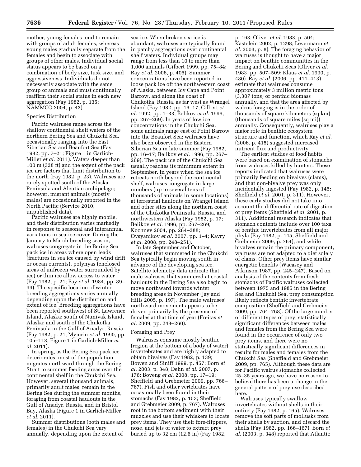mother, young females tend to remain with groups of adult females, whereas young males gradually separate from the females and begin to associate with groups of other males. Individual social status appears to be based on a combination of body size, tusk size, and aggressiveness. Individuals do not necessarily associate with the same group of animals and must continually reaffirm their social status in each new aggregation (Fay 1982, p. 135; NAMMCO 2004, p. 43).

# Species Distribution

Pacific walruses range across the shallow continental shelf waters of the northern Bering Sea and Chukchi Sea, occasionally ranging into the East Siberian Sea and Beaufort Sea (Fay 1982, pp. 7–21; Figure 1 in Garlich-Miller *et al.* 2011). Waters deeper than 100 m (328 ft) and the extent of the pack ice are factors that limit distribution to the north (Fay 1982, p. 23). Walruses are rarely spotted south of the Alaska Peninsula and Aleutian archipelago; however, migrant animals (mostly males) are occasionally reported in the North Pacific (Service 2010, unpublished data).

Pacific walruses are highly mobile, and their distribution varies markedly in response to seasonal and interannual variations in sea-ice cover. During the January to March breeding season, walruses congregate in the Bering Sea pack ice in areas where open leads (fractures in sea ice caused by wind drift or ocean currents), polynyas (enclosed areas of unfrozen water surrounded by ice) or thin ice allow access to water (Fay 1982, p. 21; Fay *et al.* 1984, pp. 89– 99). The specific location of winter breeding aggregations varies annually depending upon the distribution and extent of ice. Breeding aggregations have been reported southwest of St. Lawrence Island, Alaska; south of Nunivak Island, Alaska; and south of the Chukotka Peninsula in the Gulf of Anadyr, Russia (Fay 1982, p. 21; Mymrin *et al.* 1990, pp. 105–113; Figure 1 in Garlich-Miller *et al.* 2011).

In spring, as the Bering Sea pack ice deteriorates, most of the population migrates northward through the Bering Strait to summer feeding areas over the continental shelf in the Chukchi Sea. However, several thousand animals, primarily adult males, remain in the Bering Sea during the summer months, foraging from coastal haulouts in the Gulf of Anadyr, Russia, and in Bristol Bay, Alaska (Figure 1 in Garlich-Miller *et al.* 2011).

Summer distributions (both males and females) in the Chukchi Sea vary annually, depending upon the extent of

sea ice. When broken sea ice is abundant, walruses are typically found in patchy aggregations over continental shelf waters. Individual groups may range from less than 10 to more than 1,000 animals (Gilbert 1999, pp. 75–84; Ray *et al.* 2006, p. 405). Summer concentrations have been reported in loose pack ice off the northwestern coast of Alaska, between Icy Cape and Point Barrow, and along the coast of Chukotka, Russia, as far west as Wrangel Island (Fay 1982, pp. 16–17; Gilbert *et al.* 1992, pp. 1–33; Belikov *et al.* 1996, pp. 267–269). In years of low ice concentrations in the Chukchi Sea, some animals range east of Point Barrow into the Beaufort Sea; walruses have also been observed in the Eastern Siberian Sea in late summer (Fay 1982, pp. 16–17; Belikov *et al.* 1996, pp. 267– 269). The pack ice of the Chukchi Sea usually reaches its minimum extent in September. In years when the sea ice retreats north beyond the continental shelf, walruses congregate in large numbers (up to several tens of thousands of animals in some locations) at terrestrial haulouts on Wrangel Island and other sites along the northern coast of the Chukotka Peninsula, Russia, and northwestern Alaska (Fay 1982, p. 17; Belikov *et al.* 1996, pp. 267–269; Kochnev 2004, pp. 284–288; Ovsyanikov *et al.* 2007, pp. 1–4; Kavry *et al.* 2008, pp. 248–251).

In late September and October, walruses that summered in the Chukchi Sea typically begin moving south in advance of the developing sea ice. Satellite telemetry data indicate that male walruses that summered at coastal haulouts in the Bering Sea also begin to move northward towards winter breeding areas in November (Jay and Hills 2005, p. 197). The male walruses' northward movement appears to be driven primarily by the presence of females at that time of year (Freitas *et al.* 2009, pp. 248–260).

#### Foraging and Prey

Walruses consume mostly benthic (region at the bottom of a body of water) invertebrates and are highly adapted to obtain bivalves (Fay 1982, p. 139; Bowen and Siniff 1999, p. 457; Born *et al.* 2003, p. 348; Dehn *et al.* 2007, p. 176; Boveng *et al.* 2008, pp. 17–19; Sheffield and Grebmeier 2009, pp. 766– 767). Fish and other vertebrates have occasionally been found in their stomachs (Fay 1982, p. 153; Sheffield and Grebmeier 2009, p. 767). Walruses root in the bottom sediment with their muzzles and use their whiskers to locate prey items. They use their fore-flippers, nose, and jets of water to extract prey buried up to 32 cm (12.6 in) (Fay 1982,

p. 163; Oliver *et al.* 1983, p. 504; Kastelein 2002, p. 1298; Levermann *et al.* 2003, p. 8). The foraging behavior of walruses is thought to have a major impact on benthic communities in the Bering and Chukchi Seas (Oliver *et al.*  1983, pp. 507–509; Klaus *et al.* 1990, p. 480). Ray *et al.* (2006, pp. 411–413) estimate that walruses consume approximately 3 million metric tons (3,307 tons) of benthic biomass annually, and that the area affected by walrus foraging is in the order of thousands of square kilometers (sq km) (thousands of square miles (sq mi)) annually. Consequently, walruses play a major role in benthic ecosystem structure and function, which Ray *et al.*  (2006, p. 415) suggested increased nutrient flux and productivity.

The earliest studies of food habits were based on examination of stomachs from walruses killed by hunters. These reports indicated that walruses were primarily feeding on bivalves (clams), and that non-bivalve prey was only incidentally ingested (Fay 1982, p. 145; Sheffield *et al.* 2001, p. 311). However, these early studies did not take into account the differential rate of digestion of prey items (Sheffield *et al.* 2001, p. 311). Additional research indicates that stomach contents include over 100 taxa of benthic invertebrates from all major phyla (Fay 1982, p. 145; Sheffield and Grebmeier 2009, p. 764), and while bivalves remain the primary component, walruses are not adapted to a diet solely of clams. Other prey items have similar energetic benefits (Wacasey and Atkinson 1987, pp. 245–247). Based on analysis of the contents from fresh stomachs of Pacific walruses collected between 1975 and 1985 in the Bering Sea and Chukchi Sea, prey consumption likely reflects benthic invertebrate composition (Sheffield and Grebmeier 2009, pp. 764–768). Of the large number of different types of prey, statistically significant differences between males and females from the Bering Sea were found in the occurrence of only two prey items, and there were no statistically significant differences in results for males and females from the Chukchi Sea (Sheffield and Grebmeier 2009, pp. 765). Although these data are for Pacific walrus stomachs collected 25–35 years ago, we have no reason to believe there has been a change in the general pattern of prey use described here.

Walruses typically swallow invertebrates without shells in their entirety (Fay 1982, p. 165). Walruses remove the soft parts of mollusks from their shells by suction, and discard the shells (Fay 1982, pp. 166–167). Born *et al.* (2003, p. 348) reported that Atlantic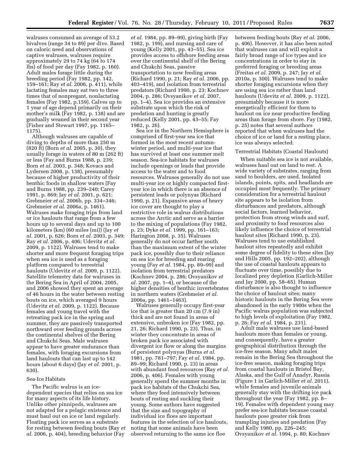walruses consumed an average of 53.2 bivalves (range 34 to 89) per dive. Based on caloric need and observations of captive walruses, walruses require approximately 29 to 74 kg (64 to 174 lbs) of food per day (Fay 1982, p. 160). Adult males forage little during the breeding period (Fay 1982, pp. 142, 159–161; Ray *et al.* 2006, p. 411), while lactating females may eat two to three times that of nonpregant, nonlactating females (Fay 1982, p.159). Calves up to 1 year of age depend primarily on their mother's milk (Fay 1982, p. 138) and are gradually weaned in their second year (Fisher and Stewart 1997, pp. 1165– 1175).

Although walruses are capable of diving to depths of more than 250 m (820 ft) (Born *et al.* 2005, p. 30), they usually forage in waters of 80 m (262 ft) or less (Fay and Burns 1988, p. 239; Born *et al.* 2003, p. 348; Kovacs and Lydersen 2008, p. 138), presumably because of higher productivity of their benthic foods in shallow waters (Fay and Burns 1988, pp. 239–240; Carey 1991, p. 869; Jay *et al.* 2001, p. 621; Grebmeier *et al.* 2006b, pp. 334–346; Grebmeier *et al.* 2006a, p. 1461). Walruses make foraging trips from land or ice haulouts that range from a few hours up to several days and up to 100 kilometers (km) (60 miles (mi)) (Jay *et al.* 2001, p. 626; Born *et al.* 2003, p. 349; Ray *et al.* 2006, p. 406; Udevitz *et al.*  2009, p. 1122). Walruses tend to make shorter and more frequent foraging trips when sea ice is used as a foraging platform compared to terrestrial haulouts (Udevitz *et al.* 2009, p. 1122). Satellite telemetry data for walruses in the Bering Sea in April of 2004, 2005, and 2006 showed they spent an average of 46 hours in the water between resting bouts on ice, which averaged 9 hours (Udevitz *et al.* 2009, p. 1122). Because females and young travel with the retreating pack ice in the spring and summer, they are passively transported northward over feeding grounds across the continental shelves of the Bering and Chukchi Seas. Male walruses appear to have greater endurance than females, with foraging excursions from land haulouts that can last up to 142 hours (about 6 days) (Jay *et al.* 2001, p. 630).

#### Sea-Ice Habitats

The Pacific walrus is an icedependent species that relies on sea ice for many aspects of its life history. Unlike other pinnipeds, walruses are not adapted for a pelagic existence and must haul out on ice or land regularly. Floating pack ice serves as a substrate for resting between feeding bouts (Ray *et al.* 2006, p. 404), breeding behavior (Fay

*et al.* 1984, pp. 89–99), giving birth (Fay 1982, p. 199), and nursing and care of young (Kelly 2001, pp. 43–55). Sea ice provides access to offshore feeding areas over the continental shelf of the Bering and Chukchi Seas, passive transportation to new feeding areas (Richard 1990, p. 21; Ray *et al.* 2006, pp. 403–419), and isolation from terrestrial predators (Richard 1990, p. 23; Kochnev 2004, p. 286; Ovsyanikov *et al.* 2007, pp. 1–4). Sea ice provides an extensive substrate upon which the risk of predation and hunting is greatly reduced (Kelly 2001, pp. 43–55; Fay 1982, p. 26).

Sea ice in the Northern Hemisphere is comprised of first-year sea ice that formed in the most recent autumnwinter period, and multi-year ice that has survived at least one summer melt season. Sea-ice habitats for walruses include openings or leads that provide access to the water and to food resources. Walruses generally do not use multi-year ice or highly compacted firstyear ice in which there is an absence of persistent leads or polynyas (Richard 1990, p. 21). Expansive areas of heavy ice cover are thought to play a restrictive role in walrus distributions across the Arctic and serve as a barrier to the mixing of populations (Fay 1982, p. 23; Dyke *et al.* 1999, pp. 161–163; Harington 2008, p. 35). Walruses generally do not occur farther south than the maximum extent of the winter pack ice, possibly due to their reliance on sea ice for breeding and rearing young (Fay *et al.* 1984, pp. 89–99) and isolation from terrestrial predators (Kochnev 2004, p. 286; Ovsyanikov *et al.* 2007, pp. 1–4), or because of the higher densities of benthic invertebrates in northern waters (Grebmeier *et al.*  2006a, pp. 1461–1463).

Walruses generally occupy first-year ice that is greater than 20 cm (7.9 in) thick and are not found in areas of extensive, unbroken ice (Fay 1982, pp. 21, 26; Richard 1990, p. 23). Thus, in winter they concentrate in areas of broken pack ice associated with divergent ice flow or along the margins of persistent polynyas (Burns *et al.*  1981, pp. 781–797; Fay *et al.* 1984, pp. 89–99; Richard 1990, p. 23) in areas with abundant food resources (Ray *et al.*  2006, p. 406). Females with young generally spend the summer months in pack ice habitats of the Chukchi Sea, where they feed intensively between bouts of resting and suckling their young. Some authors have suggested that the size and topography of individual ice floes are important features in the selection of ice haulouts, noting that some animals have been observed returning to the same ice floe

between feeding bouts (Ray *et al.* 2006, p. 406). However, it has also been noted that walruses can and will exploit a fairly broad range of ice types and ice concentrations in order to stay in preferred foraging or breeding areas (Freitas *et al.* 2009, p. 247; Jay *et al.*  2010a, p. 300). Walruses tend to make shorter foraging excursions when they are using sea ice rather than land haulouts (Udevitz *et al.* 2009, p. 1122), presumably because it is more energetically efficient for them to haulout on ice near productive feeding areas than forage from shore. Fay (1982, p. 25) notes that several authors reported that when walruses had the choice of ice or land for a resting place, ice was always selected.

#### Terrestrial Habitats (Coastal Haulouts)

When suitable sea ice is not available, walruses haul out on land to rest. A wide variety of substrates, ranging from sand to boulders, are used. Isolated islands, points, spits, and headlands are occupied most frequently. The primary consideration for a terrestrial haulout site appears to be isolation from disturbances and predators, although social factors, learned behavior, protection from strong winds and surf, and proximity to food resources also likely influence the choice of terrestrial haulout sites (Richard 1990, p. 23). Walruses tend to use established haulout sites repeatedly and exhibit some degree of fidelity to these sites (Jay and Hills 2005, pp. 192–202), although the use of coastal haulouts appears to fluctuate over time, possibly due to localized prey depletion (Garlich-Miller and Jay 2000, pp. 58–65). Human disturbance is also thought to influence the choice of haulout sites; many historic haulouts in the Bering Sea were abandoned in the early 1900s when the Pacific walrus population was subjected to high levels of exploitation (Fay 1982, p. 26; Fay *et al.* 1984, p. 231).

Adult male walruses use land-based haulouts more than females or young, and consequently, have a greater geographical distribution through the ice-free season. Many adult males remain in the Bering Sea throughout the ice-free season, making foraging trips from coastal haulouts in Bristol Bay, Alaska, and the Gulf of Anadyr, Russia (Figure 1 in Garlich-Miller *et al.* 2011), while females and juvenile animals generally stay with the drifting ice pack throughout the year (Fay 1982, pp. 8– 19). Females with dependent young may prefer sea-ice habitats because coastal haulouts pose greater risk from trampling injuries and predation (Fay and Kelly 1980, pp. 226–245; Ovsyanikov *et al.* 1994, p. 80; Kochnev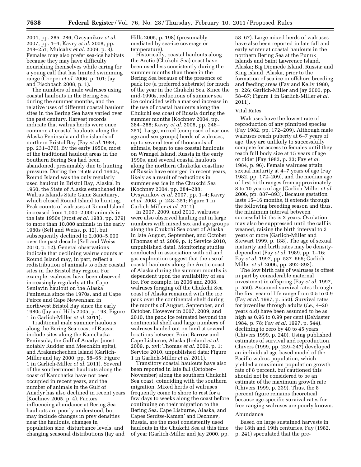2004, pp. 285–286; Ovsyanikov *et al.*  2007, pp. 1–4; Kavry *et al.* 2008, pp. 248–251; Mulcahy *et al.* 2009, p. 3). Females may also prefer sea-ice habitats because they may have difficulty nourishing themselves while caring for a young calf that has limited swimming range (Cooper *et al.* 2006, p. 101; Jay and Fischbach 2008, p. 1).

The numbers of male walruses using coastal haulouts in the Bering Sea during the summer months, and the relative uses of different coastal haulout sites in the Bering Sea have varied over the past century. Harvest records indicate that walrus herds were once common at coastal haulouts along the Alaska Peninsula and the islands of northern Bristol Bay (Fay *et al.* 1984, pp. 231–376). By the early 1950s, most of the traditional haulout areas in the Southern Bering Sea had been abandoned, presumably due to hunting pressure. During the 1950s and 1960s, Round Island was the only regularly used haulout in Bristol Bay, Alaska. In 1960, the State of Alaska established the Walrus Islands State Game Sanctuary, which closed Round Island to hunting. Peak counts of walruses at Round Island increased from 1,000–2,000 animals in the late 1950s (Frost *et al.* 1983, pp. 379) to more than 10,000 animals in the early 1980s (Sell and Weiss, p. 12), but subsequently declined to 2,000–5,000 over the past decade (Sell and Weiss 2010, p. 12). General observations indicate that declining walrus counts at Round Island may, in part, reflect a redistribution of animals to other coastal sites in the Bristol Bay region. For example, walruses have been observed increasingly regularly at the Cape Seniavin haulout on the Alaska Peninsula since the 1970s, and at Cape Peirce and Cape Newenham in northwest Bristol Bay since the early 1980s (Jay and Hills 2005, p. 193; Figure 1 in Garlich-Miller *et al.* 2011).

Traditional male summer haulouts along the Bering Sea coast of Russia include sites along the Kamchatka Peninsula, the Gulf of Anadyr (most notably Rudder and Meechkin spits), and Arakamchechen Island (Garlich-Miller and Jay 2000, pp. 58–65; Figure 1 in Garlich-Miller *et al.* 2011). Several of the southernmost haulouts along the coast of Kamchatka have not been occupied in recent years, and the number of animals in the Gulf of Anadyr has also declined in recent years (Kochnev 2005, p. 4). Factors influencing abundance at Bering Sea haulouts are poorly understood, but may include changes in prey densities near the haulouts, changes in population size, disturbance levels, and changing seasonal distributions (Jay and

Hills 2005, p. 198) (presumably mediated by sea-ice coverage or temperature).

Historically, coastal haulouts along the Arctic (Chukchi Sea) coast have been used less consistently during the summer months than those in the Bering Sea because of the presence of pack ice (a preferred substrate) for much of the year in the Chukchi Sea. Since the mid-1990s, reductions of summer sea ice coincided with a marked increase in the use of coastal haulouts along the Chukchi sea coast of Russia during the summer months (Kochnev 2004, pp. 284–288; Kavry *et al.* 2008, pp. 248– 251). Large, mixed (composed of various age and sex groups) herds of walruses, up to several tens of thousands of animals, began to use coastal haulouts on Wrangel Island, Russia in the early 1990s, and several coastal haulouts along the northern Chukotka coastline of Russia have emerged in recent years, likely as a result of reductions in summer sea ice in the Chukchi Sea (Kochnev 2004, pp. 284–288; Ovsyanikov *et al.* 2007, pp. 1–4; Kavry *et al.* 2008, p. 248–251; Figure 1 in Garlich-Miller *et al.* 2011).

In 2007, 2009, and 2010, walruses were also observed hauling out in large numbers with mixed sex and age groups along the Chukchi Sea coast of Alaska in late August, September, and October (Thomas *et al.* 2009, p. 1; Service 2010, unpublished data). Monitoring studies conducted in association with oil and gas exploration suggest that the use of coastal haulouts along the Arctic coast of Alaska during the summer months is dependent upon the availability of sea ice. For example, in 2006 and 2008, walruses foraging off the Chukchi Sea coast of Alaska remained with the ice pack over the continental shelf during the months of August, September, and October. However in 2007, 2009, and 2010, the pack ice retreated beyond the continental shelf and large numbers of walruses hauled out on land at several locations between Point Barrow and Cape Lisburne, Alaska (Ireland *et al.*  2009, p. xvi; Thomas *et al.* 2009, p. 1; Service 2010, unpublished data; Figure 1 in Garlich-Miller *et al.* 2011).

Transitory coastal haulouts have also been reported in late fall (October– November) along the southern Chukchi Sea coast, coinciding with the southern migration. Mixed herds of walruses frequently come to shore to rest for a few days to weeks along the coast before continuing on their migration to the Bering Sea. Cape Lisburne, Alaska, and Capes Serdtse-Kamen' and Dezhnev, Russia, are the most consistently used haulouts in the Chukchi Sea at this time of year (Garlich-Miller and Jay 2000, pp.

58–67). Large mixed herds of walruses have also been reported in late fall and early winter at coastal haulouts in the northern Bering Sea at the Punuk Islands and Saint Lawrence Island, Alaska; Big Diomede Island, Russia; and King Island, Alaska, prior to the formation of sea ice in offshore breeding and feeding areas (Fay and Kelly 1980, p. 226; Garlich-Miller and Jay 2000, pp. 58–67; Figure 1 in Garlich-Miller *et al.*  2011).

#### Vital Rates

Walruses have the lowest rate of reproduction of any pinniped species (Fay 1982, pp. 172–209). Although male walruses reach puberty at 6–7 years of age, they are unlikely to successfully compete for access to females until they reach full body size at 15 years of age or older (Fay 1982, p. 33; Fay *et al.*  1984, p. 96). Female walruses attain sexual maturity at 4–7 years of age (Fay 1982, pp. 172–209), and the median age of first birth ranges from approximately 8 to 10 years of age (Garlich-Miller *et al.*  2006, pp. 887–893). Because gestation lasts 15–16 months, it extends through the following breeding season and thus, the minimum interval between successful births is 2 years. Ovulation may also be suppressed until the calf is weaned, raising the birth interval to 3 years or more (Garlich-Miller and Stewart 1999, p. 188). The age of sexual maturity and birth rates may be densitydependent (Fay *et al.* 1989, pp. 1–16; Fay *et al.* 1997, pp. 537–565; Garlich-Miller *et al.* 2006, pp. 892–893).

The low birth rate of walruses is offset in part by considerable maternal investment in offspring (Fay *et al.* 1997, p. 550). Assumed survival rates through the first year of life range from 0.5 to 0.9 (Fay *et al.* 1997, p. 550). Survival rates for juveniles through adults (*i.e.,* 4–20 years old) have been assumed to be as high as 0.96 to 0.99 per cent (DeMaster 1984, p. 78; Fay *et al.* 1997, p. 544), declining to zero by 40 to 45 years (Chivers 1999, p. 240). Using published estimates of survival and reproduction, Chivers (1999, pp. 239–247) developed an individual age-based model of the Pacific walrus population, which yielded a maximum population growth rate of 8 percent, but cautioned this should not be considered to be an estimate of the maximum growth rate (Chivers 1999, p. 239). Thus, the 8 percent figure remains theoretical because age-specific survival rates for free-ranging walruses are poorly known.

#### Abundance

Based on large sustained harvests in the 18th and 19th centuries, Fay (1982, p. 241) speculated that the pre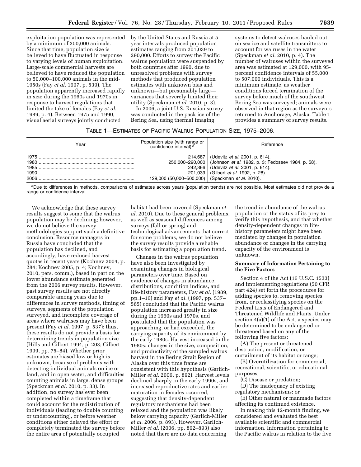exploitation population was represented by a minimum of 200,000 animals. Since that time, population size is believed to have fluctuated in response to varying levels of human exploitation. Large-scale commercial harvests are believed to have reduced the population to 50,000–100,000 animals in the mid-1950s (Fay *et al.* 1997, p. 539). The population apparently increased rapidly in size during the 1960s and 1970s in response to harvest regulations that limited the take of females (Fay *et al.*  1989, p. 4). Between 1975 and 1990, visual aerial surveys jointly conducted

by the United States and Russia at 5 year intervals produced population estimates ranging from 201,039 to 290,000. Efforts to survey the Pacific walrus population were suspended by both countries after 1990, due to unresolved problems with survey methods that produced population estimates with unknown bias and unknown—but presumably large variances that severely limited their utility (Speckman *et al.* 2010, p. 3).

In 2006, a joint U.S.-Russian survey was conducted in the pack ice of the Bering Sea, using thermal imaging

systems to detect walruses hauled out on sea ice and satellite transmitters to account for walruses in the water (Speckman *et al.* 2010, p. 4). The number of walruses within the surveyed area was estimated at 129,000, with 95 percent confidence intervals of 55,000 to 507,000 individuals. This is a minimum estimate, as weather conditions forced termination of the survey before much of the southwest Bering Sea was surveyed; animals were observed in that region as the surveyors returned to Anchorage, Alaska. Table 1 provides a summary of survey results.

# TABLE 1—ESTIMATES OF PACIFIC WALRUS POPULATION SIZE, 1975–2006.

| Year         | Population size (with range or<br>confidence interval) <sup>a</sup> | Reference                                                                                                                                                                                                          |
|--------------|---------------------------------------------------------------------|--------------------------------------------------------------------------------------------------------------------------------------------------------------------------------------------------------------------|
| 1980<br>1990 | 201,039<br>129,000 (50,000–500,000) (Speckman et al. 2010).         | 214,687   (Udevitz <i>et al.</i> 2001, p. 614).<br>250,000-290,000   (Johnson et al. 1982, p. 3; Fedoseev 1984, p. 58).<br>242,366   (Udevitz <i>et al.</i> 2001, p. 614).<br>(Gilbert <i>et al.</i> 1992, p. 28). |

aDue to differences in methods, comparisons of estimates across years (population trends) are not possible. Most estimates did not provide a range or confidence interval.

We acknowledge that these survey results suggest to some that the walrus population may be declining; however, we do not believe the survey methodologies support such a definitive conclusion. Resource managers in Russia have concluded that the population has declined, and accordingly, have reduced harvest quotas in recent years (Kochnev 2004, p. 284; Kochnev 2005, p. 4; Kochnev, 2010, pers. comm.), based in part on the lower abundance estimate generated from the 2006 survey results. However, past survey results are not directly comparable among years due to differences in survey methods, timing of surveys, segments of the population surveyed, and incomplete coverage of areas where walruses may have been present (Fay *et al.* 1997, p. 537); thus, these results do not provide a basis for determining trends in population size (Hills and Gilbert 1994, p. 203; Gilbert 1999, pp. 75–84). Whether prior estimates are biased low or high is unknown, because of problems with detecting individual animals on ice or land, and in open water, and difficulties counting animals in large, dense groups (Speckman *et al.* 2010, p. 33). In addition, no survey has ever been completed within a timeframe that could account for the redistribution of individuals (leading to double counting or undercounting), or before weather conditions either delayed the effort or completely terminated the survey before the entire area of potentially occupied

habitat had been covered (Speckman *et al.* 2010). Due to these general problems, as well as seasonal differences among surveys (fall or spring) and technological advancements that correct for some problems, we do not believe the survey results provide a reliable basis for estimating a population trend.

Changes in the walrus population have also been investigated by examining changes in biological parameters over time. Based on evidence of changes in abundance, distributions, condition indices, and life-history parameters, Fay *et al.* (1989, pp.1–16) and Fay *et al.* (1997, pp. 537– 565) concluded that the Pacific walrus population increased greatly in size during the 1960s and 1970s, and postulated that the population was approaching, or had exceeded, the carrying capacity of its environment by the early 1980s. Harvest increased in the 1980s: changes in the size, composition, and productivity of the sampled walrus harvest in the Bering Strait Region of Alaska over this time frame are consistent with this hypothesis (Garlich-Miller *et al.* 2006, p. 892). Harvest levels declined sharply in the early 1990s, and increased reproductive rates and earlier maturation in females occurred, suggesting that density-dependent regulatory mechanisms had been relaxed and the population was likely below carrying capacity (Garlich-Miller *et al.* 2006, p. 893). However, Garlich-Miller *et al.* (2006, pp. 892–893) also noted that there are no data concerning

the trend in abundance of the walrus population or the status of its prey to verify this hypothesis, and that whether density-dependent changes in lifehistory parameters might have been mediated by changes in population abundance or changes in the carrying capacity of the environment is unknown.

# **Summary of Information Pertaining to the Five Factors**

Section 4 of the Act (16 U.S.C. 1533) and implementing regulations (50 CFR part 424) set forth the procedures for adding species to, removing species from, or reclassifying species on the Federal Lists of Endangered and Threatened Wildlife and Plants. Under section 4(a)(1) of the Act, a species may be determined to be endangered or threatened based on any of the following five factors:

(A) The present or threatened destruction, modification, or curtailment of its habitat or range;

(B) Overutilization for commercial, recreational, scientific, or educational purposes;

(C) Disease or predation;

(D) The inadequacy of existing regulatory mechanisms; or

(E) Other natural or manmade factors affecting its continued existence.

In making this 12-month finding, we considered and evaluated the best available scientific and commercial information. Information pertaining to the Pacific walrus in relation to the five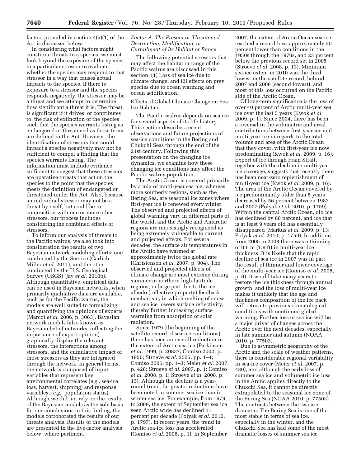factors provided in section 4(a)(1) of the Act is discussed below.

In considering what factors might constitute threats to a species, we must look beyond the exposure of the species to a particular stressor to evaluate whether the species may respond to that stressor in a way that causes actual impacts to the species. If there is exposure to a stressor and the species responds negatively, the stressor may be a threat and we attempt to determine how significant a threat it is. The threat is significant if it drives, or contributes to, the risk of extinction of the species such that the species warrants listing as endangered or threatened as those terms are defined in the Act. However, the identification of stressors that could impact a species negatively may not be sufficient to compel a finding that the species warrants listing. The information must include evidence sufficient to suggest that these stressors are operative threats that act on the species to the point that the species meets the definition of endangered or threatened under the Act. Also, because an individual stressor may not be a threat by itself, but could be in conjunction with one or more other stressors, our process includes considering the combined effects of stressors.

To inform our analysis of threats to the Pacific walrus, we also took into consideration the results of two Bayesian network modeling efforts; one conducted by the Service (Garlich-Miller *et al.* 2011), and the other conducted by the U.S. Geological Survey (USGS) (Jay *et al.* 2010b). Although quantitative, empirical data can be used in Bayesian networks, when primarily qualitative data are available, such as for the Pacific walrus, the models are well suited to formalizing and quantifying the opinions of experts (Marcot *et al.* 2006, p. 3063). Bayesian network models (also known as Bayesian belief networks, reflecting the importance of expert opinion) graphically display the relevant stressors, the interactions among stressors, and the cumulative impact of those stressors as they are integrated through the network. In general terms, the network is composed of input variables that represent key environmental correlates (*e.g.,* sea-ice loss, harvest, shipping) and response variables, (*e.g.,* population status). Although we did not rely on the results of the Bayesian models as the sole basis for our conclusions in this finding, the models corroborated the results of our threats analysis. Results of the models are presented in the five-factor analysis below, where pertinent.

# *Factor A. The Present or Threatened Destruction, Modification, or Curtailment of Its Habitat or Range*

The following potential stressors that may affect the habitat or range of the Pacific walrus are discussed in this section: (1) Loss of sea ice due to climate change; and (2) effects on prey species due to ocean warming and ocean acidification.

# Effects of Global Climate Change on Sea-Ice Habitats

The Pacific walrus depends on sea ice for several aspects of its life history. This section describes recent observations and future projections of sea-ice conditions in the Bering and Chukchi Seas through the end of the 21st century. Following this presentation on the changing ice dynamics, we examine how these changing ice conditions may affect the Pacific walrus population.

The Arctic Ocean is covered primarily by a mix of multi-year sea ice, whereas more southerly regions, such as the Bering Sea, are seasonal ice zones where first-year ice is renewed every winter. The observed and projected effects of global warming vary in different parts of the world, and the Arctic and Antarctic regions are increasingly recognized as being extremely vulnerable to current and projected effects. For several decades, the surface air temperatures in the Arctic have warmed at approximately twice the global rate (Christensen *et al.* 2007, p. 904). The observed and projected effects of climate change are most extreme during summer in northern high-latitude regions, in large part due to the icealbedo (reflective property) feedback mechanism, in which melting of snow and sea ice lowers surface reflectivity, thereby further increasing surface warming from absorption of solar radiation.

Since 1979 (the beginning of the satellite record of sea-ice conditions), there has been an overall reduction in the extent of Arctic sea ice (Parkinson *et al.* 1999, p. 20837; Comiso 2002, p. 1956; Stroeve *et al.* 2005, pp. 1–4; Comiso 2006, pp. 1–3; Meier *et al.* 2007, p. 428; Stroeve *et al.* 2007, p. 1; Comiso *et al.* 2008, p. 1; Stroeve *et al.* 2008, p. 13). Although the decline is a yearround trend, far greater reductions have been noted in summer sea ice than in winter sea ice. For example, from 1979 to 2009, the extent of September sea ice seen Arctic wide has declined 11 percent per decade (Polyak *et al.* 2010, p. 1797). In recent years, the trend in Arctic sea-ice loss has accelerated (Comiso *et al.* 2008, p. 1). In September

2007, the extent of Arctic Ocean sea ice reached a record low, approximately 50 percent lower than conditions in the 1950s through the 1970s, and 23 percent below the previous record set in 2005 (Stroeve *et al.* 2008, p. 13). Minimum sea-ice extent in 2010 was the third lowest in the satellite record, behind 2007 and 2008 (second lowest), and most of this loss occurred on the Pacific side of the Arctic Ocean.

Of long-term significance is the loss of over 40 percent of Arctic multi-year sea ice over the last 5 years (Kwok *et al.*  2009, p. 1). Since 2004, there has been a reversal in the volumetric and areal contributions between first-year ice and multi-year ice in regards to the total volume and area of the Arctic Ocean that they cover, with first-year ice now predominating (Kwok *et al.* 2009, p. 16). Export of ice through Fram Strait, together with the decline in multi-year ice coverage, suggests that recently there has been near-zero replenishment of multi-year ice (Kwok *et al.* 2009, p. 16). The area of the Arctic Ocean covered by ice predominantly older than 5 years decreased by 56 percent between 1982 and 2007 (Polyak *et al.* 2010, p. 1759). Within the central Arctic Ocean, old ice has declined by 88 percent, and ice that is at least 9 years old has essentially disappeared (Markus *et al.* 2009, p. 13: Polyak *et al.* 2010, p. 1759). In addition, from 2005 to 2008 there was a thinning of 0.6 m (1.9 ft) in multi-year ice thickness. It is likely that the rapid decline of sea ice in 2007 was in part the result of thinner and lower coverage, of the multi-year ice (Comiso *et al.* 2008, p. 6). It would take many years to restore the ice thickness through annual growth, and the loss of multi-year ice makes it unlikely that the age and thickness composition of the ice pack will return to previous climatological conditions with continued global warming. Further loss of sea ice will be a major driver of changes across the Arctic over the next decades, especially in late summer and autumn (NOAA 2010, p. 77503).

Due to asymmetric geography of the Arctic and the scale of weather patterns, there is considerable regional variability in sea-ice cover (Meier *et al.* 2007, p. 430), and although the early loss of summer sea ice and volumetric ice loss in the Arctic applies directly to the Chukchi Sea, it cannot be directly extrapolated to the seasonal ice zone of the Bering Sea (NOAA 2010, p. 77503). The contrasts between the two are dramatic: The Bering Sea is one of the most stable in terms of sea ice, especially in the winter, and the Chukchi Sea has had some of the most dramatic losses of summer sea ice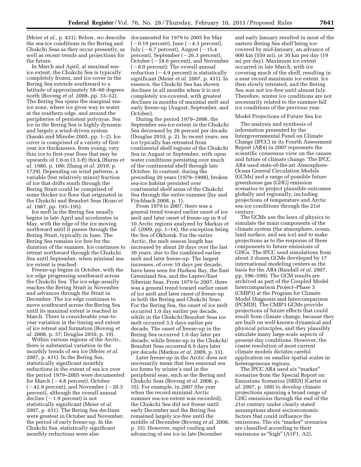(Meier *et al.,* p. 431). Below, we describe the sea-ice conditions in the Bering and Chukchi Seas as they occur presently, as well as recent trends and projections for the future.

In March and April, at maximal seaice extent, the Chukchi Sea is typically completely frozen, and ice cover in the Bering Sea extends southward to a latitude of approximately 58–60 degrees north (Boveng *et al.* 2008, pp. 33–52). The Bering Sea spans the marginal seaice zone, where ice gives way to water at the southern edge, and around the peripheries of persistent polynyas. Sea ice in the Bering Sea is highly dynamic and largely a wind-driven system (Sasaki and Minobe 2005, pp. 1–2). Ice cover is comprised of a variety of firstyear ice thicknesses, from young, very thin ice to first-year floes that may be upwards of 1.0-m (3.3-ft) thick (Burns *et al.* 1980, p. 100; Zhang *et al.* 2010, p. 1729). Depending on wind patterns, a variable (but relatively minor) fraction of ice that drifts south through the Bering Strait could be comprised of some thicker ice floes that originated in the Chukchi and Beaufort Seas (Kozo *et al.* 1987, pp. 193–195).

Ice melt in the Bering Sea usually begins in late April and accelerates in May, with the edge of the ice moving northward until it passes through the Bering Strait, typically in June. The Bering Sea remains ice free for the duration of the summer. Ice continues to retreat northward through the Chukchi Sea until September, when minimal seaice extent is reached.

Freeze-up begins in October, with the ice edge progressing southward across the Chukchi Sea. The ice edge usually reaches the Bering Strait in November and advances through the Strait in December. The ice edge continues to move southward across the Bering Sea until its maximal extent is reached in March. There is considerable year-toyear variation in the timing and extent of ice retreat and formation (Boveng *et al.* 2008, p. 37; Douglas 2010, p. 19).

Within various regions of the Arctic, there is substantial variation in the monthly trends of sea ice (Meier *et al.*  2007, p. 431). In the Bering Sea, statistically significant monthly reductions in the extent of sea ice over the period 1979–2005 were documented for March  $(-4.8$  percent), October  $(-42.9 \text{ percent})$ , and November ( $-20.3$ ) percent), although the overall annual  $\text{decline}$  ( $-1.9$  percent) is not statistically significant (Meier *et al.*  2007, p. 431). The Bering Sea declines were greatest in October and November, the period of early freeze-up. In the Chukchi Sea, statistically significant monthly reductions were also

documented for 1979 to 2005 for May  $(-0.19$  percent), June  $(-4.3$  percent), July ( $-6.7$  percent), August ( $-15.4$ percent), September  $(-26.3$  percent), October ( $-18.6$  percent), and November  $(-8.0$  percent): The overall annual reduction  $(-4.9$  percent) is statistically significant (Meier *et al.* 2007, p. 431). In essence, the Chukchi Sea has shown declines in all months when it is not completely ice-covered, with greatest declines in months of maximal melt and early freeze-up (August, September, and October).

During the period 1979–2006, the September sea-ice extent in the Chukchi Sea decreased by 26 percent per decade (Douglas 2010, p. 2). In recent years, sea ice typically has retreated from continental shelf regions of the Chukchi Sea in August or September, with open water conditions persisting over much of the continental shelf through late October. In contrast, during the preceding 20 years (1979–1998), broken sea-ice habitat persisted over continental shelf areas of the Chukchi Sea through the entire summer (Jay and Fischbach 2008, p. 1).

From 1979 to 2007, there was a general trend toward earlier onset of ice melt and later onset of freeze-up in 9 of 10 Arctic regions analyzed by Markus *et al.* (2009, pp. 1–14), the exception being the Sea of Okhotsk. For the entire Arctic, the melt season length has increased by about 20 days over the last 30 years, due to the combined earlier melt and later freeze-up. The largest increases, of over 10 days per decade, have been seen for Hudson Bay, the East Greenland Sea, and the Laptev/East Siberian Seas. From 1979 to 2007, there was a general trend toward earlier onset of ice melt and later onset of freeze-up in both the Bering and Chukchi Seas: For the Bering Sea, the onset of ice melt occurred 1.0 day earlier per decade, while in the Chukchi/Beaufort Seas ice melt occurred 3.5 days earlier per decade. The onset of freeze-up in the Bering Sea occurred 1.0 day later per decade, while freeze-up in the Chukchi/ Beaufort Seas occurred 6.9 days later per decade (Markus *et al.* 2009, p. 11).

Later freeze-up in the Arctic does not necessarily mean that less seasonal sea ice forms by winter's end in the peripheral seas, such as the Bering and Chukchi Seas (Boveng *et al.* 2008, p. 35). For example, in 2007 (the year when the record minimal Arctic summer sea-ice extent was recorded), the Chukchi Sea did not freeze until early December and the Bering Sea remained largely ice-free until the middle of December (Boveng *et al.* 2008, p. 35). However, rapid cooling and advancing of sea ice in late December

and early January resulted in most of the eastern Bering Sea shelf being icecovered by mid-January, an advance of 900 km (559 mi), or 30 km per day (19 mi per day). Maximum ice extent occurred in late March, with ice covering much of the shelf, resulting in a near record maximum ice extent. Ice then slowly retreated, and the Bering Sea was not ice-free until almost July. Therefore, winter ice conditions are not necessarily related to the summer-fall ice conditions of the previous year.

#### Model Projections of Future Sea Ice

The analysis and synthesis of information presented by the Intergovernmental Panel on Climate Change (IPCC) in its Fourth Assessment Report (AR4) in 2007 represents the scientific consensus view on the causes and future of climate change. The IPCC AR4 used state-of-the-art Atmosphere-Ocean General Circulation Models (GCMs) and a range of possible future greenhouse gas (GHG) emission scenarios to project plausible outcomes globally and regionally, including projections of temperature and Arctic sea-ice conditions through the 21st century.

The GCMs use the laws of physics to simulate the main components of the climate system (the atmosphere, ocean, land surface, and sea ice) and to make projections as to the response of these components to future emissions of GHGs. The IPCC used simulations from about 2 dozen GCMs developed by 17 international modeling centers as the basis for the AR4 (Randall *et al.* 2007, pp. 596–599). The GCM results are archived as part of the Coupled Model Intercomparison Project–Phase 3 (CMIP3) at the Program for Climate Model Diagnosis and Intercomparison (PCMDI). The CMIP3 GCMs provide projections of future effects that could result from climate change, because they are built on well-known dynamical and physical principles, and they plausibly simulate many large-scale aspects of present-day conditions. However, the coarse resolution of most current climate models dictates careful application on smaller spatial scales in heterogeneous regions.

The IPCC AR4 used six "marker" scenarios from the Special Report on Emissions Scenarios (SRES) (Carter *et al.* 2007, p. 160) to develop climate projections spanning a broad range of GHG emissions through the end of the 21st century under clearly stated assumptions about socioeconomic factors that could influence the emissions. The six "marker" scenarios are classified according to their emissions as "high" (A1F1, A2),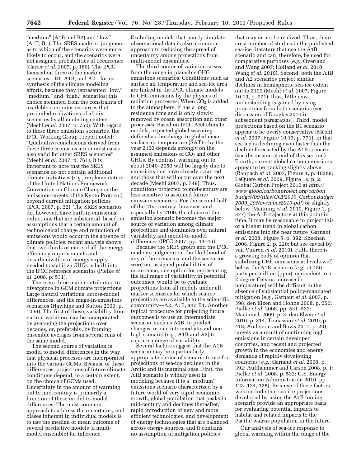"medium" (A1B and B2) and "low" (A1T, B1). The SRES made no judgment as to which of the scenarios were more likely to occur, and the scenarios were not assigned probabilities of occurrence (Carter *et al.* 2007, p. 160). The IPCC focused on three of the marker scenarios—B1, A1B, and A2—for its synthesis of the climate modeling efforts, because they represented ''low,'' "medium," and "high," scenarios; this choice stemmed from the constraints of available computer resources that precluded realizations of all six scenarios by all modeling centers (Meehl *et al.* 2007, p. 753). With regard to these three emissions scenarios, the IPCC Working Group I report noted: ''Qualitative conclusions derived from these three scenarios are in most cases also valid for other SRES scenarios'' (Meehl *et al.* 2007, p. 761). It is important to note that the SRES scenarios do not contain additional climate initiatives (*e.g.,* implementation of the United Nations Framework Convention on Climate Change or the emissions targets of the Kyoto Protocol) beyond current mitigation policies (IPCC 2007, p. 22). The SRES scenarios do, however, have built-in emissions reductions that are substantial, based on assumptions that a certain amount of technological change and reduction of emissions would occur in the absence of climate policies; recent analysis shows that two-thirds or more of all the energy efficiency improvements and decarbonization of energy supply needed to stabilize GHGs is built into the IPCC reference scenarios (Pielke *et al.* 2008, p. 531).

There are three main contributors to divergence in GCM climate projections: Large natural variations, across-model differences, and the range-in-emissions scenarios (Hawkins and Sutton 2009, p. 1096). The first of these, variability from natural variation, can be incorporated by averaging the projections over decades, or, preferably, by forming ensemble averages from several runs of the same model.

The second source of variation is model to model differences in the way that physical processes are incorporated into the various GCMs. Because of these differences, projections of future climate conditions depend, to a certain extent, on the choice of GCMs used. Uncertainty in the amount of warming out to mid-century is primarily a function of these model-to-model differences. The most common approach to address the uncertainty and biases inherent in individual models is to use the median or mean outcome of several predictive models (a multimodel ensemble) for inference.

Excluding models that poorly simulate observational data is also a common approach to reducing the spread of uncertainty among projections from multi-model ensembles.

The third source of variation arises from the range in plausible GHG emissions scenarios. Conditions such as surface air temperature and sea-ice area are linked in the IPCC climate models to GHG emissions by the physics of radiation processes. When  $CO<sub>2</sub>$  is added to the atmosphere, it has a long residence time and is only slowly removed by ocean absorption and other processes. Based on IPCC AR4 climate models, expected global warming defined as the change in global mean surface air temperature (SAT)—by the year 2100 depends strongly on the assumed emissions of  $CO<sub>2</sub>$  and other GHGs. By contrast, warming out to about 2040–2050 will be largely due to emissions that have already occurred and those that will occur over the next decade (Meehl 2007, p. 749). Thus, conditions projected to mid-century are less sensitive to assumed future emission scenarios. For the second half of the 21st century, however, and especially by 2100, the choice of the emission scenario becomes the major source of variation among climate projections and dominates over natural variability and model-to-model differences (IPCC 2007, pp. 44–46).

Because the SRES group and the IPCC made no judgment on the likelihood of any of the scenarios, and the scenarios were not assigned probabilities of occurrence, one option for representing the full range of variability in potential outcomes, would be to evaluate projections from all models under all marker scenarios for which sea-ice projections are available to the scientific community—A2, A1B, and B1. Another typical procedure for projecting future outcomes is to use an intermediate scenario, such as A1B, to predict changes, or one intermediate and one high scenario (*e.g.,* A1B and A2) to capture a range of variability.

Several factors suggest that the A1B scenario may be a particularly appropriate choice of scenario to use for projections of sea-ice declines in the Arctic and its marginal seas. First, the A1B scenario is widely used in modeling because it is a "medium" emissions scenario characterized by a future world of very rapid economic growth, global population that peaks in mid-century and declines thereafter, rapid introduction of new and more efficient technologies, and development of energy technologies that are balanced across energy sources, and it contains no assumption of mitigation policies

that may or not be realized. Thus, there are a number of studies in the published sea-ice literature that use the A1B scenario and can, therefore, be used for comparative purposes (*e.g.,* Overland and Wang 2007; Holland *et al.* 2010; Wang *et al.* 2010). Second, both the A1B and A2 scenarios project similar declines in hemispheric sea-ice extent out to 2100 (Meehl *et al.* 2007, Figure 10.13, p. 771); thus, little new understanding is gained by using projections from both scenarios (see discussion of Douglas 2010 in subsequent paragraphs). Third, model projections based on the B1 scenario appear to be overly conservative (Meehl *et al.* 2007, Figure 10.13, p. 771), in that sea ice is declining even faster than the decline forecasted by the A1B scenario (see discussion at end of this section). Fourth, current global carbon emissions appear to be tracking slightly above (Raupach *et al.* 2007, Figure 1, p. 10289; LeQuere *et al.* 2009, Figure 1a, p. 2; Global Carbon Project 2010 at *[http://](http://www.globalcarbonproject.org/carbonbudget/09/files/GCP2010_CarbonBudget2009_29November2010.pdf) [www.globalcarbonproject.org/carbon](http://www.globalcarbonproject.org/carbonbudget/09/files/GCP2010_CarbonBudget2009_29November2010.pdf) [budget/09/files/GCP2010](http://www.globalcarbonproject.org/carbonbudget/09/files/GCP2010_CarbonBudget2009_29November2010.pdf)*\_*CarbonBudget 2009*\_*[29November2010.pdf](http://www.globalcarbonproject.org/carbonbudget/09/files/GCP2010_CarbonBudget2009_29November2010.pdf)*) or slightly below (Manning *et al.* 2010, Figure 1, p. 377) the A1B trajectory at this point in time. It may be reasonable to project this or a higher trend in global carbon emissions into the near future (Garnaut *et al.* 2008, Figure 5, p. 392; Sheehan 2008, Figure 2, p. 220; but see caveat by van Vuuren *et al.* 2010). Fifth, there is a growing body of opinion that stabilizing GHG emissions at levels well below the A1B scenario (*e.g.,* at 450 parts per million (ppm), equivalent to a 2 degree Celsius increase in temperature) will be difficult in the absence of substantial policy-mandated mitigation (*e.g.,* Garnaut *et al.* 2007, p. 398; den Elzen and Höhne 2008, p. 250; Pielke *et al.* 2008, pp. 531–532; Macintosh 2009, p. 3; den Elzen *et al.*  2010, p. 314; Tomassini *et al.* 2010, p. 418; Anderson and Bows 2011, p. 20), largely as a result of continuing high emissions in certain developed countries, and recent and projected growth in the economies and energy demands of rapidly developing countries (*e.g.,* Garnaut *et al.* 2008, p. 392; Auffhammer and Carson 2008, p. 1; Pielke *et al.* 2008, p. 532; U.S. Energy Information Administration 2010, pp. 123–124, 128). Because of these factors, we conclude that sea-ice projections developed by using the A1B forcing scenario provide an appropriate basis for evaluating potential impacts to habitat and related impacts to the Pacific walrus population in the future.

Our analysis of sea-ice response to global warming within the range of the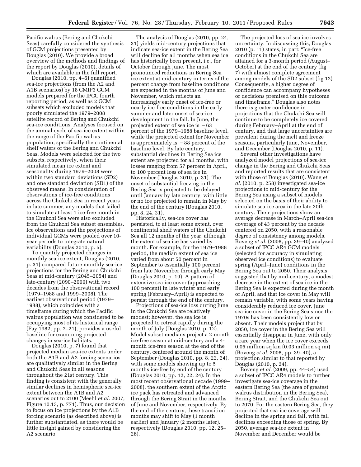Pacific walrus (Bering and Chukchi Seas) carefully considered the synthesis of GCM projections presented by Douglas (2010). We provide a broad overview of the methods and findings of the report by Douglas (2010), details of which are available in the full report.

Douglas (2010, pp. 4–5) quantified sea-ice projections (from the A2 and A1B scenarios) by 18 CMIP3 GCM models prepared for the IPCC fourth reporting period, as well as 2 GCM subsets which excluded models that poorly simulated the 1979–2008 satellite record of Bering and Chukchi sea-ice conditions. Analyses focused on the annual cycle of sea-ice extent within the range of the Pacific walrus population, specifically the continental shelf waters of the Bering and Chukchi Seas. Models were selected for the two subsets, respectively, when their simulated mean ice extent and seasonality during 1979–2008 were within two standard deviations (SD2) and one standard deviation (SD1) of the observed means. In consideration of observations of ice-free conditions across the Chukchi Sea in recent years in late summer, any models that failed to simulate at least 1 ice-free month in the Chukchi Sea were also excluded from the Chukchi Sea subset ensembles. Ice observations and the projections of individual GCMs were pooled over 10 year periods to integrate natural variability (Douglas 2010, p. 5).

To quantify projected changes in monthly sea-ice extent, Douglas (2010, p. 31) compared future monthly sea-ice projections for the Bering and Chukchi Seas at mid-century (2045–2054) and late-century (2090–2099) with two decades from the observational record (1979–1988 and 1999–2008). The earliest observational period (1979– 1988), which coincides with a timeframe during which the Pacific walrus population was considered to be occupying most of its historical range (Fay 1982, pp. 7–21), provides a useful baseline for examining projected changes in sea-ice habitats.

Douglas (2010, p. 7) found that projected median sea-ice extents under both the A1B and A2 forcing scenarios are qualitatively similar in the Bering and Chukchi Seas in all seasons throughout the 21st century. This finding is consistent with the generally similar declines in hemispheric sea-ice extent between the A1B and A2 scenarios out to 2100 (Meehl *et al.* 2007, Figure 10.13, p. 771). Thus, our decision to focus on ice projections by the A1B forcing scenario (as described above) is further substantiated, as there would be little insight gained by considering the A2 scenario.

The analysis of Douglas (2010, pp. 24, 31) yields mid-century projections that indicate sea-ice extent in the Bering Sea will decline for all months when sea ice has historically been present, i.e., for October through June. The most pronounced reductions in Bering Sea ice extent at mid-century in terms of the percent change from baseline conditions are expected in the months of June and November, which reflects an increasingly early onset of ice-free or nearly ice-free conditions in the early summer and later onset of sea-ice development in the fall. In June, the projected extent of sea ice is  $-63$ percent of the 1979–1988 baseline level, while the projected extent for November is approximately is  $-88$  percent of the baseline level. By late century, substantial declines in Bering Sea ice extent are projected for all months, with losses ranging from 57 percent in April, to 100 percent loss of sea ice in November (Douglas 2010, p. 31). The onset of substantial freezing in the Bering Sea is projected to be delayed until January by late century, with little or no ice projected to remain in May by the end of the century (Douglas 2010, pp. 8, 24, 31).

Historically, sea-ice cover has persisted, to at least some extent, over continental shelf waters of the Chukchi Sea all 12 months of the year, although the extent of sea ice has varied by month. For example, for the 1979–1988 period, the median extent of sea ice varied from about 50 percent in September to essentially 100 percent from late November through early May (Douglas 2010, p. 19). A pattern of extensive sea-ice cover (approaching 100 percent) in late winter and early spring (February–April) is expected to persist through the end of the century.

Projections of sea-ice loss during June in the Chukchi Sea are relatively modest; however, the sea ice is projected to retreat rapidly during the month of July (Douglas 2010, p. 12). Model subset medians project a 2-month ice-free season at mid-century and a 4 month ice-free season at the end of the century, centered around the month of September (Douglas 2010, pp. 8, 22, 24), with some models showing up to 5 months ice-free by end of the century (Douglas 2010, pp. 12, 22, 24). In the most recent observational decade (1999– 2008), the southern extent of the Arctic ice pack has retreated and advanced through the Bering Strait in the months of June and November, respectively. By the end of the century, these transition months may shift to May (1 month earlier) and January (2 months later), respectively (Douglas 2010, pp. 12, 25– 26).

The projected loss of sea ice involves uncertainty. In discussing this, Douglas 2010 (p. 11) states, in part: ''Ice-free conditions in the Chukchi Sea are attained for a 3-month period (August– October) at the end of the century (fig 7) with almost complete agreement among models of the SD2 subset (fig 12). Consequently, a higher degree of confidence can accompany hypotheses or decisions premised on this outcome and timeframe.'' Douglas also notes there is greater confidence in projections that the Chukchi Sea will continue to be completely ice covered during February–April at the end of century, and that large uncertainties are prevalent during the melt and freeze seasons, particularly June, November, and December (Douglas 2010, p. 11).

Several other investigations have analyzed model projections of sea-ice change in the Bering and Chukchi Seas and reported results that are consistent with those of Douglas (2010). Wang *et al.* (2010, p. 258) investigated sea-ice projections to mid-century for the Bering Sea using a subset of models selected on the basis of their ability to simulate sea-ice area in the late 20th century. Their projections show an average decrease in March–April sea-ice coverage of 43 percent by the decade centered on 2050, with a reasonable degree of consistency among models. Boveng *et al.* (2008, pp. 39–40) analyzed a subset of IPCC AR4 GCM models (selected for accuracy in simulating observed ice conditions) to evaluate spring (April–June) conditions in the Bering Sea out to 2050. Their analysis suggested that by mid-century, a modest decrease in the extent of sea ice in the Bering Sea is expected during the month of April, and that ice cover in May will remain variable, with some years having considerably reduced ice cover. June sea-ice cover in the Bering Sea since the 1970s has been consistently low or absent. Their models project that by 2050, ice cover in the Bering Sea will essentially disappear in June, with only a rare year when the ice cover exceeds 0.05 million sq km (0.03 million sq mi) (Boveng *et al.* 2008, pp. 39–40), a projection similar to that reported by Douglas (2010, p. 24).

Boveng *et al.* (2009, pp. 44–54) used a subset of IPCC AR4 models to further investigate sea-ice coverage in the eastern Bering Sea (the area of greatest walrus distribution in the Bering Sea), Bering Strait, and the Chukchi Sea out to 2070. For the eastern Bering Sea, they projected that sea-ice coverage will decline in the spring and fall, with fall declines exceeding those of spring. By 2050, average sea-ice extent in November and December would be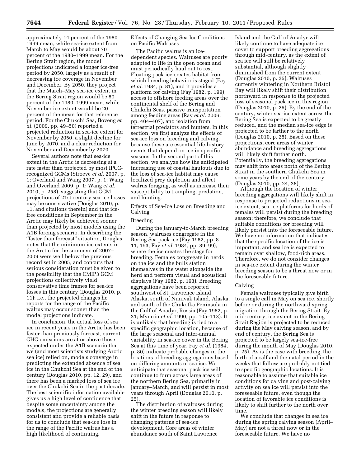approximately 14 percent of the 1980– 1999 mean, while sea-ice extent from March to May would be about 70 percent of the 1980–1999 mean. For the Bering Strait region, the model projections indicated a longer ice-free period by 2050, largely as a result of decreasing ice coverage in November and December. By 2050, they project that the March–May sea-ice extent in the Bering Strait region would be 80 percent of the 1980–1999 mean, while November ice extent would be 20 percent of the mean for that reference period. For the Chukchi Sea, Boveng *et al.* (2009, pp. 49–50) reported a projected reduction in sea-ice extent for November by 2050, a slight decline for June by 2070, and a clear reduction for November and December by 2070.

Several authors note that sea-ice extent in the Arctic is decreasing at a rate faster than projected by most IPCCrecognized GCMs (Stroeve *et al.* 2007, p. 1; Overland and Wang 2007, p. 1; Wang and Overland 2009, p. 1; Wang *et al.*  2010, p. 258), suggesting that GCM projections of 21st century sea-ice losses may be conservative (Douglas 2010, p. 11, and citations therein) and that icefree conditions in September in the Arctic may likely be achieved sooner than projected by most models using the A1B forcing scenario. In describing the "faster than forecast" situation, Douglas notes that the minimum ice extents in the Arctic for the summers of 2007– 2009 were well below the previous record set in 2005, and concurs that serious consideration must be given to the possibility that the CMIP3 GCM projections collectively yield conservative time frames for sea-ice losses in this century (Douglas 2010, p. 11); i.e., the projected changes he reports for the range of the Pacific walrus may occur sooner than the model projections indicate.

In conclusion, the actual loss of sea ice in recent years in the Arctic has been faster than previously forecast, current GHG emissions are at or above those expected under the A1B scenario that we (and most scientists studying Arctic sea ice) relied on, models converge in predicting the extended absence of sea ice in the Chukchi Sea at the end of the century (Douglas 2010, pp. 12, 29), and there has been a marked loss of sea ice over the Chukchi Sea in the past decade. The best scientific information available gives us a high level of confidence that despite some uncertainty among the models, the projections are generally consistent and provide a reliable basis for us to conclude that sea-ice loss in the range of the Pacific walrus has a high likelihood of continuing.

Effects of Changing Sea-Ice Conditions on Pacific Walruses

The Pacific walrus is an icedependent species. Walruses are poorly adapted to life in the open ocean and must periodically haul out to rest. Floating pack ice creates habitat from which breeding behavior is staged (Fay *et al.* 1984, p. 81), and it provides a platform for calving (Fay 1982, p. 199), access to offshore feeding areas over the continental shelf of the Bering and Chukchi Seas, passive transportation among feeding areas (Ray *et al.* 2006, pp. 404–407), and isolation from terrestrial predators and hunters. In this section, we first analyze the effects of sea-ice loss on breeding and calving, because these are essential life-history events that depend on ice in specific seasons. In the second part of this section, we analyze how the anticipated increasing use of coastal haulouts due to the loss of sea-ice habitat may cause localized prey depletion and affect walrus foraging, as well as increase their susceptibility to trampling, predation, and hunting.

Effects of Sea-Ice Loss on Breeding and Calving

# Breeding

During the January-to-March breeding season, walruses congregate in the Bering Sea pack ice (Fay 1982, pp. 8– 11, 193; Fay *et al.* 1984, pp. 89–99), where the ice creates the stage for breeding. Females congregate in herds on the ice and the bulls station themselves in the water alongside the herd and perform visual and acoustical displays (Fay 1982, p. 193). Breeding aggregations have been reported southwest of St. Lawrence Island, Alaska, south of Nunivak Island, Alaska, and south of the Chukotka Peninsula in the Gulf of Anadyr, Russia (Fay 1982, p. 21; Mymrin *et al.* 1990, pp. 105–113). It is unlikely that breeding is tied to a specific geographic location, because of the large seasonal and inter-annual variability in sea-ice cover in the Bering Sea at this time of year. Fay *et al.* (1984, p. 80) indicate probable changes in the locations of breeding aggregations based on differing amounts of sea ice. We anticipate that seasonal pack ice will continue to form across large areas of the northern Bering Sea, primarily in January–March, and will persist in most years through April (Douglas 2010, p. 25).

The distribution of walruses during the winter breeding season will likely shift in the future in response to changing patterns of sea-ice development. Core areas of winter abundance south of Saint Lawrence

Island and the Gulf of Anadyr will likely continue to have adequate ice cover to support breeding aggregations through mid-century, as the extent of sea ice will still be relatively substantial, although slightly diminished from the current extent (Douglas 2010, p. 25). Walruses currently wintering in Northern Bristol Bay will likely shift their distribution northward in response to the projected loss of seasonal pack ice in this region (Douglas 2010, p. 25). By the end of the century, winter sea-ice extent across the Bering Sea is expected to be greatly reduced, and the median sea-ice edge is projected to be farther to the north (Douglas 2010, p. 25). Based on these projections, core areas of winter abundance and breeding aggregations will likely shift farther north. Potentially, the breeding aggregations may shift into areas north of the Bering Strait in the southern Chukchi Sea in some years by the end of the century (Douglas 2010, pp. 24, 28).

Although the location of winter breeding aggregations will likely shift in response to projected reductions in seaice extent, sea-ice platforms for herds of females will persist during the breeding season; therefore, we conclude that suitable conditions for breeding will likely persist into the foreseeable future. We have no information that indicates that the specific location of the ice is important, and sea ice is expected to remain over shallow, food-rich areas. Therefore, we do not consider changes in sea-ice extent during the winter breeding season to be a threat now or in the foreseeable future.

#### Calving

Female walruses typically give birth to a single calf in May on sea ice, shortly before or during the northward spring migration through the Bering Strait. By mid-century, ice extent in the Bering Strait Region is projected to be reduced during the May calving season, and by end of century, the Bering Sea is projected to be largely sea-ice-free during the month of May (Douglas 2010, p. 25). As is the case with breeding, the birth of a calf and the natal period in the weeks that follow are probably not tied to specific geographic locations. It is reasonable to assume that suitable ice conditions for calving and post-calving activity on sea ice will persist into the foreseeable future, even though the location of favorable ice conditions is likely to shift further to the north over time.

We conclude that changes in sea ice during the spring calving season (April– May) are not a threat now or in the foreseeable future. We have no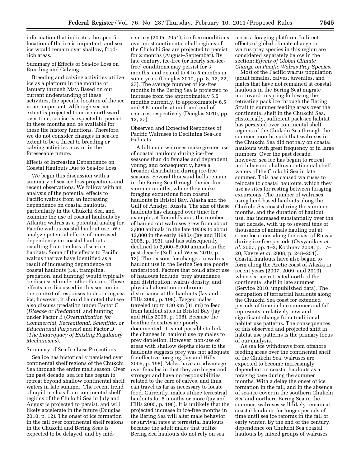information that indicates the specific location of the ice is important, and sea ice would remain over shallow, foodrich areas.

Summary of Effects of Sea-Ice Loss on Breeding and Calving

Breeding and calving activities utilize ice as a platform in the months of January through May. Based on our current understanding of these activities, the specific location of the ice is not important. Although sea-ice extent is projected to move northward over time, sea ice is expected to persist in these months and be available for these life history functions. Therefore, we do not consider changes in sea-ice extent to be a threat to breeding or calving activities now or in the foreseeable future.

Effects of Increasing Dependence on Coastal Haulouts Due to Sea-Ice Loss

We begin this discussion with a summary of sea-ice loss projections and recent observations. We follow with an analysis of the potential effects to Pacific walrus from an increasing dependence on coastal haulouts, particularly in the Chukchi Sea, and examine the use of coastal haulouts by Atlantic walrus as a potential analog for Pacific walrus coastal haulout use. We analyze potential effects of increased dependency on coastal haulouts resulting from the loss of sea-ice habitats. Some of the effects to Pacific walrus that we have identified as a result of increasing dependence on coastal haulouts (i.e., trampling, predation, and hunting) would typically be discussed under other Factors. These effects are discussed in this section in the context of responses to declining sea ice; however, it should be noted that we also discuss predation under Factor C (*Disease or Predation*), and hunting under Factor B (*Overutilization for Commercial, Recreational, Scientific, or Educational Purposes*) and Factor D (*The Inadequacy of Existing Regulatory Mechanisms*).

#### Summary of Sea-Ice Loss Projections

Sea ice has historically persisted over continental shelf regions of the Chukchi Sea through the entire melt season. Over the past decade, sea ice has begun to retreat beyond shallow continental shelf waters in late summer. The recent trend of rapid ice loss from continental shelf regions of the Chukchi Sea in July and August is projected to persist, and will likely accelerate in the future (Douglas 2010, p. 12). The onset of ice formation in the fall over continental shelf regions in the Chukchi and Bering Seas is expected to be delayed, and by mid-

century (2045–2054), ice-free conditions over most continental shelf regions of the Chukchi Sea are projected to persist for 2 months (August–September). By late century, ice-free (or nearly sea-icefree) conditions may persist for 3 months, and extend to 4 to 5 months in some years (Douglas 2010, pp. 8, 12, 22, 27). The average number of ice-free months in the Bering Sea is projected to increase from the approximately 5.5 months currently, to approximately 6.5 and 8.5 months at mid- and end of century, respectively (Douglas 2010, pp. 12, 27).

Observed and Expected Responses of Pacific Walruses to Declining Sea-Ice Habitats

Adult male walruses make greater use of coastal haulouts during ice-free seasons than do females and dependent young, and consequently, have a broader distribution during ice-free seasons. Several thousand bulls remain in the Bering Sea through the ice-free summer months, where they make foraging excursions from coastal haulouts in Bristol Bay, Alaska and the Gulf of Anadyr, Russia. The size of these haulouts has changed over time; for example, at Round Island, the number of hauled out walruses grew from about 3,000 animals in the late 1950s to about 12,000 in the early 1980s (Jay and Hills 2005, p. 193), and has subsequently declined to 2,000–5,000 animals in the past decade (Sell and Weiss 2010, p. 12). The reasons for changes in walrus haulout use in the Bering Sea are poorly understood. Factors that could affect use of haulouts include; prey abundance and distribution, walrus density, and physical alteration or chronic disturbance at the haulouts (Jay and Hills 2005, p. 198). Tagged males traveled up to 130 km (81 mi) to feed from haulout sites in Bristol Bay (Jay and Hills 2005, p. 198). Because the benthic densities are poorly documented, it is not possible to link the changes in haulout use by males to prey depletion. However, non-use of areas with shallow depths closer to the haulouts suggests prey was not adequate for effective foraging (Jay and Hills 2005, p. 198). Males have an advantage over females in that they are bigger and stronger and have no responsibilities related to the care of calves, and thus, can travel as far as necessary to locate food. Currently, males utilize terrestrial haulouts for 5 months or more (Jay and Hills 2005, p. 198). It is unlikely that the projected increase in ice-free months in the Bering Sea will alter male behavior or survival rates at terrestrial haulouts because the adult males that utilize Bering Sea haulouts do not rely on sea

ice as a foraging platform. Indirect effects of global climate change on walrus prey species in this region are considered separately below in the section: *Effects of Global Climate Change on Pacific Walrus Prey Species.* 

Most of the Pacific walrus population (adult females, calves, juveniles, and males that have not remained at coastal haulouts in the Bering Sea) migrate northward in spring following the retreating pack ice through the Bering Strait to summer feeding areas over the continental shelf in the Chukchi Sea. Historically, sufficient pack-ice habitat has persisted over continental shelf regions of the Chukchi Sea through the summer months such that walruses in the Chukchi Sea did not rely on coastal haulouts with great frequency or in large numbers. Over the past decade, however, sea ice has begun to retreat north beyond shallow continental shelf waters of the Chukchi Sea in late summer. This has caused walruses to relocate to coastal haulouts, which they use as sites for resting between foraging excursions. The number of walruses using land-based haulouts along the Chukchi Sea coast during the summer months, and the duration of haulout use, has increased substantially over the past decade, with up to several tens of thousands of animals hauling out at some locations along the coast of Russia during ice-free periods (Ovsyanikov *et al.* 2007, pp. 1–2; Kochnev 2008, p. 17– 20, Kavry *et al.* 2008, p. 248–251). Coastal haulouts have also begun to form along the Arctic coast of Alaska in recent years (2007, 2009, and 2010) when sea ice retreated north of the continental shelf in late summer (Service 2010, unpublished data). The occupation of terrestrial haulouts along the Chukchi Sea coast for extended periods of time in late summer and fall represents a relatively new and significant change from traditional habitat use patterns. The consequences of this observed and projected shift in habitat use patterns is the primary focus of our analysis.

As sea ice withdraws from offshore feeding areas over the continental shelf of the Chukchi Sea, walruses are expected to become increasingly dependent on coastal haulouts as a foraging base during the summer months. With a delay the onset of ice formation in the fall, and in the absence of sea-ice cover in the southern Chukchi Sea and northern Bering Sea in the summer, walruses will likely remain at coastal haulouts for longer periods of time until sea ice reforms in the fall or early winter. By the end of the century, dependence on Chukchi Sea coastal haulouts by mixed groups of walruses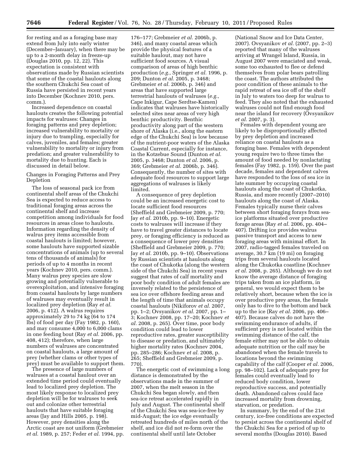for resting and as a foraging base may extend from July into early winter (December–January), when there may be up to a 2-month delay in freeze-up (Douglas 2010, pp. 12, 22). This expectation is consistent with observations made by Russian scientists that some of the coastal haulouts along the southern Chukchi Sea coast of Russia have persisted in recent years into December (Kochnev 2010, pers. comm.).

Increased dependence on coastal haulouts creates the following potential impacts for walruses: Changes in foraging patterns and prey depletion; increased vulnerability to mortality or injury due to trampling, especially for calves, juveniles, and females; greater vulnerability to mortality or injury from predation; and greater vulnerability to mortality due to hunting. Each is discussed in detail below.

Changes in Foraging Patterns and Prey Depletion

The loss of seasonal pack ice from continental shelf areas of the Chukchi Sea is expected to reduce access to traditional foraging areas across the continental shelf and increase competition among individuals for food resources in areas close to haulouts. Information regarding the density of walrus prey items accessible from coastal haulouts is limited; however, some haulouts have supported sizable concentrations of animals (up to several tens of thousands of animals) for periods of up to 4 months in recent years (Kochnev 2010, pers. comm.). Many walrus prey species are slow growing and potentially vulnerable to overexploitation, and intensive foraging from coastal haulouts by large numbers of walruses may eventually result in localized prey depletion (Ray *et al.*  2006, p. 412). A walrus requires approximately 29 to 74 kg (64 to 174 lbs) of food per day (Fay 1982, p. 160), and may consume 4,000 to 6,000 clams in one feeding bout (Ray *et al.* 2006, pp. 408, 412); therefore, when large numbers of walruses are concentrated on coastal haulouts, a large amount of prey (whether clams or other types of prey) must be available to support them.

The presence of large numbers of walruses at a coastal haulout over an extended time period could eventually lead to localized prey depletion. The most likely response to localized prey depletion will be for walruses to seek out and colonize other terrestrial haulouts that have suitable foraging areas (Jay and Hills 2005, p. 198). However, prey densities along the Arctic coast are not uniform (Grebmeier *et al.* 1989, p. 257; Feder *et al.* 1994, pp.

176–177; Grebmeier *et al.* 2006b, p. 346), and many coastal areas which provide the physical features of a suitable haulout, may not have sufficient food sources. A visual comparison of areas of high benthic production (*e.g.,* Springer *et al.* 1996, p. 209; Dunton *et al.* 2005, p. 3468; Grebmeier *et al.* 2006b, p. 346) and areas that have supported large terrestrial haulouts of walruses (*e.g.,*  Cape Inkigur, Cape Serdtse-Kamen) indicates that walruses have historically selected sites near areas of very high benthic productivity. Benthic productivity along part of the western shore of Alaska (i.e., along the eastern edge of the Chukchi Sea) is low because of the nutrient-poor waters of the Alaska Coastal Current, especially for instance, in the Kotzebue Sound (Dunton *et al.*  2005, p. 3468; Dunton *et al.* 2006, p. 369; Grebmeier *et al.* 2006b, p. 346). Consequently, the number of sites with adequate food resources to support large aggregations of walruses is likely limited.

A consequence of prey depletion could be an increased energetic cost to locate sufficient food resources (Sheffield and Grebmeier 2009, p. 770; Jay *et al.* 2010b, pp. 9–10). Energetic costs to walruses will increase if they have to travel greater distances to locate prey, or foraging efficiency is reduced as a consequence of lower prey densities (Sheffield and Grebmeier 2009, p. 770; Jay *et al.* 2010b, pp. 9–10). Observations by Russian scientists at haulouts along the coast of Chukotka (along the western side of the Chukchi Sea) in recent years suggest that rates of calf mortality and poor body condition of adult females are inversely related to the persistence of sea ice over offshore feeding areas and the length of time that animals occupy coastal haulouts (Nikiforov *et al.* 2007, pp. 1–2; Ovsyanikov *et al.* 2007, pp. 1– 3; Kochnev 2008, pp. 17–20; Kochnev *et al.* 2008, p. 265). Over time, poor body condition could lead to lower reproductive rates, greater susceptibility to disease or predation, and ultimately higher mortality rates (Kochnev 2004, pp. 285–286; Kochnev *et al.* 2008, p. 265; Sheffield and Grebmeier 2009, p. 770).

The energetic cost of swimming a long distance is demonstrated by the observations made in the summer of 2007, when the melt season in the Chukchi Sea began slowly, and then sea-ice retreat accelerated rapidly in July and August. The continental shelf of the Chukchi Sea was sea-ice-free by mid-August; the ice edge eventually retreated hundreds of miles north of the shelf, and ice did not re-form over the continental shelf until late October

(National Snow and Ice Data Center, 2007). Ovsyanikov *et al.* (2007, pp. 2–3) reported that many of the walruses arriving at Wrangel Island, Russia, in August 2007 were emaciated and weak, some too exhausted to flee or defend themselves from polar bears patrolling the coast. The authors attributed the poor condition of these animals to the rapid retreat of sea ice off of the shelf in July to waters too deep for walrus to feed. They also noted that the exhausted walruses could not find enough food near the island for recovery (Ovsyanikov *et al.* 2007, p. 3).

Females with dependent young are likely to be disproportionally affected by prey depletion and increased reliance on coastal haulouts as a foraging base. Females with dependent young require two to three times the amount of food needed by nonlactating females (Fay 1982, p. 159). Over the past decade, females and dependent calves have responded to the loss of sea ice in late summer by occupying coastal haulouts along the coast of Chukotka, Russia, and more recently (2007–2010) haulouts along the coast of Alaska. Females typically nurse their calves between short foraging forays from seaice platforms situated over productive forage areas (Ray *et al.* 2006, pp. 404– 407). Drifting ice provides walrus passive transport and access to new foraging areas with minimal effort. In 2007, radio-tagged females traveled on average, 30.7 km (19 mi) on foraging trips from several haulouts located along the Chukotka coastline (Kochnev *et al.* 2008, p. 265). Although we do not know the average distance of foraging trips taken from an ice platform, in general, we would expect them to be relatively short, because when the ice is over productive prey areas, the female only has to dive to the bottom and back up to the ice (Ray *et al.* 2006, pp. 406– 407). Because calves do not have the swimming endurance of adults, if sufficient prey is not located within the swimming distance of the calf, the female either may not be able to obtain adequate nutrition or the calf may be abandoned when the female travels to locations beyond the swimming capability of the calf (Cooper *et al.* 2006, pp. 98–102). Lack of adequate prey for females could eventually lead to reduced body condition, lower reproductive success, and potentially death. Abandoned calves could face increased mortality from drowning, starvation, or predation.

In summary, by the end of the 21st century, ice-free conditions are expected to persist across the continental shelf of the Chukchi Sea for a period of up to several months (Douglas 2010). Based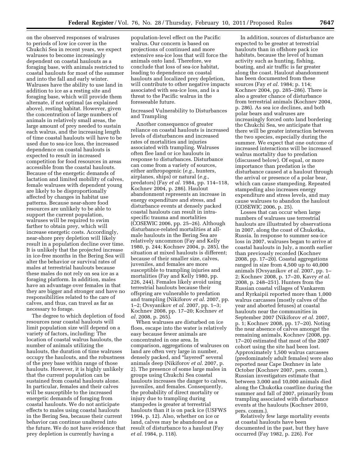on the observed responses of walruses to periods of low ice cover in the Chukchi Sea in recent years, we expect walruses to become increasingly dependent on coastal haulouts as a foraging base, with animals restricted to coastal haulouts for most of the summer and into the fall and early winter. Walruses have the ability to use land in addition to ice as a resting site and foraging base, which will provide them alternate, if not optimal (as explained above), resting habitat. However, given the concentration of large numbers of animals in relatively small areas, the large amount of prey needed to sustain each walrus, and the increasing length of time coastal haulouts will have to be used due to sea-ice loss, the increased dependence on coastal haulouts is expected to result in increased competition for food resources in areas accessible from the coastal haulouts. Because of the energetic demands of lactation and limited mobility of calves, female walruses with dependent young are likely to be disproportionally affected by changes in habitat use patterns. Because near-shore food resources are unlikely to be able to support the current population, walruses will be required to swim farther to obtain prey, which will increase energetic costs. Accordingly, near-shore prey depletion will likely result in a population decline over time. It is unlikely that the projected increase in ice-free months in the Bering Sea will alter the behavior or survival rates of males at terrestrial haulouts because these males do not rely on sea ice as a foraging platform. In addition, males have an advantage over females in that they are bigger and stronger and have no responsibilities related to the care of calves, and thus, can travel as far as necessary to forage.

The degree to which depletion of food resources near coastal haulouts will limit population size will depend on a variety of factors, including: The location of coastal walrus haulouts, the number of animals utilizing the haulouts, the duration of time walruses occupy the haulouts, and the robustness of the prey base within range of those haulouts. However, it is highly unlikely that the current population can be sustained from coastal haulouts alone. In particular, females and their calves will be susceptible to the increased energetic demands of foraging from coastal haulouts. We do not anticipate effects to males using coastal haulouts in the Bering Sea, because their current behavior can continue unaltered into the future. We do not have evidence that prey depletion is currently having a

population-level effect on the Pacific walrus. Our concern is based on projections of continued and more extensive sea-ice loss that will force the animals onto land. Therefore, we conclude that loss of sea-ice habitat, leading to dependence on coastal haulouts and localized prey depletion, will contribute to other negative impacts associated with sea-ice loss, and is a threat to the Pacific walrus in the foreseeable future.

Increased Vulnerability to Disturbances and Trampling

Another consequence of greater reliance on coastal haulouts is increased levels of disturbances and increased rates of mortalities and injuries associated with trampling. Walruses often flee land or ice haulouts in response to disturbances. Disturbance can come from a variety of sources, either anthropogenic (*e.g.,* hunters, airplanes, ships) or natural (*e.g.,*  predators) (Fay *et al.* 1984, pp. 114–118, Kochnev 2004, p. 286). Haulout abandonment represents an increase in energy expenditure and stress, and disturbance events at densely packed coastal haulouts can result in intraspecific trauma and mortalities (COSEWIC 2006, pp. 25–26). Although disturbance-related mortalities at allmale haulouts in the Bering Sea are relatively uncommon (Fay and Kelly 1980, p. 244; Kochnev 2004, p. 285), the situation at mixed haulouts is different; because of their smaller size, calves, juveniles, and females are more susceptible to trampling injuries and mortalities (Fay and Kelly 1980, pp. 226, 244). Females likely avoid using terrestrial haulouts because their offspring are vulnerable to predation and trampling (Nikiforov *et al.* 2007, pp. 1–2; Ovsyanikov *et al.* 2007, pp. 1–3; Kochnev 2008, pp. 17–20; Kochnev *et al.* 2008, p. 265).

When walruses are disturbed on ice floes, escape into the water is relatively easy because fewer animals are concentrated in one area. In comparison, aggregations of walruses on land are often very large in number, densely packed, and "layered" several animals deep (Nikiforov *et al.* 2007, p. 2). The presence of some large males in groups using Chukchi Sea coastal haulouts increases the danger to calves, juveniles, and females. Consequently, the probability of direct mortality or injury due to trampling during stampedes is greater at terrestrial haulouts than it is on pack ice (USFWS 1994, p. 12). Also, whether on ice or land, calves may be abandoned as a result of disturbance to a haulout (Fay *et al.* 1984, p. 118).

In addition, sources of disturbance are expected to be greater at terrestrial haulouts than in offshore pack ice habitats, because the level of human activity such as hunting, fishing, boating, and air traffic is far greater along the coast. Haulout abandonment has been documented from these sources (Fay *et al.* 1984; p. 114; Kochnev 2004, pp. 285–286). There is also a greater chance of disturbance from terrestrial animals (Kochnev 2004, p. 286). As sea ice declines, and both polar bears and walruses are increasingly forced onto land bordering the Chukchi Sea, we anticipate that there will be greater interaction between the two species, especially during the summer. We expect that one outcome of increased interactions will be increased walrus mortality due to predation (discussed below). Of equal, or more importance than predation is the disturbance caused at a haulout through the arrival or presence of a polar bear, which can cause stampeding. Repeated stampeding also increases energy expenditure and stress levels, and may cause walruses to abandon the haulout (COSEWIC 2006, p. 25).

Losses that can occur when large numbers of walruses use terrestrial haulouts are illustrated by observations in 2007, along the coast of Chukotka, Russia. In response to summer sea-ice loss in 2007, walruses began to arrive at coastal haulouts in July, a month earlier than previously recorded (Kochnev 2008, pp. 17–20). Coastal aggregations ranged in size from 4,500 up to 40,000 animals (Ovsyanikov *et al.* 2007, pp. 1– 2; Kochnev 2008, p. 17–20, Kavry *et al.*  2008, p. 248–251). Hunters from the Russian coastal villages of Vankarem and Ryrkaipii reported more than 1,000 walrus carcasses (mostly calves of the year and aborted fetuses) at coastal haulouts near the communities in September 2007 (Nikiforov *et al.* 2007, p. 1; Kochnev 2008, pp. 17–20). Noting the near absence of calves amongst the remaining animals, Kochnev (2008, pp. 17–20) estimated that most of the 2007 cohort using the site had been lost. Approximately 1,500 walrus carcasses (predominately adult females) were also reported near Cape Dezhnev in late October (Kochnev 2007, pers. comm.). Russian investigators estimate that between 3,000 and 10,000 animals died along the Chukotka coastline during the summer and fall of 2007, primarily from trampling associated with disturbance events at the haulouts (Kochnev 2010, pers. comm.).

Relatively few large mortality events at coastal haulouts have been documented in the past, but they have occurred (Fay 1982, p. 226). For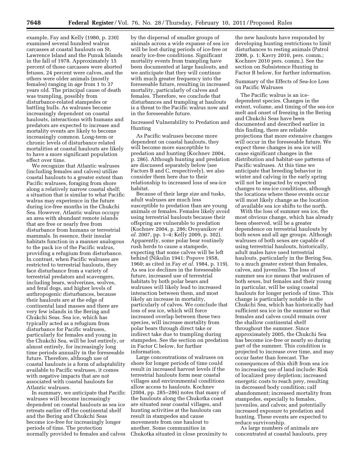example, Fay and Kelly (1980, p. 230) examined several hundred walrus carcasses at coastal haulouts on St. Lawrence Island and the Punuk Islands in the fall of 1978. Approximately 15 percent of those carcasses were aborted fetuses, 24 percent were calves, and the others were older animals (mostly females) ranging in age from 1 to 37 years old. The principal cause of death was trampling, possibly from disturbance-related stampedes or battling bulls. As walruses become increasingly dependent on coastal haulouts, interactions with humans and predators are expected to increase and mortality events are likely to become increasingly common. Long-term or chronic levels of disturbance related mortalities at coastal haulouts are likely to have a more significant population effect over time.

We recognize that Atlantic walruses (including females and calves) utilize coastal haulouts to a greater extent than Pacific walruses, foraging from shore along a relatively narrow coastal shelf; a situation that is similar to what Pacific walrus may experience in the future during ice-free months in the Chukchi Sea. However, Atlantic walrus occupy an area with abundant remote islands that are free or nearly free from disturbance from humans or terrestrial mammals. In essence, their insular habitats function in a manner analogous to the pack ice of the Pacific walrus, providing a refugium from disturbance. In contrast, when Pacific walruses are restricted to terrestrial haulouts, they face disturbance from a variety of terrestrial predators and scavengers, including bears, wolverines, wolves, and feral dogs, and higher levels of anthropogenic disturbances, because their haulouts are at the edge of continental land masses and there are very few islands in the Bering and Chukchi Seas. Sea ice, which has typically acted as a refugium from disturbance for Pacific walruses, particularly for females and young in the Chukchi Sea, will be lost entirely, or almost entirely, for increasingly long time periods annually in the foreseeable future. Therefore, although use of coastal haulouts is a form of adaptability available to Pacific walruses, it comes with negative impacts that are not associated with coastal haulouts for Atlantic walruses.

In summary, we anticipate that Pacific walruses will become increasingly dependent on coastal haulouts as sea ice retreats earlier off the continental shelf and the Bering and Chukchi Seas become ice-free for increasingly longer periods of time. The protection normally provided to females and calves

by the dispersal of smaller groups of animals across a wide expanse of sea ice will be lost during periods of ice-free or nearly ice-free conditions. Significant mortality events from trampling have been documented at large haulouts, and we anticipate that they will continue with much greater frequency into the foreseeable future, resulting in increased mortality, particularly of calves and females. Therefore, we conclude that disturbances and trampling at haulouts is a threat to the Pacific walrus now and in the foreseeable future.

Increased Vulnerability to Predation and Hunting

As Pacific walruses become more dependent on coastal haulouts, they will become more susceptible to predation and hunting (Kochnev 2004, p. 286). Although hunting and predation are discussed separately below (see Factors B and C, respectively), we also consider them here due to their relationship to increased loss of sea-ice habitat.

Because of their large size and tusks, adult walruses are much less susceptible to predation than are young animals or females. Females likely avoid using terrestrial haulouts because their offspring are vulnerable to predation (Kochnev 2004, p. 286; Ovsyanikov *et al.* 2007, pp. 1–4; Kelly 2009, p. 302). Apparently, some polar bear routinely rush herds to cause a stampede, expecting that some calves will be left behind (Nikulin 1941; Popove 1958, 1960; as cited in Fay *et al.* 1984, p. 119). As sea ice declines in the foreseeable future, increased use of terrestrial habitats by both polar bears and walruses will likely lead to increased interaction between them, and most likely an increase in mortality, particularly of calves. We conclude that loss of sea ice, which will force increased overlap between these two species, will increase mortality from polar bears through direct take or indirect take due to trampling during stampedes. See the section on predation in Factor C below, for further information.

Large concentrations of walruses on shore for longer periods of time could result in increased harvest levels if the terrestrial haulouts form near coastal villages and environmental conditions allow access to haulouts. Kochnev (2004, pp. 285–286) notes that many of the haulouts along the Chukotka coast are situated near coastal villages, and hunting activities at the haulouts can result in stampedes and cause movements from one haulout to another. Some communities in Chukotka situated in close proximity to

the new haulouts have responded by developing hunting restrictions to limit disturbances to resting animals (Patrol 2008, p. 1; Kavry 2010, pers. comm.; Kochnev 2010 pers. comm.). See the section on Subsistence Hunting in Factor B below, for further information.

# Summary of the Effects of Sea-Ice Loss on Pacific Walruses

The Pacific walrus is an icedependent species. Changes in the extent, volume, and timing of the sea-ice melt and onset of freezing in the Bering and Chukchi Seas have been documented and described earlier in this finding, there are reliable projections that more extensive changes will occur in the foreseeable future. We expect these changes in sea ice will cause significant changes in the distribution and habitat-use patterns of Pacific walruses. At this time we anticipate that breeding behavior in winter and calving in the early spring will not be impacted by expected changes to sea-ice conditions, although the locations where these events occur will most likely change as the location of available sea ice shifts to the north.

With the loss of summer sea ice, the most obvious change, which has already been observed, will be a greater dependence on terrestrial haulouts by both sexes and all age groups. Although walruses of both sexes are capable of using terrestrial haulouts, historically, adult males have used terrestrial haulouts, particularly in the Bering Sea, to a much greater extent than females, calves, and juveniles. The loss of summer sea ice means that walruses of both sexes, but females and their young in particular, will be using coastal haulouts for longer periods of time. This change is particularly notable in the Chukchi Sea, which has historically had sufficient sea ice in the summer so that females and calves could remain over the shallow continental shelf throughout the summer. Since approximately 2005, the Chukchi Sea has become ice-free or nearly so during part of the summer. This condition is projected to increase over time, and may occur faster than forecast. The consequences of this shift from sea ice to increasing use of land include: Risk of localized prey depletion; increased energetic costs to reach prey, resulting in decreased body condition; calf abandonment; increased mortality from stampedes, especially to females, juveniles, and calves; and potentially increased exposure to predation and hunting. These events are expected to reduce survivorship.

As large numbers of animals are concentrated at coastal haulouts, prey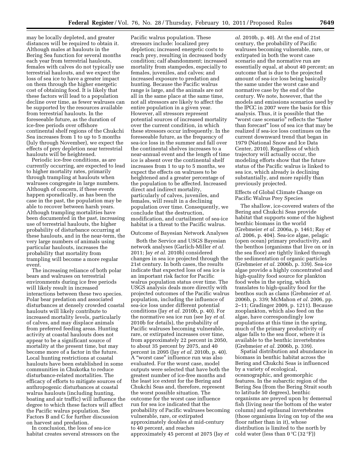may be locally depleted, and greater distances will be required to obtain it. Although males at haulouts in the Bering Sea function for several months each year from terrestrial haulouts, females with calves do not typically use terrestrial haulouts, and we expect the loss of sea ice to have a greater impact on them through the higher energetic cost of obtaining food. It is likely that these factors will lead to a population decline over time, as fewer walruses can be supported by the resources available from terrestrial haulouts. In the foreseeable future, as the duration of ice-free periods over offshore continental shelf regions of the Chukchi Sea increases from 1 to up to 5 months (July through November), we expect the effects of prey depletion near terrestrial haulouts will be heightened.

Periodic ice-free conditions, as are currently occurring, are expected to lead to higher mortality rates, primarily through trampling at haulouts when walruses congregate in large numbers. Although of concern, if these events happen sporadically, as has been the case in the past, the population may be able to recover between harsh years. Although trampling mortalities have been documented in the past, increasing use of terrestrial haulouts, the higher probability of disturbance occurring at these haulouts, and in the near-term, the very large numbers of animals using particular haulouts, increases the probability that mortality from trampling will become a more regular event.

The increasing reliance of both polar bears and walruses on terrestrial environments during ice free periods will likely result in increased interactions between these two species. Polar bear predation and associated disturbances at densely crowded coastal haulouts will likely contribute to increased mortality levels, particularly of calves, and may displace animals from preferred feeding areas. Hunting activity at coastal haulouts does not appear to be a significant source of mortality at the present time, but may become more of a factor in the future. Local hunting restrictions at coastal haulouts have been established in some communities in Chukotka to reduce disturbance-related mortalities. The efficacy of efforts to mitigate sources of anthropogenic disturbances at coastal walrus haulouts (including hunting, boating and air traffic) will influence the degree to which these factors will affect the Pacific walrus population. See Factors B and C for further discussion on harvest and predation.

In conclusion, the loss of sea-ice habitat creates several stressors on the

Pacific walrus population. These stressors include: localized prey depletion; increased energetic costs to reach prey, resulting in decreased body condition; calf abandonment; increased mortality from stampedes, especially to females, juveniles, and calves; and increased exposure to predation and hunting. Because the Pacific walrus range is large, and the animals are not all in the same place at the same time, not all stressors are likely to affect the entire population in a given year. However, all stressors represent potential sources of increased mortality over the current condition, in which these stressors occur infrequently. In the foreseeable future, as the frequency of sea-ice loss in the summer and fall over the continental shelves increases to a near-annual event and the length of time ice is absent over the continental shelf increases from 1 to up to 5 months, we expect the effects on walruses to be heightened and a greater percentage of the population to be affected. Increased direct and indirect mortality, particularly of calves, juveniles, and females, will result in a declining population over time. Consequently, we conclude that the destruction, modification, and curtailment of sea-ice habitat is a threat to the Pacific walrus.

# Outcome of Bayesian Network Analyses

Both the Service and USGS Bayesian network analyses (Garlich-Miller *et al.*  2011; Jay *et al.* 2010b) considered changes in sea ice projected through the 21st century. In both cases, the results indicate that expected loss of sea ice is an important risk factor for Pacific walrus population status over time. The USGS analysis deals more directly with projected outcomes of the Pacific walrus population, including the influence of sea-ice loss under different potential conditions (Jay *et al.* 2010b, p. 40). For the normative sea ice run (see Jay *et al.*  2010b for details), the probability of Pacific walruses becoming vulnerable, rare, or extirpated increases over time, from approximately 22 percent in 2050, to about 35 percent by 2075, and 40 percent in 2095 (Jay *et al.* 2010b, p. 40). A ''worst case'' influence run was also evaluated. For the worst case, model outputs were selected that have both the greatest number of ice-free months and the least ice extent for the Bering and Chukchi Seas and, therefore, represent the worst possible situation. The outcome for the worst case influence run for sea ice indicated that the probability of Pacific walruses becoming vulnerable, rare, or extirpated approximately doubles at mid-century to 40 percent, and reaches approximately 45 percent at 2075 (Jay *et* 

*al.* 2010b, p. 40). At the end of 21st century, the probability of Pacific walruses becoming vulnerable, rare, or extirpated in both the worst case scenario and the normative run are essentially equal, at about 40 percent; an outcome that is due to the projected amount of sea-ice loss being basically the same under the worst case and normative case by the end of the century. We note, however, that the models and emissions scenarios used by the IPCC in 2007 were the basis for this analysis. Thus, it is possible that the ''worst case scenario'' reflects the ''faster than forecast'' loss of sea ice that may be realized if sea-ice loss continues on the current downward trend that began in 1979 (National Snow and Ice Data Center, 2010). Regardless of which trajectory will actually occur, the modeling efforts show that the future status of the Pacific walrus is linked to sea ice, which already is declining substantially, and more rapidly than previously projected.

Effects of Global Climate Change on Pacific Walrus Prey Species

The shallow, ice-covered waters of the Bering and Chukchi Seas provide habitat that supports some of the highest benthic biomass in the world (Grebmeier *et al.* 2006a, p. 1461; Ray *et al.* 2006, p. 404). Sea-ice algae, pelagic (open ocean) primary productivity, and the benthos (organisms that live on or in the sea floor) are tightly linked through the sedimentation of organic particles (Grebmeier *et al.* 2006b, p. 339). Sea-ice algae provide a highly concentrated and high-quality food source for plankton food webs in the spring, which translates to high-quality food for the benthos such as clams (Grebmeier *et al.*  2006b, p. 339; McMahon *et al.* 2006, pp. 2–11; Gradinger 2009, p. 1211). Because zooplankton, which also feed on the algae, have correspondingly low populations at this time in the spring, much of the primary productivity of algae falls to the sea floor, where it is available to the benthic invertebrates (Grebmeier *et al.* 2006b, p. 339).

Spatial distribution and abundance in biomass in benthic habitat across the Bering and Chukchi Seas is influenced by a variety of ecological, oceanographic, and geomorphic features. In the subarctic region of the Bering Sea (from the Bering Strait south to latitude 50 degrees), benthic organisms are preyed upon by demersal fish (living near the bottom of the water column) and epifaunal invertebrates (those organisms living on top of the sea floor rather than in it), whose distribution is limited to the north by cold water (less than  $0^{\circ}C$  (32 $^{\circ}F$ ))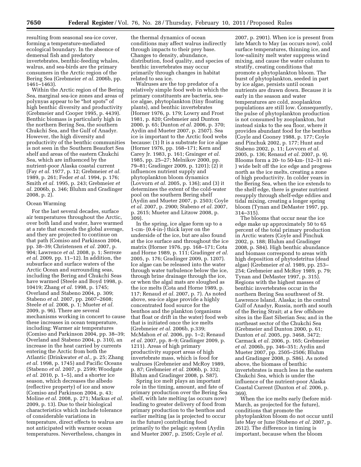resulting from seasonal sea-ice cover, forming a temperature-mediated ecological boundary. In the absence of demersal fish and predatory invertebrates, benthic-feeding whales, walrus, and sea-birds are the primary consumers in the Arctic region of the Bering Sea (Grebmeier *et al.* 2006b, pp. 1461–1463).

Within the Arctic region of the Bering Sea, marginal sea-ice zones and areas of polynyas appear to be ''hot spots'' of high benthic diversity and productivity (Grebmeier and Cooper 1995, p. 4439). Benthic biomass is particularly high in the northern Bering Sea, the southern Chukchi Sea, and the Gulf of Anadyr. However, the high diversity and productivity of the benthic communities is not seen in the Southern Beaufort Sea shelf and areas of the eastern Chukchi Sea, which are influenced by the nutrient-poor Alaska coastal current (Fay *et al.* 1977, p. 12; Grebmeier *et al.*  1989, p. 261; Feder *et al.* 1994, p. 176; Smith *et al.* 1995, p. 243; Grebmeier *et al.* 2006b, p. 346; Bluhm and Gradinger 2008, p. 2).

#### Ocean Warming

For the last several decades, surface air temperatures throughout the Arctic, over both land and water, have warmed at a rate that exceeds the global average, and they are projected to continue on that path (Comiso and Parkinson 2004, pp. 38–39; Christensen *et al.* 2007, p. 904; Lawrence *et al.* 2008, p. 1; Serreze *et al.* 2009, pp. 11–12). In addition, the subsurface and surface waters of the Arctic Ocean and surrounding seas, including the Bering and Chukchi Seas have warmed (Steele and Boyd 1998, p. 10419; Zhang *et al.* 1998, p. 1745; Overland and Stabeno 2004, p. 309; Stabeno *et al.* 2007, pp. 2607–2608; Steele *et al.* 2008, p. 1; Mueter *et al.*  2009, p. 96). There are several mechanisms working in concert to cause these increases in ocean temperature, including: Warmer air temperatures (Comiso and Parkinson 2004, pp. 38–39; Overland and Stabeno 2004, p. 310), an increase in the heat carried by currents entering the Arctic from both the Atlantic (Drinkwater *et al.,* p. 25; Zhang *et al.* 1998, p. 1745) and Pacific Oceans (Stabeno *et al.* 2007, p. 2599; Woodgate *et al.* 2010, p. 1–5), and a shorter ice season, which decreases the albedo (reflective property) of ice and snow (Comiso and Parkinson 2004, p. 43; Moline *et al.* 2008, p. 271; Markus *et al.*  2009, p. 13). Due to their biological characteristics which include tolerance of considerable variations in temperature, direct effects to walrus are not anticipated with warmer ocean temperatures. Nevertheless, changes in

the thermal dynamics of ocean conditions may affect walrus indirectly through impacts to their prey base. Changes to density, abundance, distribution, food quality, and species of benthic invertebrates may occur primarily through changes in habitat related to sea ice.

Walruses are the top predator of a relatively simple food web in which the primary constituents are bacteria, seaice algae, phytoplankton (tiny floating plants), and benthic invertebrates (Horner 1976, p. 179; Lowry and Frost 1981, p. 820; Grebmeier and Dunton 2000, p. 65; Dunton *et al.* 2006, p. 370; Aydin and Mueter 2007, p. 2507). Sea ice is important to the Arctic food webs because: (1) It is a substrate for ice algae (Horner 1976, pp. 168–171; Kern and Carey Jr. 1983, p. 161; Grainger *et al.*  1985, pp. 25–27; Melnikov 2000, pp. 79–81; Gradinger 2009, p. 1201); (2) it influences nutrient supply and phytoplankton bloom dynamics (Lovvorn *et al.* 2005, p. 136); and (3) it determines the extent of the cold-water pool on the southern Bering shelf (Aydin and Mueter 2007, p. 2503; Coyle *et al.* 2007, p. 2900; Stabeno *et al.* 2007, p. 2615; Mueter and Litzow 2008, p. 309).

In the spring, ice algae form up to a 1-cm- (0.4-in-) thick layer on the underside of the ice, but are also found at the ice surface and throughout the ice matrix (Horner 1976, pp. 168–171; Cota and Horne 1989, p. 111; Gradinger *et al.*  2005, p. 176; Gradinger 2009, p. 1207). Ice algae can be released into the water through water turbulence below the ice, through brine drainage through the ice, or when the algal mats are sloughed as the ice melts (Cota and Horne 1989, p. 117; Renaud *et al.* 2007, p. 7). As noted above, sea-ice algae provide a highly concentrated food source for the benthos and the plankton (organisms that float or drift in the water) food web that is initiated once the ice melts (Grebmeier *et al.* 2006b, p.339; McMahon *et al.* 2006, pp. 1–2; Renaud *et al.* 2007, pp. 8–9; Gradinger 2009, p. 1211). Areas of high primary productivity support areas of high invertebrate mass, which is food for walruses (Grebmeier and McRoy 1989, p. 87; Grebmeier *et al.* 2006b, p. 332; Bluhm and Gradinger 2008, p. S87).

Spring ice melt plays an important role in the timing, amount, and fate of primary production over the Bering Sea shelf, with late melting (as occurs now) leading to greater delivery of food from primary production to the benthos and earlier melting (as is projected to occur in the future) contributing food primarily to the pelagic system (Aydin and Mueter 2007, p. 2505; Coyle *et al.* 

2007, p. 2901). When ice is present from late March to May (as occurs now), cold surface temperatures, thinning ice, and low-salinity melt water suppress wind mixing, and cause the water column to stratify, creating conditions that promote a phytoplankton bloom. The burst of phytoplankton, seeded in part by ice algae, persists until ocean nutrients are drawn down. Because it is early in the season and water temperatures are cold, zooplankton populations are still low. Consequently, the pulse of phytoplankton production is not consumed by zooplankton, but instead sinks to the sea floor, where it provides abundant food for the benthos (Coyle and Cooney 1988, p. 177; Coyle and Pinchuk 2002, p. 177; Hunt and Stabeno 2002, p. 11; Lovvorn *et al.*  2005, p. 136; Renaud *et al.* 2007, p. 9). Blooms form a 20- to 50-km- (12–31 mi- ) wide belt off the ice edge and progress north as the ice melts, creating a zone of high productivity. In colder years in the Bering Sea, when the ice extends to the shelf edge, there is greater nutrient resupply through shelf-edge eddies and tidal mixing, creating a longer spring bloom (Tynan and DeMaster 1997, pp. 314–315).

The blooms that occur near the ice edge make up approximately 50 to 65 percent of the total primary production in Arctic waters (Coyle and Pinchuk 2002, p. 188; Bluhm and Gradinger 2008, p. S84). High benthic abundance and biomass correspond to areas with high deposition of phytodetritus (dead algae) (Grebmeier *et al.* 1989, pp. 253– 254; Grebmeier and McRoy 1989, p. 79; Tynan and DeMaster 1997, p. 315). Regions with the highest masses of benthic invertebrates occur in the northern Bering Sea southwest of St. Lawrence Island, Alaska; in the central Gulf of Anadyr, Russia, north and south of the Bering Strait; at a few offshore sites in the East Siberian Sea; and in the northeast sector of the Chukchi Sea (Grebmeier and Dunton 2000, p. 61; Dunton *et al.* 2005, pp. 3468, 3472; Carmack *et al.* 2006, p. 165; Grebmeier *et al.* 2006b, pp. 346–351; Aydin and Mueter 2007, pp. 2505–2506; Bluhm and Gradinger 2008, p. S86). As noted above, the biomass of benthic invertebrates is much less in the eastern Chukchi Sea, which is under the influence of the nutrient-poor Alaska Coastal Current (Dunton *et al.* 2006, p. 369).

When the ice melts early (before mid-March, as projected for the future), conditions that promote the phytoplankton bloom do not occur until late May or June (Stabeno *et al.* 2007, p. 2612). The difference in timing is important, because when the bloom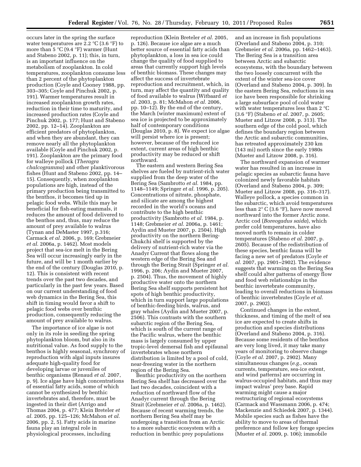occurs later in the spring the surface water temperatures are 2.2  $\mathrm{C}$  (3.6  $\mathrm{F}$ ) to more than 5  $\mathrm{C}$  (9.4  $\mathrm{F}$ ) warmer (Hunt and Stabeno 2002, p. 11); this, in turn, is an important influence on the metabolism of zooplankton. In cold temperatures, zooplankton consume less than 2 percent of the phytoplankton production (Coyle and Cooney 1988, pp. 303–305; Coyle and Pinchuk 2002, p. 191). Warmer temperatures result in increased zooplankton growth rates, reduction in their time to maturity, and increased production rates (Coyle and Pinchuk 2002, p. 177; Hunt and Stabeno 2002, pp. 12–14). Zooplankton are efficient predators of phytoplankton, and when they are abundant, they can remove nearly all the phytoplankton available (Coyle and Pinchuk 2002, p. 191). Zooplankton are the primary food for walleye pollock (*Theragra chalcogramma*) and other planktivorous fishes (Hunt and Stabeno 2002, pp. 14– 15). Consequently, when zooplankton populations are high, instead of the primary production being transmitted to the benthos, it becomes tied up in pelagic food webs. While this may be beneficial for fish-eating mammals, it reduces the amount of food delivered to the benthos and, thus, may reduce the amount of prey available to walrus (Tynan and DeMaster 1997, p.316; Carmack *et al.* 2006, p. 169; Grebmeier *et al.* 2006a, p. 1462). Most models project that sea-ice melt in the Bering Sea will occur increasingly early in the future, and will be 1 month earlier by the end of the century (Douglas 2010, p. 12). This is consistent with recent trends over the past two decades, and particularly in the past few years. Based on our current understanding of food web dynamics in the Bering Sea, this shift in timing would favor a shift to pelagic food webs over benthic production, consequently reducing the amount of prey available to walrus.

The importance of ice algae is not only in its role in seeding the spring phytoplankton bloom, but also in its nutritional value. As food supply to the benthos is highly seasonal, synchrony of reproduction with algal inputs insures adequate high-quality food for developing larvae or juveniles of benthic organisms (Renaud *et al.* 2007, p. 9). Ice algae have high concentrations of essential fatty acids, some of which cannot be synthesized by benthic invertebrates and, therefore, must be ingested in their diet (Arrigo and Thomas 2004, p. 477; Klein Breteler *et al.* 2005, pp. 125–126; McMahon *et al.*  2006, pp. 2, 5). Fatty acids in marine fauna play an integral role in physiological processes, including

reproduction (Klein Breteler *et al.* 2005, p. 126). Because ice algae are a much better source of essential fatty acids than phytoplankton, a loss in sea ice could change the quality of food supplied to areas that currently support high levels of benthic biomass. These changes may affect the success of invertebrate reproduction and recruitment, which, in turn, may affect the quantity and quality of food available to walrus (Witbaard *et al.* 2003, p. 81; McMahon *et al.* 2006, pp. 10–12). By the end of the century, the March (winter maximum) extent of sea ice is projected to be approximately half of contemporary conditions (Douglas 2010, p. 8). We expect ice algae will persist where ice is present; however, because of the reduced ice extent, current areas of high benthic productivity may be reduced or shift northward.

The eastern and western Bering Sea shelves are fueled by nutrient-rich water supplied from the deep water of the Bering Sea (Sambrotto *et al.* 1984, pp. 1148–1149; Springer *et al.* 1996, p. 205). Concentrations of nitrate, phosphate, and silicate are among the highest recorded in the world's oceans and contribute to the high benthic productivity (Sambrotto *et al.* 1984, p. 1148; Grebmeier *et al.* 2006a, p. 1461; Aydin and Mueter 2007, p. 2504). High productivity on the northern Bering-Chukchi shelf is supported by the delivery of nutrient-rich water via the Anadyr Current that flows along the western edge of the Bering Sea and through the Bering Strait (Springer *et al.*  1996, p. 206; Aydin and Mueter 2007, p. 2504). Thus, the movement of highly productive water onto the northern Bering Sea shelf supports persistent hot spots of high benthic productivity, which in turn support large populations of benthic-feeding birds, walrus, and gray whales (Aydin and Mueter 2007, p. 2506). This contrasts with the southern subarctic region of the Bering Sea, which is south of the current range of the Pacific walrus, where the benthic mass is largely consumed by upper tropic-level demersal fish and epifaunal invertebrates whose northern distribution is limited by a pool of cold, near-freezing water in the northern region of the Bering Sea.

Benthic productivity on the northern Bering Sea shelf has decreased over the last two decades, coincident with a reduction of northward flow of the Anadyr current through the Bering Strait (Grebmeier *et al.* 2006a, p. 1462). Because of recent warming trends, the northern Bering Sea shelf may be undergoing a transition from an Arctic to a more subarctic ecosystem with a reduction in benthic prey populations

and an increase in fish populations (Overland and Stabeno 2004, p. 310; Grebmeier *et al.* 2006a, pp. 1462–1463). The Bering Sea is a transition area between Arctic and subarctic ecosystems, with the boundary between the two loosely concurrent with the extent of the winter sea-ice cover (Overland and Stabeno 2004, p. 309). In the eastern Bering Sea, reductions in sea ice have been responsible for shrinking a large subsurface pool of cold water with water temperatures less than 2 °C (3.6 °F) (Stabeno *et al.* 2007, p. 2605; Mueter and Litzow 2008, p. 313). The southern edge of the cold pool, which defines the boundary region between the Arctic and subarctic communities, has retreated approximately 230 km (143 mi) north since the early 1980s (Mueter and Litzow 2008, p. 316).

The northward expansion of warmer water has resulted in an increase in pelagic species as subarctic fauna have colonized newly favorable habitats (Overland and Stabeno 2004, p. 309; Mueter and Litzow 2008, pp. 316–317). Walleye pollock, a species common in the subarctic, which avoid temperatures less than 2° C (3.6 °F), have now moved northward into the former Arctic zone. Arctic cod (*Boreogadus saida*), which prefer cold temperatures, have also moved north to remain in colder temperatures (Stabeno *et al.* 2007, p. 2605). Because of the redistribution of these species, benthic fauna will be facing a new set of predators (Coyle *et al.* 2007, pp. 2901–2902). The evidence suggests that warming on the Bering Sea shelf could alter patterns of energy flow and food web relationships in the benthic invertebrate community, leading to overall reductions in biomass of benthic invertebrates (Coyle *et al.*  2007, p. 2902).

Continued changes in the extent, thickness, and timing of the melt of sea ice are expected to create shifts in production and species distributions (Overland and Stabeno 2004, p. 316). Because some residents of the benthos are very long lived, it may take many years of monitoring to observe change (Coyle *et al.* 2007, p. 2902). Many simultaneous changes (*e.g.,* ocean currents, temperature, sea-ice extent, and wind patterns) are occurring in walrus-occupied habitats, and thus may impact walrus' prey base. Rapid warming might cause a major restructuring of regional ecosystems (Carmack and Wassmann 2006, p. 474; Mackenzie and Schiedek 2007, p. 1344). Mobile species such as fishes have the ability to move to areas of thermal preference and follow key forage species (Mueter *et al.* 2009, p. 106); immobile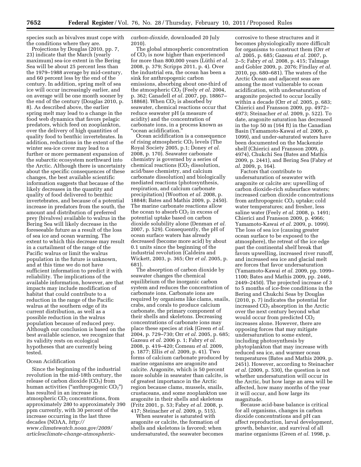species such as bivalves must cope with the conditions where they are.

Projections by Douglas (2010, pp. 7, 23) indicate that the March (yearly maximum) sea-ice extent in the Bering Sea will be about 25 percent less than the 1979–1988 average by mid-century, and 60 percent less by the end of the century. In addition, spring melt of sea ice will occur increasingly earlier, and on average will be one month sooner by the end of the century (Douglas 2010, p. 8). As described above, the earlier spring melt may lead to a change in the food web dynamics that favors pelagic predators, which feed on zooplankton, over the delivery of high quantities of quality food to benthic invertebrates. In addition, reductions in the extent of the winter sea-ice cover may lead to a further or more permanent expansion of the subarctic ecosystem northward into the Arctic. Although there is uncertainty about the specific consequences of these changes, the best available scientific information suggests that because of the likely decreases in the quantity and quality of food delivered to benthic invertebrates, and because of a potential increase in predators from the south, the amount and distribution of preferred prey (bivalves) available to walrus in the Bering Sea will likely decrease in the foreseeable future as a result of the loss of sea ice and ocean warming. The extent to which this decrease may result in a curtailment of the range of the Pacific walrus or limit the walrus population in the future is unknown, and at this time we do not have sufficient information to predict it with reliability. The implications of the available information, however, are that impacts may include modification of habitat that could contribute to a reduction in the range of the Pacific walrus at the southern edge of its current distribution, as well as a possible reduction in the walrus population because of reduced prey. Although our conclusion is based on the best available science, we recognize that its validity rests on ecological hypotheses that are currently being tested.

#### Ocean Acidification

Since the beginning of the industrial revolution in the mid-18th century, the release of carbon dioxide  $(CO<sub>2</sub>)$  from human activities ("anthropogenic  $CO<sub>2</sub>$ ") has resulted in an increase in atmospheric CO<sub>2</sub> concentrations, from approximately 280 to approximately 390 ppm currently, with 30 percent of the increase occurring in the last three decades (NOAA, *[http://](http://www.climatewatch.noaa.gov/2009/articlesclimate-change-atmospheric-carbon-dioxide)  [www.climatewatch.noaa.gov/2009/](http://www.climatewatch.noaa.gov/2009/articlesclimate-change-atmospheric-carbon-dioxide) [articlesclimate-change-atmospheric-](http://www.climatewatch.noaa.gov/2009/articlesclimate-change-atmospheric-carbon-dioxide)* *[carbon-dioxide,](http://www.climatewatch.noaa.gov/2009/articlesclimate-change-atmospheric-carbon-dioxide)* downloaded 20 July 2010).

The global atmospheric concentration of  $CO<sub>2</sub>$  is now higher than experienced for more than 800,000 years (Lüthi *et al.* 2008, p. 379; Scripps 2011, p. 4). Over the industrial era, the ocean has been a sink for anthropogenic carbon emissions, absorbing about one-third of the atmospheric CO<sub>2</sub> (Feely *et al.* 2004, p. 362; Canadell *et al.* 2007, pp. 18867– 18868). When  $CO<sub>2</sub>$  is absorbed by seawater, chemical reactions occur that reduce seawater pH (a measure of acidity) and the concentration of carbonate ions, in a process known as ''ocean acidification.''

Ocean acidification is a consequence of rising atmospheric CO<sub>2</sub> levels (The Royal Society 2005, p.1; Doney *et al.*  2008, p. 170). Seawater carbonate chemistry is governed by a series of  $chemical$  reactions  $(CO<sub>2</sub>$  dissolution, acid/base chemistry, and calcium carbonate dissolution) and biologically mediated reactions (photosynthesis, respiration, and calcium carbonate precipitation) (Wootton *et al.* 2008, p. 18848; Bates and Mathis 2009, p. 2450). The marine carbonate reactions allow the ocean to absorb  $CO<sub>2</sub>$  in excess of potential uptake based on carbon dioxide solubility alone (Denman *et al.*  2007, p. 529). Consequently, the pH of ocean surface waters has already decreased (become more acid) by about 0.1 units since the beginning of the industrial revolution (Caldeira and Wickett, 2003, p. 365; Orr *et al.* 2005, p. 681).

The absorption of carbon dioxide by seawater changes the chemical equilibrium of the inorganic carbon system and reduces the concentration of carbonate ions. Carbonate ions are required by organisms like clams, snails, crabs, and corals to produce calcium carbonate, the primary component of their shells and skeletons. Decreasing concentrations of carbonate ions may place these species at risk (Green *et al.*  2004, p. 729–730; Orr *et al.* 2005, p. 685; Gazeau *et al.* 2006 p. 1; Fabry *et al.*  2008, p. 419–420; Comeau *et al.* 2009, p. 1877; Ellis *et al.* 2009, p. 41). Two forms of calcium carbonate produced by marine organisms are aragonite and calcite. Aragonite, which is 50 percent more soluble in seawater than calcite, is of greatest importance in the Arctic region because clams, mussels, snails, crustaceans, and some zooplankton use aragonite in their shells and skeletons (Fritz 2001, p. 53; Fabry *et al.* 2008, p. 417; Steinacher *et al.* 2009, p. 515).

When seawater is saturated with aragonite or calcite, the formation of shells and skeletons is favored; when undersaturated, the seawater becomes corrosive to these structures and it becomes physiologically more difficult for organisms to construct them (Orr *et al.* 2005, p. 685; Gazeau *et al.* 2007, p. 2–5; Fabry *et al.* 2008, p. 415; Talmage and Gobler 2009, p. 2076; Findlay *et al.*  2010, pp. 680–681). The waters of the Arctic Ocean and adjacent seas are among the most vulnerable to ocean acidification, with undersaturation of aragonite projected to occur locally within a decade (Orr *et al.* 2005, p. 683; Chierici and Fransson 2009, pp. 4972– 4973; Steinacher *et al.* 2009, p. 522). To date, aragonite saturation has decreased in the top 50 m (164 ft) in the Canadian Basin (Yamamoto-Kawai *et al.* 2009, p. 1099), and under-saturated waters have been documented on the Mackenzie shelf (Chierici and Fransson 2009, p. 4974), Chukchi Sea (Bates and Mathis 2009, p. 2441), and Bering Sea (Fabry *et al.* 2009, p. 164).

Factors that contribute to undersaturation of seawater with aragonite or calcite are: upwelling of carbon dioxide-rich subsurface waters; increased carbon dioxide concentrations from anthropogenic  $CO<sub>2</sub>$  uptake; cold water temperatures; and fresher, less saline water (Feely *et al.* 2008, p. 1491; Chierici and Fransson 2009, p. 4966; Yamamoto-Kawai *et al.* 2009, p. 1099). The loss of sea ice (causing greater ocean surface to be exposed to the atmosphere), the retreat of the ice edge past the continental shelf break that favors upwelling, increased river runoff, and increased sea ice and glacial melt are forces that favor undersaturation (Yamamoto-Kawai *et al.* 2009, pp. 1099– 1100; Bates and Mathis 2009, pp. 2446, 2449–2450). The projected increase of 3 to 5 months of ice-free conditions in the Bering and Chukchi Seas by Douglas (2010, p. 7) indicates the potential for increased  $CO<sub>2</sub>$  absorption in the Arctic over the next century beyond what would occur from predicted  $CO<sub>2</sub>$ increases alone. However, there are opposing forces that may mitigate undersaturation to some extent, including photosynthesis by phytoplankton that may increase with reduced sea ice, and warmer ocean temperatures (Bates and Mathis 2009, p. 2451). However, according to Steinacher *et al.* (2009, p. 530), the question is not whether undersaturation will occur in the Arctic, but how large an area will be affected, how many months of the year it will occur, and how large its magnitude.

Because acid-base balance is critical for all organisms, changes in carbon dioxide concentrations and pH can affect reproduction, larval development, growth, behavior, and survival of all marine organisms (Green *et al.* 1998, p.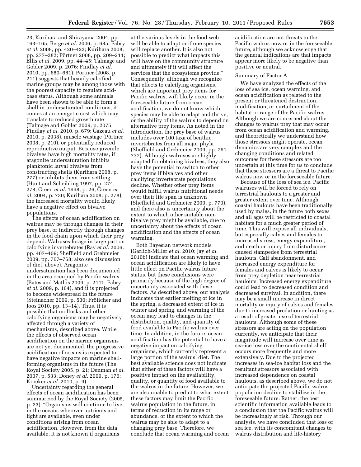23; Kurihara and Shirayama 2004, pp. 163–165; Berge *et al.* 2006, p. 685; Fabry *et al.* 2008, pp. 420–422; Kurihara 2008, pp. 277–282; Pörtner 2008, pp. 209–211; Ellis *et al.* 2009, pp. 44–45; Talmage and Gobler 2009, p. 2076; Findlay *et al.*  2010, pp. 680–681). Pörtner (2008, p. 211) suggests that heavily calcified marine groups may be among those with the poorest capacity to regulate acidbase status. Although some animals have been shown to be able to form a shell in undersaturated conditions, it comes at an energetic cost which may translate to reduced growth rate (Talmage and Gobler 2009, p. 2075; Findlay *et al.* 2010, p. 679; Gazeau *et al.*  2010, p. 2938), muscle wastage (Pörtner 2008, p. 210), or potentially reduced reproductive output. Because juvenile bivalves have high mortality rates, if aragonite undersaturation inhibits planktonic larval bivalves from constructing shells (Kurihara 2008, p. 277) or inhibits them from settling (Hunt and Scheibling 1997, pp. 274, 278; Green *et al.* 1998, p. 26; Green *et al.* 2004, p. 730; Kurihara 2008, p. 278), the increased mortality would likely have a negative effect on bivalve populations.

The effects of ocean acidification on walrus may be through changes in their prey base, or indirectly through changes in the food chain upon which their prey depend. Walruses forage in large part on calcifying invertebrates (Ray *et al.* 2006, pp. 407–409; Sheffield and Grebmeier 2009, pp. 767–768; also see discussion of diet, above). Aragonite undersaturation has been documented in the area occupied by Pacific walrus (Bates and Mathis 2009, p. 2441; Fabry *et al.* 2009, p. 164), and it is projected to become widespread in the future (Steinacher 2009, p. 530; Frölicher and Joos 2010, pp. 13–14). Thus, it is possible that mollusks and other calcifying organisms may be negatively affected through a variety of mechanisms, described above. While the effects of observed ocean acidification on the marine organisms are not yet documented, the progressive acidification of oceans is expected to have negative impacts on marine shellforming organisms in the future (The Royal Society 2005, p. 21; Denman *et al.*  2007, p. 533; Doney *et al.* 2009, p. 176; Kroeker *et al.* 2010, p. 9).

Uncertainty regarding the general effects of ocean acidification has been summarized by the Royal Society (2005, p. 23): ''Organisms will continue to live in the oceans wherever nutrients and light are available, even under conditions arising from ocean acidification. However, from the data available, it is not known if organisms

at the various levels in the food web will be able to adapt or if one species will replace another. It is also not possible to predict what impacts this will have on the community structure and ultimately if it will affect the services that the ecosystems provide.'' Consequently, although we recognize that effects to calcifying organisms, which are important prey items for Pacific walrus, will likely occur in the foreseeable future from ocean acidification, we do not know which species may be able to adapt and thrive, or the ability of the walrus to depend on alternative prey items. As noted in the introduction, the prey base of walrus includes over 100 taxa of benthic invertebrates from all major phyla (Sheffield and Grebmeier 2009, pp. 761– 777). Although walruses are highly adapted for obtaining bivalves, they also have the potential to switch to other prey items if bivalves and other calcifying invertebrate populations decline. Whether other prey items would fulfill walrus nutritional needs over their life span is unknown (Sheffield and Grebmeier 2009, p. 770), and there also is uncertainty about the extent to which other suitable nonbivalve prey might be available, due to uncertainty about the effects of ocean acidification and the effects of ocean warming.

Both Bayesian network models (Garlich-Miller *et al.* 2010; Jay *et al.*  2010b) indicate that ocean warming and ocean acidification are likely to have little effect on Pacific walrus future status, but these conclusions were primarily because of the high degree of uncertainty associated with these factors. As described above, our analysis indicates that earlier melting of ice in the spring, a decreased extent of ice in winter and spring, and warming of the ocean may lead to changes in the distribution, quality, and quantity of food available to Pacific walrus over time. In addition, in the future, ocean acidification has the potential to have a negative impact on calcifying organisms, which currently represent a large portion of the walrus' diet. The best available science does not indicate that either of these factors will have a positive impact on the availability, quality, or quantity of food available to the walrus in the future. However, we are also unable to predict to what extent these factors may limit the Pacific walrus population in the future, in terms of reduction in its range or abundance, or the extent to which the walrus may be able to adapt to a changing prey base. Therefore, we conclude that ocean warming and ocean

acidification are not threats to the Pacific walrus now or in the foreseeable future, although we acknowledge that the general indications are that impacts appear more likely to be negative than positive or neutral.

#### Summary of Factor A

We have analyzed the effects of the loss of sea ice, ocean warming, and ocean acidification as related to the present or threatened destruction, modification, or curtailment of the habitat or range of the Pacific walrus. Although we are concerned about the changes to walrus prey that may occur from ocean acidification and warming, and theoretically we understand how those stressors might operate, ocean dynamics are very complex and the changing conditions and related outcomes for these stressors are too uncertain at this time for us to conclude that these stressors are a threat to Pacific walrus now or in the foreseeable future.

Because of the loss of sea ice, Pacific walruses will be forced to rely on terrestrial haulouts to a greater and greater extent over time. Although coastal haulouts have been traditionally used by males, in the future both sexes and all ages will be restricted to coastal habitats for a much greater period of time. This will expose all individuals, but especially calves and females to increased stress, energy expenditure, and death or injury from disturbancecaused stampedes from terrestrial haulouts. Calf abandonment, and increased energy expenditure for females and calves is likely to occur from prey depletion near terrestrial haulouts. Increased energy expenditure could lead to decreased condition and decreased survival. In addition, there may be a small increase in direct mortality or injury of calves and females due to increased predation or hunting as a result of greater use of terrestrial haulouts. Although some of these stressors are acting on the population currently, we anticipate that their magnitude will increase over time as sea-ice loss over the continental shelf occurs more frequently and more extensively. Due to the projected increases in sea-ice habitat loss and the resultant stressors associated with increased dependence on coastal haulouts, as described above, we do not anticipate the projected Pacific walrus population decline to stabilize in the foreseeable future. Rather, the best scientific information available leads to a conclusion that the Pacific walrus will be increasingly at risk. Through our analysis, we have concluded that loss of sea ice, with its concomitant changes to walrus distribution and life-history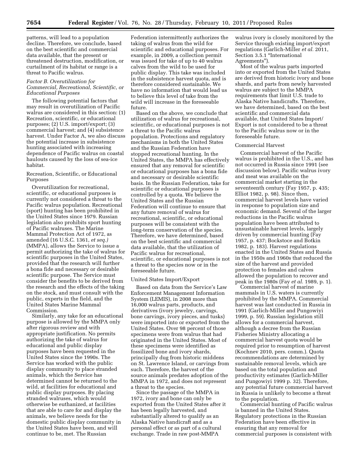patterns, will lead to a population decline. Therefore, we conclude, based on the best scientific and commercial data available, that the present or threatened destruction, modification, or curtailment of its habitat or range is a threat to Pacific walrus.

# *Factor B. Overutilization for Commercial, Recreational, Scientific, or Educational Purposes*

The following potential factors that may result in overutilization of Pacific walrus are considered in this section: (1) Recreation, scientific, or educational purposes; (2) U.S. import/export; (3) commercial harvest; and (4) subsistence harvest. Under Factor A, we also discuss the potential increase in subsistence hunting associated with increasing dependence of Pacific walrus on coastal haulouts caused by the loss of sea-ice habitat.

#### Recreation, Scientific, or Educational Purposes

Overutilization for recreational, scientific, or educational purposes is currently not considered a threat to the Pacific walrus population. Recreational (sport) hunting has been prohibited in the United States since 1979. Russian legislation also prohibits sport hunting of Pacific walruses. The Marine Mammal Protection Act of 1972, as amended (16 U.S.C. 1361, *et seq.)*  (MMPA), allows the Service to issue a permit authorizing the take of walrus for scientific purposes in the United States, provided that the research will further a bona fide and necessary or desirable scientific purpose. The Service must consider the benefits to be derived from the research and the effects of the taking on the stock, and must consult with the public, experts in the field, and the United States Marine Mammal Commission.

Similarly, any take for an educational purpose is allowed by the MMPA only after rigorous review and with appropriate justification. No permits authorizing the take of walrus for educational and public display purposes have been requested in the United States since the 1990s. The Service has worked with the public display community to place stranded animals, which the Service has determined cannot be returned to the wild, at facilities for educational and public display purposes. By placing stranded walruses, which would otherwise be euthanized, at facilities that are able to care for and display the animals, we believe needs for the domestic public display community in the United States have been, and will continue to be, met. The Russian

Federation intermittently authorizes the taking of walrus from the wild for scientific and educational purposes. For example, in 2009, a collection permit was issued for take of up to 40 walrus calves from the wild to be used for public display. This take was included in the subsistence harvest quota, and is therefore considered sustainable. We have no information that would lead us to believe this level of take from the wild will increase in the foreseeable future.

Based on the above, we conclude that utilization of walrus for recreational, scientific, or educational purposes is not a threat to the Pacific walrus population. Protections and regulatory mechanisms in both the United States and the Russian Federation have stopped recreational hunting. In the United States, the MMPA has effectively ensured that any removal for scientific or educational purposes has a bona fide and necessary or desirable scientific basis. In the Russian Federation, take for scientific or educational purposes is controlled by a quota. We believe the United States and the Russian Federation will continue to ensure that any future removal of walrus for recreational, scientific, or educational purposes will be consistent with the long-term conservation of the species. Therefore, we have determined, based on the best scientific and commercial data available, that the utilization of Pacific walrus for recreational, scientific, or educational purposes is not a threat to the species now or in the foreseeable future.

#### United States Import/Export

Based on data from the Service's Law Enforcement Management Information System (LEMIS), in 2008 more than 16,000 walrus parts, products, and derivatives (ivory jewelry, carvings, bone carvings, ivory pieces, and tusks) were imported into or exported from the United States. Over 98 percent of those specimens were from walrus that had originated in the United States. Most of these specimens were identified as fossilized bone and ivory shards, principally dug from historic middens on St. Lawrence Island, or carvings from such. Therefore, the harvest of the source animals predates adoption of the MMPA in 1972, and does not represent a threat to the species.

Since the passage of the MMPA in 1972, ivory and bone can only be exported from the United States after it has been legally harvested, and substantially altered to qualify as an Alaska Native handicraft and as a personal effect or as part of a cultural exchange. Trade in raw post-MMPA

walrus ivory is closely monitored by the Service through existing import/export regulations (Garlich-Miller *et al.* 2011, Section 3.5.1 "International Agreements'').

Most of the walrus parts imported into or exported from the United States are derived from historic ivory and bone shards, and parts from newly harvested walrus are subject to the MMPA requirements that limit U.S. trade to Alaska Native handicrafts. Therefore, we have determined, based on the best scientific and commercial data available, that United States Import/ Export is not considered to be a threat to the Pacific walrus now or in the foreseeable future.

# Commercial Harvest

Commercial harvest of the Pacific walrus is prohibited in the U.S., and has not occurred in Russia since 1991 (see discussion below). Pacific walrus ivory and meat was available on the commercial market starting in the seventeenth century (Fay 1957, p. 435; Elliot 1982, p. 98). Since then, commercial harvest levels have varied in response to population size and economic demand. Several of the larger reductions in the Pacific walrus population have been attributed to unsustainable harvest levels, largely driven by commercial hunting (Fay 1957, p. 437; Bockstoce and Botkin 1982, p. 183). Harvest regulations enacted in the United States and Russia in the 1950s and 1960s that reduced the size of the harvest and provided protection to females and calves allowed the population to recover and peak in the 1980s (Fay *et al.* 1989, p. 1).

Commercial harvest of marine mammals in U.S. waters is currently prohibited by the MMPA. Commercial harvest was last conducted in Russia in 1991 (Garlich-Miller and Pungowiyi 1999, p. 59). Russian legislation still allows for a commercial harvest, although a decree from the Russian Fisheries Ministry allocating a commercial harvest quota would be required prior to resumption of harvest (Kochnev 2010, pers. comm.). Quota recommendations are determined by sustainable removal levels, which are based on the total population and productivity estimates (Garlich-Miller and Pungowiyi 1999 p. 32). Therefore, any potential future commercial harvest in Russia is unlikely to become a threat to the population.

Commercial hunting of Pacific walrus is banned in the United States. Regulatory protections in the Russian Federation have been effective in ensuring that any removal for commercial purposes is consistent with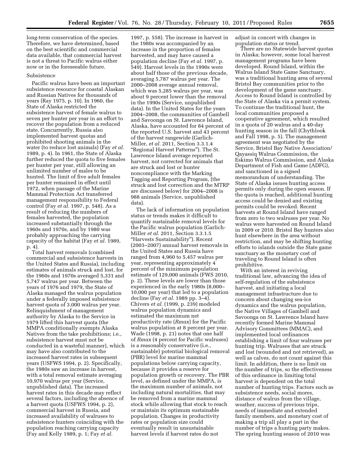long-term conservation of the species. Therefore, we have determined, based on the best scientific and commercial data available, that commercial harvest is not a threat to Pacific walrus either now or in the foreseeable future.

#### Subsistence

Pacific walrus have been an important subsistence resource for coastal Alaskan and Russian Natives for thousands of years (Ray 1975, p. 10). In 1960, the State of Alaska restricted the subsistence harvest of female walrus to seven per hunter per year in an effort to recover the population from a reduced state. Concurrently, Russia also implemented harvest quotas and prohibited shooting animals in the water (to reduce lost animals) (Fay *et al.*  1989, p. 4). In 1961, the State of Alaska further reduced the quota to five females per hunter per year, still allowing an unlimited number of males to be hunted. The limit of five adult females per hunter remained in effect until 1972, when passage of the Marine Mammal Protection Act transferred management responsibility to Federal control (Fay *et al.* 1997, p. 548). As a result of reducing the numbers of females harvested, the population increased substantially through the 1960s and 1970s, and by 1980 was probably approaching the carrying capacity of the habitat (Fay *et al.* 1989, p. 4).

Total harvest removals (combined commercial and subsistence harvests in the United States and Russia), including estimates of animals struck and lost, for the 1960s and 1970s averaged 5,331 and 5,747 walrus per year. Between the years of 1976 and 1979, the State of Alaska managed the walrus population under a federally imposed subsistence harvest quota of 3,000 walrus per year. Relinquishment of management authority by Alaska to the Service in 1979 lifted this harvest quota (the MMPA conditionally exempts Alaska Natives from the take prohibitions; i.e., subsistence harvest must not be conducted in a wasteful manner), which may have also contributed to the increased harvest rates in subsequent years (USFWS 1994, p. 2). Specifically, the 1980s saw an increase in harvest, with a total removal estimate averaging 10,970 walrus per year (Service, unpublished data). The increased harvest rates in this decade may reflect several factors, including the absence of a harvest quota (USFWS 1994, p. 2), commercial harvest in Russia, and increased availability of walruses to subsistence hunters coinciding with the population reaching carrying capacity (Fay and Kelly 1989, p. 1; Fay *et al.* 

1997, p. 558). The increase in harvest in the 1980s was accompanied by an increase in the proportion of females harvested, and may have caused a population decline (Fay *et al.* 1997, p. 549). Harvest levels in the 1990s were about half those of the previous decade, averaging 5,787 walrus per year. The 2000–2008 average annual removal, which was 5,285 walrus per year, was about 9 percent lower than the removal in the 1990s (Service, unpublished data). In the United States for the years 2004–2008, the communities of Gambell and Savoonga on St. Lawrence Island, Alaska, have accounted for 84 percent of the reported U.S. harvest and 43 percent of the harvest rangewide (Garlich-Miller, *et al.* 2011, Section 3.3.1.4 ''Regional Harvest Patterns''). The St. Lawrence Island average reported harvest, not corrected for animals that are struck and lost or hunter noncompliance with the Marking Tagging and Reporting Program, (the struck and lost correction and the MTRP are discussed below) for 2004–2008 is 988 animals (Service, unpublished data).

The lack of information on population status or trends makes it difficult to quantify sustainable removal levels for the Pacific walrus population (Garlich-Miller *et al.* 2011, Section 3.3.1.5 ''Harvests Sustainability''). Recent (2003–2007) annual harvest removals in the United States and Russia have ranged from 4,960 to 5,457 walrus per year, representing approximately 4 percent of the minimum population estimate of 129,000 animals (FWS 2010, p. 2). These levels are lower than those experienced in the early 1980s (8,000– 10,000 per year) that led to a population decline (Fay *et al.* 1989 pp. 3–4). Chivers *et al.* (1999, p. 239) modeled walrus population dynamics and estimated the maximum net productivity rate (*Rmax*) for the Pacific walrus population at 8 percent per year. Wade (1998, p. 21) notes that one half of *Rmax* (4 percent for Pacific walruses) is a reasonably conservative (i.e., sustainable) potential biological removal (PBR) level for marine mammal populations below carrying capacity, because it provides a reserve for population growth or recovery. The PBR level, as defined under the MMPA, is the maximum number of animals, not including natural mortalities, that may be removed from a marine mammal stock while allowing that stock to reach or maintain its optimum sustainable population. Changes in productivity rates or population size could eventually result in unsustainable harvest levels if harvest rates do not

adjust in concert with changes in population status or trend.

There are no Statewide harvest quotas in Alaska; however, some local harvest management programs have been developed. Round Island, within the Walrus Island State Game Sanctuary, was a traditional hunting area of several Bristol Bay communities prior to the development of the game sanctuary. Access to Round Island is controlled by the State of Alaska via a permit system. To continue the traditional hunt, the local communities proposed a cooperative agreement, which resulted in a quota of 20 walrus and a 40-day hunting season in the fall (Chythlook and Fall 1998, p. 5). The management agreement was negotiated by the Service, Bristol Bay Native Association/ Qayassiq Walrus Commission, the Eskimo Walrus Commission, and Alaska Department of Fish and Game (ADFG), and sanctioned in a signed memorandum of understanding. The State of Alaska issues hunting access permits only during the open season. If the quota is reached, additional hunting access could be denied and existing permits could be revoked. Recent harvests at Round Island have ranged from zero to two walruses per year. No walrus were harvested on Round Island in 2009 or 2010. Bristol Bay hunters also hunt elsewhere in the area without restriction, and may be shifting hunting efforts to islands outside the State game sanctuary as the monetary cost of traveling to Round Island is often prohibitive.

With an interest in reviving traditional law, advancing the idea of self-regulation of the subsistence harvest, and initiating a local management infrastructure due to concern about changing sea-ice dynamics and the walrus population, the Native Villages of Gambell and Savoonga on St. Lawrence Island have recently formed Marine Mammal Advisory Committees (MMAC), and implemented local ordinances establishing a limit of four walruses per hunting trip. Walruses that are struck and lost (wounded and not retrieved), as well as calves, do not count against this limit. In addition, there is no limit on the number of trips, so the effectiveness of this ordinance in limiting total harvest is dependent on the total number of hunting trips. Factors such as subsistence needs, social mores, distance of walrus from the village, weather, success of previous trips, needs of immediate and extended family members, and monetary cost of making a trip all play a part in the number of trips a hunting party makes. The spring hunting season of 2010 was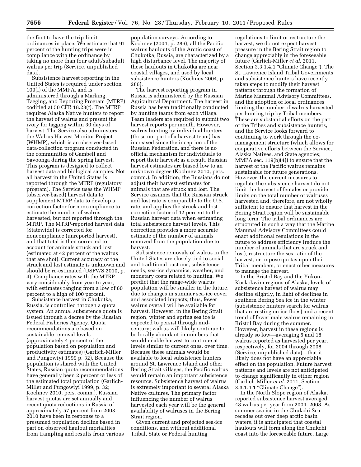the first to have the trip-limit ordinances in place. We estimate that 91 percent of the hunting trips were in compliance with the ordinance by taking no more than four adult/subadult walrus per trip (Service, unpublished data).

Subsistence harvest reporting in the United States is required under section 109(i) of the MMPA, and is administered through a Marking, Tagging, and Reporting Program (MTRP) codified at 50 CFR 18.23(f). The MTRP requires Alaska Native hunters to report the harvest of walrus and present the ivory for tagging within 30 days of harvest. The Service also administers the Walrus Harvest Monitor Project (WHMP), which is an observer-based data-collection program conducted in the communities of Gambell and Savoonga during the spring harvest. This program is designed to collect harvest data and biological samples. Not all harvest in the United States is reported through the MTRP (regulatory program). The Service uses the WHMP (observer-based) harvest data to supplement MTRP data to develop a correction factor for noncompliance to estimate the number of walrus harvested, but not reported through the MTRP. The MTRP-reported harvest data (Statewide) is corrected for noncompliance (unreported harvest), and that total is then corrected to account for animals struck and lost (estimated at 42 percent of the walrus that are shot). Current accuracy of the struck and lost estimate is unknown and should be re-estimated (USFWS 2010, p. 4). Compliance rates with the MTRP vary considerably from year to year, with estimates ranging from a low of 60 percent to a high of 100 percent.

Subsistence harvest in Chukotka, Russia, is controlled through a quota system. An annual subsistence quota is issued through a decree by the Russian Federal Fisheries Agency. Quota recommendations are based on sustainable removal levels (approximately 4 percent of the population based on population and productivity estimates) (Garlich-Miller and Pungowiyi 1999 p. 32). Because the population is shared with the United States, Russian quota recommendations have generally been 2 percent or less of the estimated total population (Garlich-Miller and Pungowiyi 1999, p. 32; Kochnev 2010, pers. comm.). Russian harvest quotas are set annually and recent quota reductions in Russia of approximately 57 percent from 2003– 2010 have been in response to a presumed population decline based in part on observed haulout mortalities from trampling and results from various

population surveys. According to Kochnev (2004, p. 286), all the Pacific walrus haulouts of the Arctic coast of Chukotka, Russia, are characterized by a high disturbance level. The majority of these haulouts in Chukotka are near coastal villages, and used by local subsistence hunters (Kochnev 2004, p. 286).

The harvest reporting program in Russia is administered by the Russian Agricultural Department. The harvest in Russia has been traditionally conducted by hunting teams from each village. Team leaders are required to submit two harvest reports per month. However, walrus hunting by individual hunters (those not part of a harvest team) has increased since the inception of the Russian Federation, and there is no official mechanism for individuals to report their harvest; as a result, Russian harvest estimates are biased low to an unknown degree (Kochnev 2010, pers. comm.). In addition, the Russians do not adjust their harvest estimates for animals that are struck and lost. The Service assumes that the Russian struck and lost rate is comparable to the U.S. rate, and applies the struck and lost correction factor of 42 percent to the Russian harvest data when estimating total subsistence harvest levels. This correction provides a more accurate estimate of the number of animals removed from the population due to harvest.

Subsistence removals of walrus in the United States are closely tied to social and traditional customs, subsistence needs, sea-ice dynamics, weather, and monetary costs related to hunting. We predict that the range-wide walrus population will be smaller in the future, due to changes in summer sea-ice cover and associated impacts; thus, fewer walrus overall will be available for harvest. However, in the Bering Strait region, winter and spring sea ice is expected to persist through midcentury; walrus will likely continue to be locally abundant in numbers that would enable harvest to continue at levels similar to current ones, over time. Because these animals would be available to local subsistence hunters around St. Lawrence Island and other Bering Strait villages, the Pacific walrus would remain an important subsistence resource. Subsistence harvest of walrus is extremely important to several Alaska Native cultures. The primary factor influencing the number of walrus harvested each year will be the general availability of walruses in the Bering Strait region.

Given current and projected sea-ice conditions, and without additional Tribal, State or Federal hunting

regulations to limit or restructure the harvest, we do not expect harvest pressure in the Bering Strait region to change appreciably in the foreseeable future (Garlich-Miller *et al.* 2011, Section 3.3.1.4.1 "Climate Change"). The St. Lawrence Island Tribal Governments and subsistence hunters have recently taken steps to modify their harvest patterns through the formation of Marine Mammal Advisory Committees, and the adoption of local ordinances limiting the number of walrus harvested per hunting trip by Tribal members. These are substantial efforts on the part of the Tribes and subsistence hunters, and the Service looks forward to continuing to work through the comanagement structure (which allows for cooperative efforts between the Service, Alaska Natives, and State agencies; MMPA sec. 119(b)(4)) to ensure that the harvest of the Pacific walrus remains sustainable for future generations. However, the current measures to regulate the subsistence harvest do not limit the harvest of females or provide limits on the total number of walruses harvested and, therefore, are not wholly sufficient to ensure that harvest in the Bering Strait region will be sustainable long term. The tribal ordinances are structured in such a way that the Marine Mammal Advisory Committees could enact additional regulations in the future to address efficiency (reduce the number of animals that are struck and lost), restructure the sex ratio of the harvest, or impose quotas upon their Tribal members, or enact other measures to manage the harvest.

In the Bristol Bay and the Yukon-Kuskokwim regions of Alaska, levels of subsistence harvest of walrus may decline slightly, in light of declines in southern Bering Sea ice in the winter (subsistence hunters search for walrus that are resting on ice floes) and a recent trend of fewer male walrus remaining in Bristol Bay during the summer. However, harvest in these regions is already so low—averaging 5 and 18 walrus reported as harvested per year, respectively, for 2004 through 2008 (Service, unpublished data)—that it likely does not have an appreciable effect on the population. Future harvest patterns and levels are not anticipated to change significantly in either region (Garlich-Miller *et al.* 2011, Section 3.3.1.4.1 ''Climate Change'').

In the North Slope region of Alaska, reported subsistence harvest averaged 48 walrus per year from 2004–2008. As summer sea ice in the Chukchi Sea recedes out over deep arctic basin waters, it is anticipated that coastal haulouts will form along the Chukchi coast into the foreseeable future. Large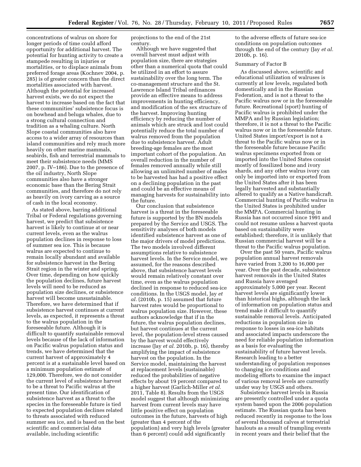concentrations of walrus on shore for longer periods of time could afford opportunity for additional harvest. The potential for hunting activity to create a stampede resulting in injuries or mortalities, or to displace animals from preferred forage areas (Kochnev 2004, p. 285) is of greater concern than the direct mortalities associated with harvest. Although the potential for increased harvest exists, we do not expect the harvest to increase based on the fact that these communities' subsistence focus is on bowhead and beluga whales, due to a strong cultural connection and tradition as a whaling culture. North Slope coastal communities also have access to a wider array of resources than island communities and rely much more heavily on other marine mammals, seabirds, fish and terrestrial mammals to meet their subsistence needs (MMS 2007, p. IV–186). Due to the presence of the oil industry, North Slope communities also have a stronger economic base than the Bering Strait communities, and therefore do not rely as heavily on ivory carving as a source of cash in the local economy.

As stated above, barring additional Tribal or Federal regulations governing harvest, we predict that subsistence harvest is likely to continue at or near current levels, even as the walrus population declines in response to loss of summer sea ice. This is because walrus are expected to continue to remain locally abundant and available for subsistence harvest in the Bering Strait region in the winter and spring. Over time, depending on how quickly the population declines, future harvest levels will need to be reduced as population size declines, or subsistence harvest will become unsustainable. Therefore, we have determined that if subsistence harvest continues at current levels, as expected, it represents a threat to the walrus population in the foreseeable future. Although it is difficult to quantify sustainable removal levels because of the lack of information on Pacific walrus population status and trends, we have determined that the current harvest of approximately 4 percent is at a sustainable level based on a minimum population estimate of 129,000. Therefore, we do not consider the current level of subsistence harvest to be a threat to Pacific walrus at the present time. Our identification of subsistence harvest as a threat to the species in the foreseeable future is tied to expected population declines related to threats associated with reduced summer sea ice, and is based on the best scientific and commercial data available, including scientific

projections to the end of the 21st century.

Although we have suggested that overall harvest must adjust with population size, there are strategies other than a numerical quota that could be utilized in an effort to assure sustainability over the long term. The co-management structure and the St. Lawrence Island Tribal ordinances provide an effective means to address improvements in hunting efficiency, and modification of the sex structure of the harvest. Improving hunting efficiency by reducing the number of animals which are struck and lost could potentially reduce the total number of walrus removed from the population due to subsistence harvest. Adult breeding-age females are the most important cohort of the population. An overall reduction in the number of females removed annually while still allowing an unlimited number of males to be harvested has had a positive effect on a declining population in the past and could be an effective means of managing harvests for sustainability into the future.

Our conclusion that subsistence harvest is a threat in the foreseeable future is supported by the BN models prepared by the Service and USGS. The sensitivity analyses of both models identified subsistence harvest as one of the major drivers of model predictions. The two models involved different assumptions relative to subsistence harvest levels. In the Service model, we assumed, for the reasons described above, that subsistence harvest levels would remain relatively constant over time, even as the walrus population declined in response to reduced sea-ice conditions. In the USGS model, Jay *et al.* (2010b, p. 15) assumed that future harvest rates would be proportional to walrus population size. However, these authors acknowledge that if in the future, the walrus population declines, but harvest continues at the current level, the population-level stress caused by the harvest would effectively increase (Jay *et al.* 2010b, p. 16), thereby amplifying the impact of subsistence harvest on the population. In the Service model, maintaining the harvest at replacement levels (sustainable) reduced the probabilities of negative effects by about 19 percent compared to a higher harvest (Garlich-Miller *et al.*  2011, Table 8). Results from the USGS model suggest that although minimizing harvest from current levels may have little positive effect on population outcomes in the future, harvests of high (greater than 4 percent of the population) and very high levels (greater than 6 percent) could add significantly

to the adverse effects of future sea-ice conditions on population outcomes through the end of the century (Jay *et al.*  2010b, p. 16).

## Summary of Factor B

As discussed above, scientific and educational utilization of walruses is currently at low levels, regulated both domestically and in the Russian Federation, and is not a threat to the Pacific walrus now or in the foreseeable future. Recreational (sport) hunting of Pacific walrus is prohibited under the MMPA and by Russian legislation; therefore, it is not a threat to the Pacific walrus now or in the foreseeable future. United States import/export is not a threat to the Pacific walrus now or in the foreseeable future because Pacific walrus specimens exported from or imported into the United States consist mostly of fossilized bone and ivory shards, and any other walrus ivory can only be imported into or exported from the United States after it has been legally harvested and substantially altered to qualify as a Native handicraft. Commercial hunting of Pacific walrus in the United States is prohibited under the MMPA. Commercial hunting in Russia has not occurred since 1991 and could not resume unless a harvest quota based on sustainability were established; therefore, it is unlikely that Russian commercial harvest will be a threat to the Pacific walrus population.

Over the past 50 years, Pacific walrus population annual harvest removals have varied from 3,200 to 16,000 per year. Over the past decade, subsistence harvest removals in the United States and Russia have averaged approximately 5,000 per year. Recent harvest levels are significantly lower than historical highs, although the lack of information on population status and trend make it difficult to quantify sustainable removal levels. Anticipated reductions in population size in response to losses in sea-ice habitats and associated impacts underscore the need for reliable population information as a basis for evaluating the sustainability of future harvest levels. Research leading to a better understanding of population responses to changing ice conditions and modeling efforts to examine the impact of various removal levels are currently under way by USGS and others.

Subsistence harvest levels in Russia are presently controlled under a quota system based upon the 2006 population estimate. The Russian quota has been reduced recently in response to the loss of several thousand calves at terrestrial haulouts as a result of trampling events in recent years and their belief that the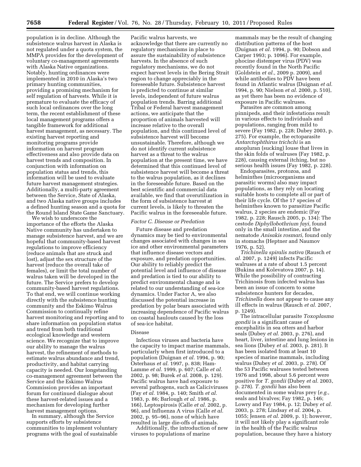population is in decline. Although the subsistence walrus harvest in Alaska is not regulated under a quota system, the MMPA provides for the development of voluntary co-management agreements with Alaska Native organizations. Notably, hunting ordinances were implemented in 2010 in Alaska's two primary hunting communities, providing a promising mechanism for self regulation of harvests. While it is premature to evaluate the efficacy of such local ordinances over the long term, the recent establishment of these local management programs offers a tangible framework for additional harvest management, as necessary. The existing harvest reporting and monitoring programs provide information on harvest program effectiveness and also provide data on harvest trends and composition. In conjunction with information on population status and trends, this information will be used to evaluate future harvest management strategies. Additionally, a multi-party agreement between the Service, State of Alaska, and two Alaska native groups includes a defined hunting season and a quota for the Round Island State Game Sanctuary.

We wish to underscore the importance of the efforts the Alaska Native community has undertaken to manage subsistence harvest, and we are hopeful that community-based harvest regulations to improve efficiency (reduce animals that are struck and lost), adjust the sex structure of the harvest (reduce the overall take of females), or limit the total number of walrus taken will be developed in the future. The Service prefers to develop community-based harvest regulations. To that end, we will continue working directly with the subsistence hunting community and the Eskimo Walrus Commission to continually refine harvest monitoring and reporting and to share information on population status and trend from both traditional ecological knowledge and western science. We recognize that to improve our ability to manage the walrus harvest, the refinement of methods to estimate walrus abundance and trend, productivity, and habitat carrying capacity is needed. Our longstanding co-management agreement between the Service and the Eskimo Walrus Commission provides an important forum for continued dialogue about these harvest-related issues and a mechanism for developing further harvest management options.

In summary, although the Service supports efforts by subsistence communities to implement voluntary programs with the goal of sustainable

Pacific walrus harvests, we acknowledge that there are currently no regulatory mechanisms in place to assure the sustainability of subsistence harvests. In the absence of such regulatory mechanisms, we do not expect harvest levels in the Bering Strait region to change appreciably in the foreseeable future. Subsistence harvest is predicted to continue at similar levels, independent of future walrus population trends. Barring additional Tribal or Federal harvest management actions, we anticipate that the proportion of animals harvested will increase relative to the overall population, and this continued level of subsistence harvest will become unsustainable. Therefore, although we do not identify current subsistence harvest as a threat to the walrus population at the present time, we have determined that this continued level of subsistence harvest will become a threat to the walrus population, as it declines in the foreseeable future. Based on the best scientific and commercial data available, we find that overutilization in the form of subsistence harvest at current levels, is likely to threaten the Pacific walrus in the foreseeable future.

# *Factor C. Disease or Predation*

Future disease and predation dynamics may be tied to environmental changes associated with changes in sea ice and other environmental parameters that influence disease vectors and exposure, and predation opportunities. Our ability to reliably predict the potential level and influence of disease and predation is tied to our ability to predict environmental change and is related to our understanding of sea-ice dynamics. Under Factor A, we also discussed the potential increase in predation by polar bears associated with increasing dependence of Pacific walrus on coastal haulouts caused by the loss of sea-ice habitat.

# Disease

Infectious viruses and bacteria have the capacity to impact marine mammals, particularly when first introduced to a population (Duignan *et al.* 1994, p. 90; Osterhaus *et al.* 1997, p. 838; Ham-Lamme *et al.* 1999, p. 607; Calle *et al.*  2002, p. 98; Burek *et al.* 2008, p. 129). Pacific walrus have had exposure to several pathogens, such as Caliciviruses (Fay *et al.* 1984, p. 140; Smith *et al.*  1983, p. 86; Barlough *et al.* 1986, p. 166), Leptospirosis (Calle *et al.* 2002, p. 96), and Influenza A virus (Calle *et al.*  2002, p. 95–96), none of which have resulted in large die-offs of animals.

Additionally, the introduction of new viruses to populations of marine

mammals may be the result of changing distribution patterns of the host (Duignan *et al.* 1994, p. 90; Dobson and Carper 1993; p. 1096). For example, phocine distemper virus (PDV) was recently found in the North Pacific (Goldstein *et al.,* 2009 p. 2009), and while antibodies to PDV have been found in Atlantic walrus (Duignan *et al.*  1994, p. 90; Nielson *et al.* 2000, p. 510), as yet there has been no evidence of exposure in Pacific walruses.

Parasites are common among pinnipeds, and their infestations result in various effects to individuals and populations, ranging from mild to severe (Fay 1982, p. 228; Dubey 2003, p. 275). For example, the ectoparasite *Antarctophthirus trichchi* is an anopluran (sucking) louse that lives in the skin folds of walruses (Fay 1982, p. 228), causing external itching, but no serious health issues (Fay 1982, p. 228).

Endoparasites, protozoa, and helminthes (microorganisms and parasitic worms) also may impact populations, as they rely on locating suitable hosts to complete all or part of their life cycle. Of the 17 species of helminthes known to parasitize Pacific walrus, 2 species are endemic (Fay 1982, p. 228; Rausch 2005, p. 134): The cestode *Diphyllobothrium fayi,* found only in the small intestine, and the nematode *Anisakis rosmari,* found only in stomachs (Heptner and Naumov 1976, p. 52).

*Trichinella spiralis nativa* (Rausch *et al.* 2007, p. 1249) infects Pacific walruses at a rate of about 1.5 percent (Bukina and Kolevatova 2007, p. 14). While the possibility of contracting Trichinosis from infected walrus has been an issue of concern to some subsistence hunters for decades, *Trichinella* does not appear to cause any ill effects in walrus (Rausch *et al.* 2007, p. 1249).

The intracellular parasite *Toxoplasma gondii* is a significant cause of encephalitis in sea otters and harbor seals (Dubey *et al.* 2003, p. 276), and heart, liver, intestine and lung lesions in sea lions (Dubey *et al.* 2003, p. 281). It has been isolated from at least 10 species of marine mammals, including walrus (Dubey *et al.* 2003, p. 278). Of the 53 Pacific walruses tested between 1976 and 1998, about 5.6 percent were positive for *T. gondii* (Dubey *et al.* 2003, p. 278). *T. gondii* has also been documented in some walrus prey (*e.g.,*  seals and bivalves; Fay 1982, p. 146; Lowry and Fay 1984, p. 12; Dubey *et al.*  2003, p. 278; Lindsay *et al.* 2004, p. 1055; Jensen *et al.* 2009, p. 1); however, it will not likely play a significant role in the health of the Pacific walrus population, because they have a history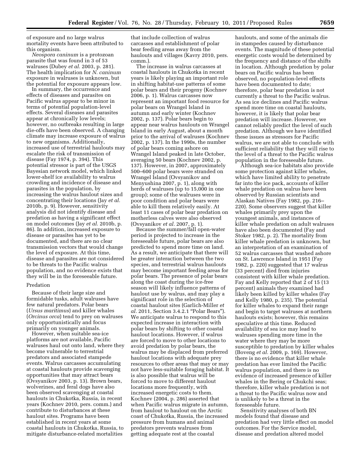of exposure and no large walrus mortality events have been attributed to this organism.

*Neospora caninum* is a protozoan parasite that was found in 3 of 53 walruses (Dubey *et al.* 2003, p. 281). The health implication for *N. caninum*  exposure in walruses is unknown, but the potential for exposure appears low.

In summary, the occurrence and effects of diseases and parasites on Pacific walrus appear to be minor in terms of potential population-level effects. Several diseases and parasites appear at chronically low levels; however, no outbreaks resulting in large die-offs have been observed. A changing climate may increase exposure of walrus to new organisms. Additionally, increased use of terrestrial haulouts may escalate the risk of transmission of disease (Fay 1974, p. 394). This potential stressor is part of the USGS Bayesian network model, which linked lower-shelf ice availability to walrus crowding and incidence of disease and parasites in the population, by increasing the walrus haulout sizes and concentrating their locations (Jay *et al.*  2010b, p. 9). However, sensitivity analysis did not identify disease and predation as having a significant effect on model outcomes (Jay *et al.* 2010b, p. 86). In addition, increased exposure to disease or parasites has yet to be documented, and there are no clear transmission vectors that would change the level of exposure. At this time, disease and parasites are not considered to be threats to the Pacific walrus population, and no evidence exists that they will be in the foreseeable future.

#### Predation

Because of their large size and formidable tusks, adult walruses have few natural predators. Polar bears (*Ursus maritimus*) and killer whales (*Orcinus orca*) tend to prey on walruses only opportunistically and focus primarily on younger animals.

However, when suitable sea-ice platforms are not available, Pacific walruses haul out onto land, where they become vulnerable to terrestrial predators and associated stampede events. Walrus carcasses accumulating at coastal haulouts provide scavenging opportunities that may attract bears (Ovsyanikov 2003, p. 13). Brown bears, wolverines, and feral dogs have also been observed scavenging at coastal haulouts in Chukotka, Russia, in recent years (Kochnev 2010, pers. comm.) and contribute to disturbances at these haulout sites. Programs have been established in recent years at some coastal haulouts in Chukotka, Russia, to mitigate disturbance-related mortalities

that include collection of walrus carcasses and establishment of polar bear feeding areas away from the haulouts and villages (Kavry 2010, pers. comm.).

The increase in walrus carcasses at coastal haulouts in Chukotka in recent years is likely playing an important role in shifting habitat-use patterns of some polar bears and their progeny (Kochnev 2006, p. 1). Walrus carcasses now represent an important food resource for polar bears on Wrangel Island in autumn and early winter (Kochnev 2002, p. 137). Polar bears begin to appear near walrus haulouts on Wrangel Island in early August, about a month prior to the arrival of walruses (Kochnev 2002, p. 137). In the 1990s, the number of polar bears coming ashore on Wrangel Island peaked in late October, averaging 50 bears (Kochnev 2002, p. 137). However, in 2007, approximately 500–600 polar bears were stranded on Wrangel Island (Ovsyanikov and Menyushina 2007, p. 1), along with herds of walruses (up to 15,000 in one group); some of the walruses were in poor condition and polar bears were able to kill them relatively easily. At least 11 cases of polar bear predation on motherless calves were also observed (Ovsyanikov *et al.* 2007, p. 1).

Because the summer/fall open-water period is projected to increase in the foreseeable future, polar bears are also predicted to spend more time on land. As a result, we anticipate that there will be greater interaction between the two species, and terrestrial walrus haulouts may become important feeding areas for polar bears. The presence of polar bears along the coast during the ice-free season will likely influence patterns of haulout use by walrus, and may play a significant role in the selection of coastal haulout sites (Garlich-Miller *et al.* 2011, Section 3.4.2.1 ''Polar Bears''). We anticipate walrus to respond to this expected increase in interaction with polar bears by shifting to other coastal haulout locations. However, if walrus are forced to move to other locations to avoid predation by polar bears, the walrus may be displaced from preferred haulout locations with adequate prey resources to other areas that may or may not have less-suitable foraging habitat. It is also possible that walrus will be forced to move to different haulout locations more frequently, with increased energetic costs to them. Kochnev (2004, p. 286) asserted that when Pacific walrus migrate in autumn, from haulout to haulout on the Arctic coast of Chukotka, Russia, the increased pressure from humans and animal predators prevents walruses from getting adequate rest at the coastal

haulouts, and some of the animals die in stampedes caused by disturbance events. The magnitude of these potential energetic costs would be determined by the frequency and distance of the shifts in location. Although predation by polar bears on Pacific walrus has been observed, no population-level effects have been documented to date; therefore, polar bear predation is not currently a threat to the Pacific walrus. As sea ice declines and Pacific walrus spend more time on coastal haulouts, however, it is likely that polar bear predation will increase. However, we cannot reliably predict the level of such predation. Although we have identified these issues as stressors for Pacific walrus, we are not able to conclude with sufficient reliability that they will rise to the level of a threat to the Pacific walrus population in the foreseeable future.

Although sea-ice habitats also provide some protection against killer whales, which have limited ability to penetrate far into the ice pack, accounts of killer whale predation on walrus have been observed by Russian scientists and Alaskan Natives (Fay 1982, pp. 216– 220). Some observers suggest that killer whales primarily prey upon the youngest animals, and instances of killer whale predation on adult walruses have also been documented (Fay and Stoker 1982, p. 2). The mortality from killer whale predation is unknown, but an interpretation of an examination of 52 walrus carcasses that washed ashore on St. Lawrence Island in 1951 (Fay 1982, p. 220) suggested that 17 walrus (33 percent) died from injuries consistent with killer whale predation. Fay and Kelly reported that 2 of 15 (13 percent) animals they examined had likely been killed by killer whales (Fay and Kelly 1980, p. 235). The potential for killer whales to expand their range and begin to target walruses at northern haulouts exists; however, this remains speculative at this time. Reduced availability of sea ice may lead to walruses spending more time in the water where they may be more susceptible to predation by killer whales (Boveng *et al.* 2009, p. 169). However, there is no evidence that killer whale predation has ever limited the Pacific walrus population, and there is no evidence of increased presence of killer whales in the Bering or Chukchi seas; therefore, killer whale predation is not a threat to the Pacific walrus now and is unlikely to be a threat in the foreseeable future.

Sensitivity analyses of both BN models found that disease and predation had very little effect on model outcomes. For the Service model, disease and predation altered model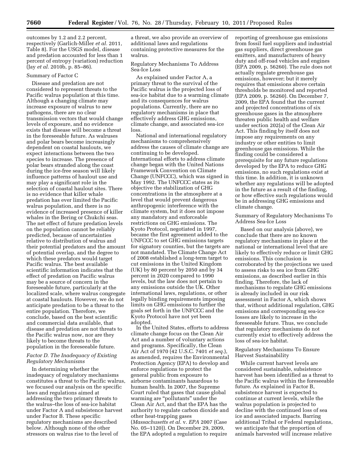outcomes by 1.2 and 2.2 percent, respectively (Garlich-Miller *et al.* 2011, Table 8). For the USGS model, disease and predation accounted for less than 1 percent of entropy (variation) reduction (Jay *et al.* 2010b, p. 85–86).

#### Summary of Factor C

Disease and predation are not considered to represent threats to the Pacific walrus population at this time. Although a changing climate may increase exposure of walrus to new pathogens, there are no clear transmission vectors that would change levels of exposure, and no evidence exists that disease will become a threat in the foreseeable future. As walruses and polar bears become increasingly dependent on coastal haulouts, we expect interactions between the two species to increase. The presence of polar bears stranded along the coast during the ice-free season will likely influence patterns of haulout use and may play a significant role in the selection of coastal haulout sites. There is no evidence that killer whale predation has ever limited the Pacific walrus population, and there is no evidence of increased presence of killer whales in the Bering or Chukchi seas. The net effect of future predation levels on the population cannot be reliably predicted, because of uncertainties relative to distribution of walrus and their potential predators and the amount of potential overlap, and the degree to which these predators would target Pacific walrus. The best available scientific information indicates that the effect of predation on Pacific walrus may be a source of concern in the foreseeable future, particularly at the localized scale, where walrus congregate at coastal haulouts. However, we do not anticipate predation to be a threat to the entire population. Therefore, we conclude, based on the best scientific and commercial data available, that disease and predation are not threats to the Pacific walrus now, nor are they likely to become threats to the population in the foreseeable future.

#### *Factor D. The Inadequacy of Existing Regulatory Mechanisms*

In determining whether the inadequacy of regulatory mechanisms constitutes a threat to the Pacific walrus, we focused our analysis on the specific laws and regulations aimed at addressing the two primary threats to the walrus–the loss of sea-ice habitat under Factor A and subsistence harvest under Factor B. These specific regulatory mechanisms are described below. Although none of the other stressors on walrus rise to the level of

a threat, we also provide an overview of additional laws and regulations containing protective measures for the walrus.

Regulatory Mechanisms To Address Sea-Ice Loss

As explained under Factor A, a primary threat to the survival of the Pacific walrus is the projected loss of sea-ice habitat due to a warming climate and its consequences for walrus populations. Currently, there are no regulatory mechanisms in place that effectively address GHG emissions, climate change, and associated sea-ice loss.

National and international regulatory mechanisms to comprehensively address the causes of climate change are continuing to be developed. International efforts to address climate change began with the United Nations Framework Convention on Climate Change (UNFCCC), which was signed in May 1992. The UNFCCC states as its objective the stabilization of GHG concentrations in the atmosphere at a level that would prevent dangerous anthropogenic interference with the climate system, but it does not impose any mandatory and enforceable restrictions on GHG emissions. The Kyoto Protocol, negotiated in 1997, became the first agreement added to the UNFCCC to set GHG emissions targets for signatory counties, but the targets are not mandated. The Climate Change Act of 2008 established a long-term target to cut emissions in the United Kingdom (UK) by 80 percent by 2050 and by 34 percent in 2020 compared to 1990 levels, but the law does not pertain to any emissions outside the UK. Other international laws, regulations, or other legally binding requirements imposing limits on GHG emissions to further the goals set forth in the UNFCCC and the Kyoto Protocol have not yet been adopted.

In the United States, efforts to address climate change focus on the Clean Air Act and a number of voluntary actions and programs. Specifically, the Clean Air Act of 1970 (42 U.S.C. 7401 *et seq.*), as amended, requires the Environmental Protection Agency (EPA) to develop and enforce regulations to protect the general public from exposure to airborne contaminants hazardous to human health. In 2007, the Supreme Court ruled that gases that cause global warming are "pollutants" under the Clean Air Act, and that the EPA has the authority to regulate carbon dioxide and other heat-trapping gases (*Massachusetts et al.* v. *EPA* 2007 (Case No. 05–1120)). On December 29, 2009, the EPA adopted a regulation to require

reporting of greenhouse gas emissions from fossil fuel suppliers and industrial gas suppliers, direct greenhouse gas emitters, and manufacturers of heavy duty and off-road vehicles and engines (EPA 2009, p. 56260). The rule does not actually regulate greenhouse gas emissions, however; but it merely requires that emissions above certain thresholds be monitored and reported (EPA 2009, p. 56260). On December 7, 2009, the EPA found that the current and projected concentrations of six greenhouse gases in the atmosphere threaten public health and welfare under section 202(a) of the Clean Air Act. This finding by itself does not impose any requirements on any industry or other entities to limit greenhouse gas emissions. While the finding could be considered a prerequisite for any future regulations developed by the EPA to reduce GHG emissions, no such regulations exist at this time. In addition, it is unknown whether any regulations will be adopted in the future as a result of the finding, or how effective such regulations would be in addressing GHG emissions and climate change.

Summary of Regulatory Mechanisms To Address Sea-Ice Loss

Based on our analysis (above), we conclude that there are no known regulatory mechanisms in place at the national or international level that are likely to effectively reduce or limit GHG emissions. This conclusion is corroborated by the projections we used to assess risks to sea ice from GHG emissions, as described earlier in this finding. Therefore, the lack of mechanisms to regulate GHG emissions is already included in our risk assessment in Factor A, which shows that, without additional regulation, GHG emissions and corresponding sea-ice losses are likely to increase in the foreseeable future. Thus, we conclude that regulatory mechanisms do not currently exist to effectively address the loss of sea-ice habitat.

Regulatory Mechanisms To Ensure Harvest Sustainability

While current harvest levels are considered sustainable, subsistence harvest has been identified as a threat to the Pacific walrus within the foreseeable future. As explained in Factor B, subsistence harvest is expected to continue at current levels, while the walrus population is projected to decline with the continued loss of sea ice and associated impacts. Barring additional Tribal or Federal regulations, we anticipate that the proportion of animals harvested will increase relative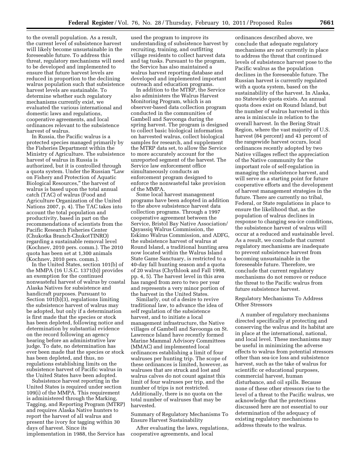to the overall population. As a result, the current level of subsistence harvest will likely become unsustainable in the foreseeable future. To address this threat, regulatory mechanisms will need to be developed and implemented to ensure that future harvest levels are reduced in proportion to the declining walrus population such that subsistence harvest levels are sustainable. To determine whether such regulatory mechanisms currently exist, we evaluated the various international and domestic laws and regulations, cooperative agreements, and local ordinances relevant to the subsistence harvest of walrus.

In Russia, the Pacific walrus is a protected species managed primarily by the Fisheries Department within the Ministry of Agriculture. The subsistence harvest of walrus in Russia is authorized, but it is controlled through a quota system. Under the Russian ''Law on Fishery and Protection of Aquatic Biological Resources,'' the harvest of walrus is based upon the total annual catch (TAC) of walrus (Food and Agriculture Organization of the United Nations 2007, p. 4). The TAC takes into account the total population and productivity, based in part on the recommendations of scientists from the Pacific Research Fisheries Center (Chukotka Branch-ChukotTINRO) regarding a sustainable removal level (Kochnev, 2010 pers. comm.). The 2010 quota has been set at 1,300 animals (Kochnev, 2010 pers. comm.).

In the United States, section 101(b) of the MMPA (16 U.S.C. 1371(b)) provides an exemption for the continued nonwasteful harvest of walrus by coastal Alaska Natives for subsistence and handicraft purposes. Pursuant to Section  $101(b)\overline{3}$ , regulations limiting the subsistence harvest of walrus may be adopted, but only if a determination is first made that the species or stock has been depleted, following notice and determination by substantial evidence on the record following an agency hearing before an administrative law judge. To date, no determination has ever been made that the species or stock has been depleted, and thus, no regulations establishing limits on the subsistence harvest of Pacific walrus in the United States have been adopted.

Subsistence harvest reporting in the United States is required under section 109(i) of the MMPA. This requirement is administered through the Marking, Tagging, and Reporting Program (MTRP) and requires Alaska Native hunters to report the harvest of all walrus and present the ivory for tagging within 30 days of harvest. Since its implementation in 1988, the Service has

used the program to improve its understanding of subsistence harvest by recruiting, training, and outfitting village residents to collect harvest data and tag tusks. Pursuant to the program, the Service has also maintained a walrus harvest reporting database and developed and implemented important outreach and education programs.

In addition to the MTRP, the Service also administers the Walrus Harvest Monitoring Program, which is an observer-based data collection program conducted in the communities of Gambell and Savoonga during the spring harvest. The program is designed to collect basic biological information on harvested walrus, collect biological samples for research, and supplement the MTRP data set, to allow the Service to more accurately account for the unreported segment of the harvest. The Service law enforcement office simultaneously conducts an enforcement program designed to enforce the nonwasteful take provision of the MMPA.

Some local harvest management programs have been adopted in addition to the above subsistence harvest data collection programs. Through a 1997 cooperative agreement between the Service, Bristol Bay Native Association/ Qayassiq Walrus Commission, the Eskimo Walrus Commission, and ADFG, the subsistence harvest of walrus at Round Island, a traditional hunting area now located within the Walrus Island State Game Sanctuary, is restricted to a 40-day fall hunting season and a quota of 20 walrus (Chythlook and Fall 1998, pp. 4, 5). The harvest level in this area has ranged from zero to two per year and represents a very minor portion of the harvest in the United States.

Similarly, out of a desire to revive traditional law, to advance the idea of self regulation of the subsistence harvest, and to initiate a local management infrastructure, the Native villages of Gambell and Savoonga on St. Lawrence Island have recently formed Marine Mammal Advisory Committees (MMAC) and implemented local ordinances establishing a limit of four walruses per hunting trip. The scope of these ordinances is limited, however, as walruses that are struck and lost and walrus calves do not count against this limit of four walruses per trip, and the number of trips is not restricted. Additionally, there is no quota on the total number of walruses that may be harvested.

Summary of Regulatory Mechanisms To Ensure Harvest Sustainability

After evaluating the laws, regulations, cooperative agreements, and local

ordinances described above, we conclude that adequate regulatory mechanisms are not currently in place to address the threat that continued levels of subsistence harvest pose to the Pacific walrus as the population declines in the foreseeable future. The Russian harvest is currently regulated with a quota system, based on the sustainability of the harvest. In Alaska, no Statewide quota exists. An annual quota does exist on Round Island, but the number of walrus harvested in this area is miniscule in relation to the overall harvest. In the Bering Strait Region, where the vast majority of U.S. harvest (84 percent) and 43 percent of the rangewide harvest occurs, local ordinances recently adopted by two Native villages reflect the appreciation of the Native community for the important role of self-regulation in managing the subsistence harvest, and will serve as a starting point for future cooperative efforts and the development of harvest management strategies in the future. There are currently no tribal, Federal, or State regulations in place to ensure the likelihood that, as the population of walrus declines in response to changing sea-ice conditions, the subsistence harvest of walrus will occur at a reduced and sustainable level. As a result, we conclude that current regulatory mechanisms are inadequate to prevent subsistence harvest from becoming unsustainable in the foreseeable future. Therefore, we conclude that current regulatory mechanisms do not remove or reduce the threat to the Pacific walrus from future subsistence harvest.

# Regulatory Mechanisms To Address Other Stressors

A number of regulatory mechanisms directed specifically at protecting and conserving the walrus and its habitat are in place at the international, national, and local level. These mechanisms may be useful in minimizing the adverse effects to walrus from potential stressors other than sea-ice loss and subsistence harvest, such as the take of walrus for scientific or educational purposes, commercial harvest, human disturbance, and oil spills. Because none of these other stressors rise to the level of a threat to the Pacific walrus, we acknowledge that the protections discussed here are not essential to our determination of the adequacy of existing regulatory mechanisms to address threats to the walrus.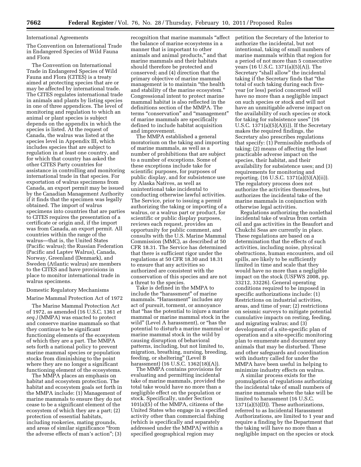#### International Agreements

The Convention on International Trade in Endangered Species of Wild Fauna and Flora

The Convention on International Trade in Endangered Species of Wild Fauna and Flora (CITES) is a treaty aimed at protecting species that are or may be affected by international trade. The CITES regulates international trade in animals and plants by listing species in one of three appendices. The level of monitoring and regulation to which an animal or plant species is subject depends on the appendix in which the species is listed. At the request of Canada, the walrus was listed at the species level in Appendix III, which includes species that are subject to regulation in at least one country, and for which that country has asked the other CITES Party countries for assistance in controlling and monitoring international trade in that species. For exportation of walrus specimens from Canada, an export permit may be issued by the Canadian Management Authority if it finds that the specimen was legally obtained. The import of walrus specimens into countries that are parties to CITES requires the presentation of a certificate or origin and, if the import was from Canada, an export permit. All countries within the range of the walrus—that is, the United States (Pacific walrus); the Russian Federation (Pacific and Laptev Walrus), Canada, Norway, Greenland (Denmark), and Sweden (Atlantic walrus) are members to the CITES and have provisions in place to monitor international trade in walrus specimens.

#### Domestic Regulatory Mechanisms

Marine Mammal Protection Act of 1972

The Marine Mammal Protection Act of 1972, as amended (16 U.S.C. 1361 *et seq.)* (MMPA) was enacted to protect and conserve marine mammals so that they continue to be significant functioning elements of the ecosystem of which they are a part. The MMPA sets forth a national policy to prevent marine mammal species or population stocks from diminishing to the point where they are no longer a significant functioning element of the ecosystems.

The MMPA places an emphasis on habitat and ecosystem protection. The habitat and ecosystem goals set forth in the MMPA include: (1) Management of marine mammals to ensure they do not cease to be a significant element of the ecosystem of which they are a part; (2) protection of essential habitats, including rookeries, mating grounds, and areas of similar significance ''from the adverse effects of man's action''; (3)

recognition that marine mammals ''affect the balance of marine ecosystems in a manner that is important to other animals and animal products,'' and that marine mammals and their habitats should therefore be protected and conserved; and (4) direction that the primary objective of marine mammal management is to maintain ''the health and stability of the marine ecosystem.'' Congressional intent to protect marine mammal habitat is also reflected in the definitions section of the MMPA. The terms "conservation" and "management" of marine mammals are specifically defined to include habitat acquisition and improvement.

The MMPA established a general moratorium on the taking and importing of marine mammals, as well as a number of prohibitions that are subject to a number of exceptions. Some of these exceptions include take for scientific purposes, for purposes of public display, and for subsistence use by Alaska Natives, as well as unintentional take incidental to conducting otherwise lawful activities. The Service, prior to issuing a permit authorizing the taking or importing of a walrus, or a walrus part or product, for scientific or public display purposes, reviews each request, provides an opportunity for public comment, and consults with the U.S. Marine Mammal Commission (MMC), as described at 50 CFR 18.31. The Service has determined that there is sufficient rigor under the regulations at 50 CFR 18.30 and 18.31 to ensure that any activities so authorized are consistent with the conservation of this species and are not a threat to the species.

Take is defined in the MMPA to include the ''harassment'' of marine mammals. "Harassment" includes any act of pursuit, torment, or annoyance that ''has the potential to injure a marine mammal or marine mammal stock in the wild'' (Level A harassment), or ''has the potential to disturb a marine mammal or marine mammal stock in the wild by causing disruption of behavioral patterns, including, but not limited to, migration, breathing, nursing, breeding, feeding, or sheltering'' (Level B harassment) (16 U.S.C. 1362(18)(A)).

The MMPA contains provisions for evaluating and permitting incidental take of marine mammals, provided the total take would have no more than a negligible effect on the population or stock. Specifically, under Section 101(a)(5) of the MMPA, citizens of the United States who engage in a specified activity other than commercial fishing (which is specifically and separately addressed under the MMPA) within a specified geographical region may

petition the Secretary of the Interior to authorize the incidental, but not intentional, taking of small numbers of marine mammals within that region for a period of not more than 5 consecutive years (16 U.S.C. 1371(a)(5)(A)). The Secretary ''shall allow'' the incidental taking if the Secretary finds that ''the total of such taking during each fiveyear (or less) period concerned will have no more than a negligible impact on such species or stock and will not have an unmitigable adverse impact on the availability of such species or stock for taking for subsistence uses'' (16 U.S.C.  $1371(a)(5)(A)(i)$ . If the Secretary makes the required findings, the Secretary also prescribes regulations that specify: (1) Permissible methods of taking; (2) means of affecting the least practicable adverse impact on the species, their habitat, and their availability for subsistence uses; and (3) requirements for monitoring and reporting. (16 U.S.C. 1371(a)(5)(A)(ii)). The regulatory process does not authorize the activities themselves, but authorizes the incidental take of the marine mammals in conjunction with otherwise legal activities.

Regulations authorizing the nonlethal incidental take of walrus from certain oil and gas activities in the Beaufort and Chukchi Seas are currently in place. These regulations are based on a determination that the effects of such activities, including noise, physical obstructions, human encounters, and oil spills, are likely to be sufficiently limited in time and scale that they would have no more than a negligible impact on the stock (USFWS 2008, pp. 33212, 33226). General operating conditions required to be imposed in specific authorizations include: (1) Restrictions on industrial activities, areas, and time of year; (2) restrictions on seismic surveys to mitigate potential cumulative impacts on resting, feeding, and migrating walrus; and (3) development of a site-specific plan of operation and a site-specific monitoring plan to enumerate and document any animals that may be disturbed. These and other safeguards and coordination with industry called for under the MMPA have been useful in helping to minimize industry effects on walrus.

A similar process exists for the promulgation of regulations authorizing the incidental take of small numbers of marine mammals where the take will be limited to harassment (16 U.S.C. 1371(a)(5)(D)). These authorizations, referred to as Incidental Harassment Authorizations, are limited to 1 year and require a finding by the Department that the taking will have no more than a negligible impact on the species or stock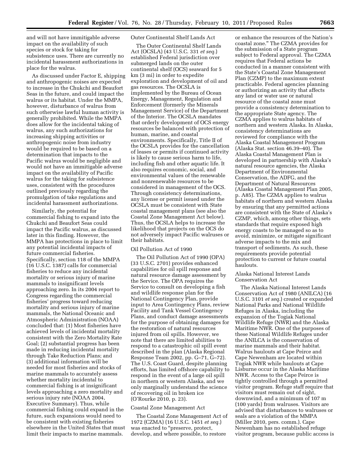and will not have immitigable adverse impact on the availability of such species or stock for taking for subsistence uses. There are currently no incidental harassment authorizations in place for the walrus.

As discussed under Factor E, shipping and anthropogenic noises are expected to increase in the Chukchi and Beaufort Seas in the future, and could impact the walrus or its habitat. Under the MMPA, however, disturbance of walrus from such otherwise lawful human activity is generally prohibited. While the MMPA does allow for the incidental taking of walrus, any such authorizations for increasing shipping activities or anthropogenic noise from industry would be required to be based on a determination that impacts to the Pacific walrus would be negligible and would not have an immitigable adverse impact on the availability of Pacific walrus for the taking for subsistence uses, consistent with the procedures outlined previously regarding the promulgation of take regulations and incidental harassment authorizations.

Similarly, the potential for commercial fishing to expand into the Chukchi and Beaufort Seas could impact the Pacific walrus, as discussed later in this finding. However, the MMPA has protections in place to limit any potential incidental impacts of future commercial fisheries. Specifically, section 118 of the MMPA (16 U.S.C. 1387) calls for commercial fisheries to reduce any incidental mortality or serious injury of marine mammals to insignificant levels approaching zero. In its 2004 report to Congress regarding the commercial fisheries' progress toward reducing mortality and serious injury of marine mammals, the National Oceanic and Atmospheric Administration (NOAA) concluded that: (1) Most fisheries have achieved levels of incidental mortality consistent with the Zero Mortality Rate Goal; (2) substantial progress has been made in reducing incidental mortality through Take Reduction Plans; and (3) additional information will be needed for most fisheries and stocks of marine mammals to accurately assess whether mortality incidental to commercial fishing is at insignificant levels approaching a zero mortality and serious injury rate (NOAA 2004, Executive Summary). Thus, while commercial fishing could expand in the future, such expansions would need to be consistent with existing fisheries elsewhere in the United States that must limit their impacts to marine mammals.

# Outer Continental Shelf Lands Act

The Outer Continental Shelf Lands Act (OCSLA) (43 U.S.C. 331 *et seq.*) established Federal jurisdiction over submerged lands on the outer continental shelf (OCS) seaward for 5 km (3 mi) in order to expedite exploration and development of oil and gas resources. The OCSLA is implemented by the Bureau of Ocean Energy, Management, Regulation and Enforcement (formerly the Minerals Management Service) of the Department of the Interior. The OCSLA mandates that orderly development of OCS energy resources be balanced with protection of human, marine, and coastal environments. Specifically, Title II of the OCSLA provides for the cancellation of leases or permits if continued activity is likely to cause serious harm to life, including fish and other aquatic life. It also requires economic, social, and environmental values of the renewable and nonrenewable resources to be considered in management of the OCS. Through consistency determinations, any license or permit issued under the OCSLA must be consistent with State coastal management plans (see also the Coastal Zone Management Act below). Thus, the OCSLA helps to increase the likelihood that projects on the OCS do not adversely impact Pacific walruses or their habitats.

#### Oil Pollution Act of 1990

The Oil Pollution Act of 1990 (OPA) (33 U.S.C. 2701) provides enhanced capabilities for oil spill response and natural resource damage assessment by the Service. The OPA requires the Service to consult on developing a fish and wildlife response plan for the National Contingency Plan, provide input to Area Contingency Plans, review Facility and Tank Vessel Contingency Plans, and conduct damage assessments for the purpose of obtaining damages for the restoration of natural resources injured from oil spills. However, we note that there are limited abilities to respond to a catastrophic oil spill event described in the plan (Alaska Regional Response Team 2002, pp. G–71, G–72). The U.S. Coast Guard, despite planning efforts, has limited offshore capability to respond in the event of a large oil spill in northern or western Alaska, and we only marginally understand the science of recovering oil in broken ice (O'Rourke 2010, p. 23).

# Coastal Zone Management Act

The Coastal Zone Management Act of 1972 (CZMA) (16 U.S.C. 1451 *et seq.*) was enacted to "preserve, protect, develop, and where possible, to restore

or enhance the resources of the Nation's coastal zone.'' The CZMA provides for the submission of a State program subject to Federal approval. The CZMA requires that Federal actions be conducted in a manner consistent with the State's Coastal Zone Management Plan (CZMP) to the maximum extent practicable. Federal agencies planning or authorizing an activity that affects any land or water use or natural resource of the coastal zone must provide a consistency determination to the appropriate State agency. The CZMA applies to walrus habitats of northern and western Alaska. In Alaska, consistency determinations are reviewed for compliance with the Alaska Coastal Management Program (Alaska Stat. section 46.39–40). The Alaska Coastal Management Plan is developed in partnership with Alaska's natural resource agencies, the Alaska Department of Environmental Conservation, the ADFG, and the Department of Natural Resources (Alaska Coastal Management Plan 2005, p. A85). The CZMA applies to walrus habitats of northern and western Alaska by ensuring that any permitted actions are consistent with the State of Alaska's CZMP, which, among other things, sets standards that require exposed high energy coasts to be managed so as to avoid, minimize, or mitigate significant adverse impacts to the mix and transport of sediments. As such, these requirements provide potential protection to current or future coastal haulouts.

# Alaska National Interest Lands Conservation Act

The Alaska National Interest Lands Conservation Act of 1980 (ANILCA) (16 U.S.C. 3101 *et seq.*) created or expanded National Parks and National Wildlife Refuges in Alaska, including the expansion of the Togiak National Wildlife Refuge (NWR) and the Alaska Maritime NWR. One of the purposes of these National Wildlife Refuges under the ANILCA is the conservation of marine mammals and their habitat. Walrus haulouts at Cape Peirce and Cape Newenham are located within Togiak NWR while haulouts at Cape Lisburne occur in the Alaska Maritime NWR. Access to the Cape Peirce is tightly controlled through a permitted visitor program. Refuge staff require that visitors must remain out of sight, downwind, and a minimum of 107 m (100 yards) from walruses. Visitors are advised that disturbances to walruses or seals are a violation of the MMPA (Miller 2010, pers. comm.). Cape Newenham has no established refuge visitor program, because public access is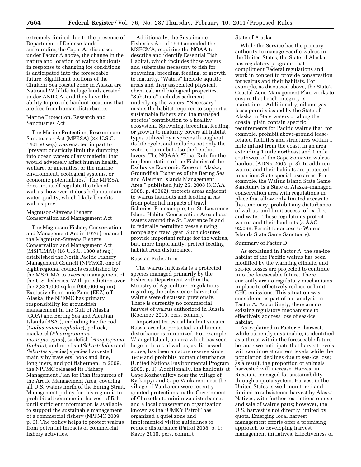extremely limited due to the presence of Department of Defense lands surrounding the Cape. As discussed under Factor A above, the change in the nature and location of walrus haulouts in response to changing ice conditions is anticipated into the foreseeable future. Significant portions of the Chukchi Sea coastal zone in Alaska are National Wildlife Refuge lands created under ANILCA, and they have the ability to provide haulout locations that are free from human disturbance.

# Marine Protection, Research and Sanctuaries Act

The Marine Protection, Research and Sanctuaries Act (MPRSA) (33 U.S.C. 1401 *et seq.*) was enacted in part to ''prevent or strictly limit the dumping into ocean waters of any material that would adversely affect human health, welfare, or amenities, or the marine environment, ecological systems, or economic potentialities.'' The MPRSA does not itself regulate the take of walrus; however, it does help maintain water quality, which likely benefits walrus prey.

# Magnuson-Stevens Fishery Conservation and Management Act

The Magnuson Fishery Conservation and Management Act in 1976 (renamed the Magnuson-Stevens Fishery Conservation and Management Act (MSFCMA)) (16 U.S.C. 1800 *et seq.*) established the North Pacific Fishery Management Council (NPFMC), one of eight regional councils established by the MSFCMA to oversee management of the U.S. fisheries. With jurisdiction over the 2,331,000-sq-km (900,000-sq-mi) Exclusive Economic Zone (EEZ) off Alaska, the NPFMC has primary responsibility for groundfish management in the Gulf of Alaska (GOA) and Bering Sea and Aleutian Islands (BSAI), including Pacific cod (*Gadus macrocephalus*), pollock, mackerel (*Pleurogrammus monopterygius*), sablefish (*Anoplopoma fimbria*), and rockfish (*Sebastolobus* and *Sebastes* species) species harvested mainly by trawlers, hook and line, longliners, and pot fishermen. In 2009, the NPFMC released its Fishery Management Plan for Fish Resources of the Arctic Management Area, covering all U.S. waters north of the Bering Strait. Management policy for this region is to prohibit all commercial harvest of fish until sufficient information is available to support the sustainable management of a commercial fishery (NPFMC 2009, p. 3). The policy helps to protect walrus from potential impacts of commercial fishery activities.

Additionally, the Sustainable Fisheries Act of 1996 amended the MSFCMA, requiring the NOAA to describe and identify Essential Fish Habitat, which includes those waters and substrates necessary to fish for spawning, breeding, feeding, or growth to maturity. ''Waters'' include aquatic areas and their associated physical, chemical, and biological properties. ''Substrate'' includes sediment underlying the waters. "Necessary" means the habitat required to support a sustainable fishery and the managed species' contribution to a healthy ecosystem. Spawning, breeding, feeding, or growth to maturity covers all habitat types utilized by a species throughout its life cycle, and includes not only the water column but also the benthos layers. The NOAA's ''Final Rule for the implementation of the Fisheries of the Exclusive Economic Zone off Alaska; Groundfish Fisheries of the Bering Sea and Aleutian Islands Management Area,'' published July 25, 2008 (NOAA 2008, p. 43362), protects areas adjacent to walrus haulouts and feeding areas from potential impacts of trawl fisheries. For example, the St. Lawrence Island Habitat Conservation Area closes waters around the St. Lawrence Island to federally permitted vessels using nonpelagic trawl gear. Such closures provide important refuge for the walrus, but, more importantly, protect feeding habitat from disturbance.

# Russian Federation

The walrus in Russia is a protected species managed primarily by the Fisheries Department within the Ministry of Agriculture. Regulations regarding the subsistence harvest of walrus were discussed previously. There is currently no commercial harvest of walrus authorized in Russia (Kochnev 2010, pers. comm.).

Important terrestrial haulout sites in Russia are also protected, and human disturbance is minimized. For example, Wrangel Island, an area which has seen large influxes of walrus, as discussed above, has been a nature reserve since 1979 and prohibits human disturbance (United Nations Environmental Program 2005, p. 1). Additionally, the haulouts at Cape Kozhevnikov near the village of Ryrkaipyi and Cape Vankarem near the village of Vankarem were recently granted protections by the Government of Chukotka to minimize disturbance, and a local conservation organization known as the ''UMKY Patrol'' has organized a quiet zone and implemented visitor guidelines to reduce disturbance (Patrol 2008, p. 1; Kavry 2010, pers. comm.).

## State of Alaska

While the Service has the primary authority to manage Pacific walrus in the United States, the State of Alaska has regulatory programs that compliment Federal regulations and work in concert to provide conservation for walrus and their habitats. For example, as discussed above, the State's Coastal Zone Management Plan works to ensure that beach integrity is maintained. Additionally, oil and gas lease permits issued by the State of Alaska in State waters or along the coastal plain contain specific requirements for Pacific walrus that, for example, prohibit above-ground leaserelated facilities and structures within 1 mile inland from the coast, in an area extending 1 mile northeast and 1 mile southwest of the Cape Seniavin walrus haulout (ADNR 2005, p. 3). In addition, walrus and their habitats are protected in various State special-use areas. For example, the Walrus Island State Game Sanctuary is a State of Alaska–managed conservation area with regulations in place that allow only limited access to the sanctuary, prohibit any disturbance of walrus, and limit access to beaches and water. These regulations protect walrus and their haulouts (5 AAC 92.066, Permit for access to Walrus Islands State Game Sanctuary).

#### Summary of Factor D

As explained in Factor A, the sea-ice habitat of the Pacific walrus has been modified by the warming climate, and sea-ice losses are projected to continue into the foreseeable future. There currently are no regulatory mechanisms in place to effectively reduce or limit GHG emissions. This situation was considered as part of our analysis in Factor A. Accordingly, there are no existing regulatory mechanisms to effectively address loss of sea-ice habitat.

As explained in Factor B, harvest, while currently sustainable, is identified as a threat within the foreseeable future because we anticipate that harvest levels will continue at current levels while the population declines due to sea-ice loss; as a result, the proportion of animals harvested will increase. Harvest in Russia is managed for sustainability through a quota system. Harvest in the United States is well-monitored and limited to subsistence harvest by Alaska Natives, with further restrictions on use and sale of walrus parts; however, the U.S. harvest is not directly limited by quota. Emerging local harvest management efforts offer a promising approach to developing harvest management initiatives. Effectiveness of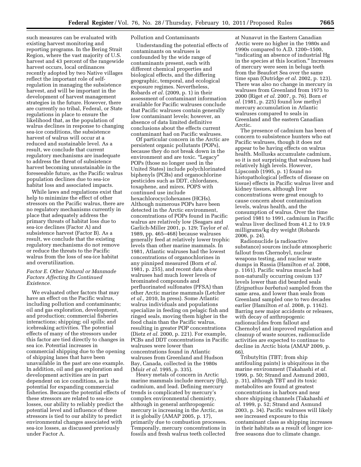such measures can be evaluated with existing harvest monitoring and reporting programs. In the Bering Strait Region, where the vast majority of U.S. harvest and 43 percent of the rangewide harvest occurs, local ordinances recently adopted by two Native villages reflect the important role of selfregulation in managing the subsistence harvest, and will be important in the development of harvest management strategies in the future. However, there are currently no tribal, Federal, or State regulations in place to ensure the likelihood that, as the population of walrus declines in response to changing sea-ice conditions, the subsistence harvest of walrus will occur at a reduced and sustainable level. As a result, we conclude that current regulatory mechanisms are inadequate to address the threat of subsistence harvest becoming unsustainable in the foreseeable future, as the Pacific walrus population declines due to sea-ice habitat loss and associated impacts.

While laws and regulations exist that help to minimize the effect of other stressors on the Pacific walrus, there are no regulatory mechanisms currently in place that adequately address the primary threats of habitat loss due to sea-ice declines (Factor A) and subsistence harvest (Factor B). As a result, we conclude that the existing regulatory mechanisms do not remove or reduce the threats to the Pacific walrus from the loss of sea-ice habitat and overutilization.

# *Factor E. Other Natural or Manmade Factors Affecting Its Continued Existence.*

We evaluated other factors that may have an effect on the Pacific walrus, including pollution and contaminants; oil and gas exploration, development, and production; commercial fisheries interactions; shipping; oil spills; and icebreaking activities. The potential effects of many of the stressors under this factor are tied directly to changes in sea ice. Potential increases in commercial shipping due to the opening of shipping lanes that have been unavailable in the past are one example. In addition, oil and gas exploration and development activities are in part dependent on ice conditions, as is the potential for expanding commercial fisheries. Because the potential effects of these stressors are related to sea-ice losses, our ability to reliably predict the potential level and influence of these stressors is tied to our ability to predict environmental changes associated with sea-ice losses, as discussed previously under Factor A.

Pollution and Contaminants

Understanding the potential effects of contaminants on walruses is confounded by the wide range of contaminants present, each with different chemical properties and biological effects, and the differing geographic, temporal, and ecological exposure regimes. Nevertheless, Robards *et al.* (2009, p. 1) in their assessment of contaminant information available for Pacific walruses conclude that Pacific walruses contain generally low contaminant levels; however, an absence of data limited definitive conclusions about the effects current contaminant had on Pacific walruses.

Of particular concern in the Arctic are persistent organic pollutants (POPs), because they do not break down in the environment and are toxic. "Legacy" POPs (those no longer used in the United States) include polychlorinated biphenyls (PCBs) and organochlorine pesticides such as DDT, chlordanes, toxaphene, and mirex. POPS with continued use include hexachlorocyclohexanes (HCHs). Although numerous POPs have been detected in the Arctic environment, concentrations of POPs found in Pacific walrus are relatively low (Seagars and Garlich-Miller 2001, p. 129; Taylor *et al.*  1989, pp. 465–468) because walruses generally feed at relatively lower trophic levels than other marine mammals. In 1981, Atlantic walruses had the lowest concentrations of organochlorines in any pinniped measured (Born *et al.*  1981, p. 255), and recent data show walruses had much lower levels of brominated compounds and perfluorinated sulfonates (PFSA) than other Arctic marine mammals (Letcher *et al.,* 2010, In press). Some Atlantic walrus individuals and populations specialize in feeding on pelagic fish and ringed seals, moving them higher in the food chain than the Pacific walrus, resulting in greater POP concentrations (Dietz *et al.* 2000, p. 221). For example, PCBs and DDT concentrations in Pacific walruses were lower than concentrations found in Atlantic walruses from Greenland and Hudson Bay, Canada, collected in the 1980s (Muir *et al.* 1995, p. 335).

Heavy metals of concern in Arctic marine mammals include mercury (Hg), cadmium, and lead. Defining mercury trends is complicated by mercury's complex environmental chemistry, although in general anthropogenic mercury is increasing in the Arctic, as it is globally (AMAP 2005, p. 17), primarily due to combustion processes. Temporally, mercury concentrations in fossils and fresh walrus teeth collected

at Nunavut in the Eastern Canadian Arctic were no higher in the 1980s and 1990s compared to A.D. 1200–1500, ''indicating an absence of industrial Hg in the species at this location.'' Increases of mercury were seen in beluga teeth from the Beaufort Sea over the same time span (Outridge *et al.* 2002, p. 123). There was also no change in mercury in walruses from Greenland from 1973 to 2000 (Riget *et al.* 2007, p. 76). Born *et al.* (1981, p. 225) found low methyl mercury accumulation in Atlantic walruses compared to seals in Greenland and the eastern Canadian Arctic.

The presence of cadmium has been of concern to subsistence hunters who eat Pacific walruses, though it does not appear to be having effects on walrus health. Mollusks accumulate cadmium, so it is not surprising that walruses had relatively high levels. However, Lipscomb (1995, p. 1) found no histopathological (effects of disease on tissue) effects in Pacific walrus liver and kidney tissues, although liver concentrations were great enough to cause concern about contamination levels, walrus health, and the consumption of walrus. Over the time period 1981 to 1991, cadmium in Pacific walrus liver declined from 41.2 to 19.9 milligrams/kg dry weight (Robards 2006, p. 24).

Radionuclide (a radioactive substance) sources include atmospheric fallout from Chernobyl, nuclear weapons testing, and nuclear waste dumps in Russia (Hamilton *et al.* 2008, p. 1161). Pacific walrus muscle had non-naturally occurring cesium 137 levels lower than did bearded seals (*Erignathus barbatus*) sampled from the same area, and lower than seals from Greenland sampled one to two decades earlier (Hamilton *et al.* 2008, p. 1162). Barring new major accidents or releases, with decay of anthropogenic radionuclides from fallout and Chernobyl and improved regulation and cleanup of waste sources, radionuclide activities are expected to continue to decline in Arctic biota (AMAP 2009, p. 66).

Tributyltin (TBT; from ship antifouling paints) is ubiquitous in the marine environment (Takahashi *et al.*  1999, p. 50; Strand and Asmund 2003, p. 31), although TBT and its toxic metabolites are found at greatest concentrations in harbors and near shore shipping channels (Takahashi *et al.* 1999, p. 52; Strand and Asmund 2003, p. 34). Pacific walruses will likely see increased exposure to this contaminant class as shipping increases in their habitats as a result of longer icefree seasons due to climate change.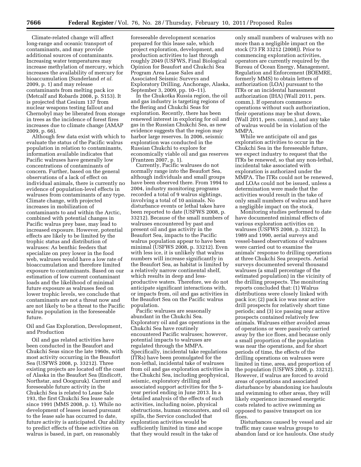Climate-related change will affect long-range and oceanic transport of contaminants, and may provide additional sources of contaminants. Increasing water temperatures may increase methylation of mercury, which increases the availability of mercury for bioaccumulation (Sunderland *et al.*  2009, p. 1) and may release contaminants from melting pack ice (Metcalf and Robards 2008, p. S153). It is projected that Cesium 137 from nuclear weapons testing fallout and Chernobyl may be liberated from storage in trees as the incidence of forest fires increases due to climate change (AMAP 2009, p. 66).

Although few data exist with which to evaluate the status of the Pacific walrus population in relation to contaminants, information available indicates that Pacific walruses have generally low concentrations of contaminants of concern. Further, based on the general observations of a lack of effect on individual animals, there is currently no evidence of population-level effects in walruses from contaminants of any type. Climate change, with projected increases in mobilization of contaminants to and within the Arctic, combined with potential changes in Pacific walrus prey base, may lead to increased exposure. However, potential effects are likely to be limited by the trophic status and distribution of walruses: As benthic feeders that specialize on prey lower in the food web, walruses would have a low rate of bioaccumulation and therefore limited exposure to contaminants. Based on our estimation of low current contaminant loads and the likelihood of minimal future exposure as walruses feed on lower trophic levels, we conclude that contaminants are not a threat now and are not likely to be a threat to the Pacific walrus population in the foreseeable future.

# Oil and Gas Exploration, Development, and Production

Oil and gas related activities have been conducted in the Beaufort and Chukchi Seas since the late 1960s, with most activity occurring in the Beaufort Sea (USFWS 2008, p. 33212). Three existing projects are located off the coast of Alaska in the Beaufort Sea (Endicott, Northstar, and Oooguruk). Current and foreseeable future activity in the Chukchi Sea is related to Lease Sale 193, the first Chukchi Sea lease sale since 1991 (MMS 2008, p. 1). While no development of leases issued pursuant to the lease sale has occurred to date, future activity is anticipated. Our ability to predict effects of these activities on walrus is based, in part, on reasonably

foreseeable development scenarios prepared for this lease sale, which project exploration, development, and production activities to last through roughly 2049 (USFWS, Final Biological Opinion for Beaufort and Chukchi Sea Program Area Lease Sales and Associated Seismic Surveys and Exploratory Drilling, Anchorage, Alaska, September 3, 2009, pp. 10–11).

In the Chukotka Russia region, the oil and gas industry is targeting regions of the Bering and Chukchi Seas for exploration. Recently, there has been renewed interest in exploring for oil and gas in the Russian Chukchi Sea, as new evidence suggests that the region may harbor large reserves. In 2006, seismic exploration was conducted in the Russian Chukchi to explore for economically viable oil and gas reserves (Frantzen 2007, p. 1).

Currently, Pacific walruses do not normally range into the Beaufort Sea, although individuals and small groups have been observed there. From 1994 to 2004, industry monitoring programs recorded a total of 9 walrus sightings, involving a total of 10 animals. No disturbance events or lethal takes have been reported to date (USFWS 2008, p. 33212). Because of the small numbers of walruses encountered by past and present oil and gas activity in the Beaufort Sea, impacts to the Pacific walrus population appear to have been minimal (USFWS 2008, p. 33212). Even with less ice, it is unlikely that walrus numbers will increase significantly in the Beaufort Sea, as habitat is limited by a relatively narrow continental shelf, which results in deep and lessproductive waters. Therefore, we do not anticipate significant interactions with, or impacts from, oil and gas activities in the Beaufort Sea on the Pacific walrus population.

Pacific walruses are seasonally abundant in the Chukchi Sea. Exploratory oil and gas operations in the Chukchi Sea have routinely encountered Pacific walruses; however, potential impacts to walruses are regulated through the MMPA. Specifically, incidental take regulations (ITRs) have been promulgated for the non-lethal, incidental take of walruses from oil and gas exploration activities in the Chukchi Sea, including geophysical, seismic, exploratory drilling and associated support activities for the 5 year period ending in June 2013. In a detailed analysis of the effects of such activities, including noise, physical obstructions, human encounters, and oil spills, the Service concluded that exploration activities would be sufficiently limited in time and scope that they would result in the take of

only small numbers of walruses with no more than a negligible impact on the stock (73 FR 33212 (2008)). Prior to commencing exploration activities, operators are currently required by the Bureau of Ocean Energy, Management, Regulation and Enforcement (BOEMRE, formerly MMS) to obtain letters of authorization (LOA) pursuant to the ITRs or an incidental harassment authorization (IHA) (Wall 2011, pers. comm.). If operators commence operations without such authorization, their operations may be shut down, (Wall 2011, pers. comm.), and any take of walrus would be in violation of the MMPA.

While we anticipate oil and gas exploration activities to occur in the Chukchi Sea in the foreseeable future, we expect industry to request that the ITRs be renewed, so that any non-lethal, incidental take associated with exploration is authorized under the MMPA. The ITRs could not be renewed, and LOAs could not be issued, unless a determination were made that the activities would result in the take of only small numbers of walrus and have a negligible impact on the stock.

Monitoring studies performed to date have documented minimal effects of various exploration activities on walruses (USFWS 2008, p. 33212). In 1989 and 1990, aerial surveys and vessel-based observations of walruses were carried out to examine the animals' response to drilling operations at three Chukchi Sea prospects. Aerial surveys documented several thousand walruses (a small percentage of the estimated population) in the vicinity of the drilling prospects. The monitoring reports concluded that: (1) Walrus distributions were closely linked with pack ice; (2) pack ice was near active drill prospects for relatively short time periods; and (3) ice passing near active prospects contained relatively few animals. Walruses either avoided areas of operations or were passively carried away by the ice floes, and because only a small proportion of the population was near the operations, and for short periods of time, the effects of the drilling operations on walruses were limited in time, area, and proportion of the population (USFWS 2008, p. 33212). However, if walrus are forced to avoid areas of operations and associated disturbance by abandoning ice haulouts and swimming to other areas, they will likely experience increased energetic costs related to active swimming as opposed to passive transport on ice floes.

Disturbances caused by vessel and air traffic may cause walrus groups to abandon land or ice haulouts. One study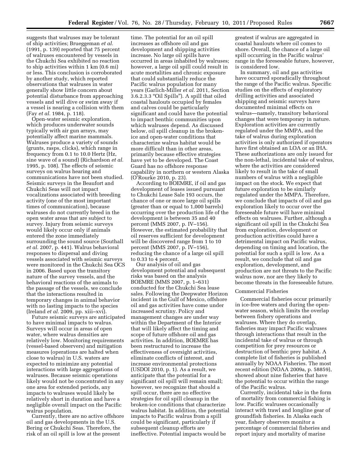suggests that walruses may be tolerant of ship activities; Brueggeman *et al.*  (1991, p. 139) reported that 75 percent of walruses encountered by vessels in the Chukchi Sea exhibited no reaction to ship activities within 1 km (0.6 mi) or less. This conclusion is corroborated by another study, which reported observations that walruses in water generally show little concern about potential disturbance from approaching vessels and will dive or swim away if a vessel is nearing a collision with them (Fay *et al.* 1984, p. 118).

Open-water seismic exploration, which produces underwater sounds typically with air gun arrays, may potentially affect marine mammals. Walruses produce a variety of sounds (grunts, rasps, clicks), which range in frequency from 0.1 to 10.0 Hertz (Hz, sine wave of a sound) (Richardson *et al.*  1995, p. 108). The effects of seismic surveys on walrus hearing and communications have not been studied. Seismic surveys in the Beaufort and Chukchi Seas will not impact vocalizations associated with breeding activity (one of the most important times of communication), because walruses do not currently breed in the open water areas that are subject to survey. Injury from seismic surveys would likely occur only if animals entered the zone immediately surrounding the sound source (Southall *et al.* 2007, p. 441). Walrus behavioral responses to dispersal and diving vessels associated with seismic surveys were monitored in the Chukchi Sea OCS in 2006. Based upon the transitory nature of the survey vessels, and the behavioral reactions of the animals to the passage of the vessels, we conclude that the interactions resulted in temporary changes in animal behavior with no lasting impacts to the species (Ireland *et al.* 2009, pp. xiii–xvi).

Future seismic surveys are anticipated to have minimal impacts to walrus. Surveys will occur in areas of open water, where walrus densities are relatively low. Monitoring requirements (vessel-based observers) and mitigation measures (operations are halted when close to walrus) in U.S. waters are expected to minimize any potential interactions with large aggregations of walruses. Because seismic operations likely would not be concentrated in any one area for extended periods, any impacts to walruses would likely be relatively short in duration and have a negligible overall impact on the Pacific walrus population.

Currently, there are no active offshore oil and gas developments in the U.S. Bering or Chukchi Seas. Therefore, the risk of an oil spill is low at the present

time. The potential for an oil spill increases as offshore oil and gas development and shipping activities increase. No large oil spills have occurred in areas inhabited by walruses; however, a large oil spill could result in acute mortalities and chronic exposure that could substantially reduce the Pacific walrus population for many years (Garlich-Miller *et al.* 2011, Section 3.6.2.3.3 ''Oil Spills''). A spill that oiled coastal haulouts occupied by females and calves could be particularly significant and could have the potential to impact benthic communities upon which walruses depend. As discussed below, oil spill cleanup in the brokenice and open-water conditions that characterize walrus habitat would be more difficult than in other areas, primarily because effective strategies have yet to be developed. The Coast Guard has no offshore response capability in northern or western Alaska (O'Rourke 2010, p. 23).

According to BOEMRE, if oil and gas development of leases issued pursuant to Chukchi Lease Sale 193 occurs, the chance of one or more large oil spills (greater than or equal to 1,000 barrels) occurring over the production life of the development is between 35 and 40 percent (MMS 2007, p. IV–156). However, the estimated probability that oil reserves sufficient for development will be discovered range from 1 to 10 percent (MMS 2007, p. IV–156), reducing the chance of a large oil spill to 0.33 to 4 percent.

Our analysis of oil and gas development potential and subsequent risks was based on the analysis BOEMRE (MMS 2007, p. 1–631) conducted for the Chukchi Sea lease sales. Following the Deepwater Horizon incident in the Gulf of Mexico, offshore oil and gas activities have come under increased scrutiny. Policy and management changes are under way within the Department of the Interior that will likely affect the timing and scope of future offshore oil and gas activities. In addition, BOEMRE has been restructured to increase the effectiveness of oversight activities, eliminate conflicts of interest, and increase environmental protections (USDOI 2010, p. 1). As a result, we anticipate that the potential for a significant oil spill will remain small; however, we recognize that should a spill occur, there are no effective strategies for oil spill cleanup in the broken-ice conditions that characterize walrus habitat. In addition, the potential impacts to Pacific walrus from a spill could be significant, particularly if subsequent cleanup efforts are ineffective. Potential impacts would be

greatest if walrus are aggregated in coastal haulouts where oil comes to shore. Overall, the chance of a large oil spill occurring in the Pacific walrus' range in the foreseeable future, however, is considered low.

In summary, oil and gas activities have occurred sporadically throughout the range of the Pacific walrus. Specific studies on the effects of exploratory drilling activities and associated shipping and seismic surveys have documented minimal effects on walrus—namely, transitory behavioral changes that were temporary in nature. Exploration activities are currently regulated under the MMPA, and the take of walrus during exploration activities is only authorized if operators have first obtained an LOA or an IHA. These authorizations are only issued for the non-lethal, incidental take of walrus, where the activities are considered likely to result in the take of small numbers of walrus with a negligible impact on the stock. We expect that future exploration to be similarly regulated under the MMPA. Therefore, we conclude that impacts of oil and gas exploration likely to occur over the foreseeable future will have minimal effects on walruses. Further, although a significant oil spill in the Chukchi Sea from exploration, development or production activities could have a detrimental impact on Pacific walrus, depending on timing and location, the potential for such a spill is low. As a result, we conclude that oil and gas exploration, development, and production are not threats to the Pacific walrus now, nor are they likely to become threats in the foreseeable future.

# Commercial Fisheries

Commercial fisheries occur primarily in ice-free waters and during the openwater season, which limits the overlap between fishery operations and walruses. Where they do overlap, fisheries may impact Pacific walruses through interactions that result in the incidental take of walrus or through competition for prey resources or destruction of benthic prey habitat. A complete list of fisheries is published annually by NOAA Fisheries. The most recent edition (NOAA 2009a, p. 58859), showed about nine fisheries that have the potential to occur within the range of the Pacific walrus.

Currently, incidental take in the form of mortality from commercial fishing is low. Pacific walruses occasionally interact with trawl and longline gear of groundfish fisheries. In Alaska each year, fishery observers monitor a percentage of commercial fisheries and report injury and mortality of marine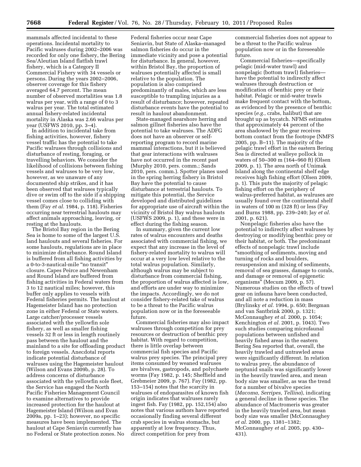mammals affected incidental to these operations. Incidental mortality to Pacific walruses during 2002–2006 was recorded for only one fishery, the Bering Sea/Aleutian Island flatfish trawl fishery, which is a Category II Commercial Fishery with 34 vessels or persons. During the years 2002–2006, observer coverage for this fishery averaged 64.7 percent. The mean number of observed mortalities was 1.8 walrus per year, with a range of 0 to 3 walrus per year. The total estimated annual fishery-related incidental mortality in Alaska was 2.66 walrus per year (USFWS 2010, pp. 3–4).

In addition to incidental take from fishing activities, however, fishery vessel traffic has the potential to take Pacific walruses through collisions and disturbance of resting, foraging, or travelling behaviors. We consider the likelihood of collisions between fishing vessels and walruses to be very low, however, as we unaware of any documented ship strikes, and it has been observed that walruses typically dive or swim off to the side if a shipping vessel comes close to colliding with them (Fay *et al.* 1984, p. 118). Fisheries occurring near terrestrial haulouts may affect animals approaching, leaving, or resting at the haulouts.

The Bristol Bay region in the Bering Sea is home to some of the largest U.S. land haulouts and several fisheries. For some haulouts, regulations are in place to minimize disturbance. Round Island is buffered from all fishing activities by a 0-to-3-nautical-mile ''no transit'' closure. Capes Peirce and Newenham and Round Island are buffered from fishing activities in Federal waters from 3 to 12 nautical miles; however, this buffer only applies to vessels with Federal fisheries permits. The haulout at Hagemeister Island has no protection zone in either Federal or State waters. Large catcher/processer vessels associated with the yellowfin sole fishery, as well as smaller fishing vessels 32 ft or less in length routinely pass between the haulout and the mainland to a site for offloading product to foreign vessels. Anecdotal reports indicate potential disturbance of walruses using the Hagemeister haulout (Wilson and Evans 2009b, p. 28). To address concerns of disturbance associated with the yellowfin sole fleet, the Service has engaged the North Pacific Fisheries Management Council to examine alternatives to provide increased protection for the haulout at Hagemeister Island (Wilson and Evan 2009a, pp. 1–23); however, no specific measures have been implemented. The haulout at Cape Seniavin currently has no Federal or State protection zones. No

Federal fisheries occur near Cape Seniavin, but State of Alaska–managed salmon fisheries do occur in the immediate vicinity and pose a potential for disturbance. In general, however, within Bristol Bay, the proportion of walruses potentially affected is small relative to the population. The population is also comprised predominantly of males, which are less susceptible to trampling injuries as a result of disturbance; however, repeated disturbance events have the potential to result in haulout abandonment.

State-managed nearshore herring and salmon gillnet fisheries also have the potential to take walruses. The ADFG does not have an observer or selfreporting program to record marine mammal interactions, but it is believed that gear interactions with walruses have not occurred in the recent past (Murphy 2010, pers. comm.; Sands 2010, pers. comm.). Spotter planes used in the spring herring fishery in Bristol Bay have the potential to cause disturbance at terrestrial haulouts. To mitigate this potential, the Service developed and distributed guidelines for appropriate use of aircraft within the vicinity of Bristol Bay walrus haulouts (USFWS 2009, p. 1), and these were in effect during the fishing season.

In summary, given the current low rates of walrus encounters and deaths associated with commercial fishing, we expect that any increase in the level of fishery-related mortality to walrus will occur at a very low level relative to the total walrus population. Similarly, although walrus may be subject to disturbance from commercial fishing, the proportion of walrus affected is low, and efforts are under way to minimize the impacts. Accordingly, we do not consider fishery-related take of walrus to be a threat to the Pacific walrus population now or in the foreseeable future.

Commercial fisheries may also impact walruses through competition for prey resources or destruction of benthic prey habitat. With regard to competition, there is little overlap between commercial fish species and Pacific walrus prey species. The principal prey items consumed by weaned walruses are bivalves, gastropods, and polychaete worms (Fay 1982, p. 145; Sheffield and Grebmeier 2009, p. 767). Fay (1982, pp. 153–154) notes that the scarcity in walruses of endoparasites of known fish origin indicates that walruses rarely ingest fish. Fay (1982, pp. 152,154) also notes that various authors have reported occasionally finding several different crab species in walrus stomachs, but apparently at low frequency. Thus, direct competition for prey from

commercial fisheries does not appear to be a threat to the Pacific walrus population now or in the foreseeable future.

Commercial fisheries—specifically pelagic (mid-water trawl) and nonpelagic (bottom trawl) fisheries have the potential to indirectly affect walruses through destruction or modification of benthic prey or their habitat. Pelagic or mid-water trawls make frequent contact with the bottom, as evidenced by the presence of benthic species (*e.g.,* crabs, halibut) that are brought up as bycatch. NFMS estimates that approximately 44 percent of the area shadowed by the gear receives bottom contact from the footrope (NMFS 2005, pp. B–11). The majority of the pelagic trawl effort in the eastern Bering Sea is directed at walleye pollock in waters of 50–300 m (164–960 ft) (Olsen 2009, p. 1). The area north of Unimak Island along the continental shelf edge receives high fishing effort (Olsen 2009, p. 1). This puts the majority of pelagic fishing effort on the periphery of walrus-preferred habitat, as walruses are usually found over the continental shelf in waters of 100 m (328 ft) or less (Fay and Burns 1988, pp. 239–240; Jay *et al.*  2001, p. 621).

Nonpelagic fisheries also have the potential to indirectly affect walruses by destroying or modifying benthic prey or their habitat, or both. The predominant effects of nonpelagic trawl include ''smoothing of sediments, moving and turning of rocks and boulders, resuspension and mixing of sediments, removal of sea grasses, damage to corals, and damage or removal of epigenetic organisms'' (Mecum 2009, p. 57). Numerous studies on the effects of trawl gear on infauna have been conducted, and all note a reduction in mass (Brylinsky *et al.* 1994, p. 650; Bergman and van Santbrink 2000, p. 1321; McConnaughey *et al.* 2000, p. 1054; Kenchington *et al.* 2001, p. 1043). Two such studies comparing microfaunal populations between unfished and heavily fished areas in the eastern Bering Sea reported that, overall, the heavily trawled and untrawled areas were significantly different. In relation to walrus prey, the abundance of neptunid snails was significantly lower in the heavily trawled area, and mean body size was smaller, as was the trend for a number of bivalve species (*Macoma, Serripes, Tellina*), indicating a general decline in these species. The abundance of Mactromeris was greater in the heavily trawled area, but mean body size was smaller (McConnaughey *et al.* 2000, pp. 1381–1382; McConnaughey *et al.* 2005, pp. 430– 431).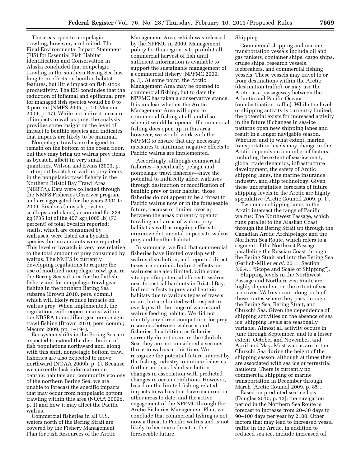The areas open to nonpelagic trawling, however, are limited. The Final Environmental Impact Statement (EIS) for Essential Fish Habitat Identification and Conservation in Alaska concluded that nonpelagic trawling in the southern Bering Sea has long-term effects on benthic habitat features, but little impact on fish stock productivity. The EIS concludes that the reduction of infaunal and epifanual prey for managed fish species would be 0 to 3 percent (NMFS 2005, p. 10; Mecum 2009, p. 47). While not a direct measure of impacts to walrus prey, the analysis provides some insight on the level of impact to benthic species and indicates that impacts are likely to be minimal.

Nonpelagic trawls are designed to remain on the bottom of the ocean floor, but they may bring up walrus prey items as bycatch, albeit in very small quantities. Wilson and Evans (2009, p. 15) report bycatch of walrus prey items in the nonpelagic trawl fishery in the Northern Bristol Bay Trawl Area (NBBTA). Data were collected through the NMFS Fisheries Observer program and are aggregated for the years 2001 to 2009. Bivalves (mussels, oysters, scallops, and clams) accounted for 334 kg (735 lb) of the 457 kg (1005 lb) (73 percent) of total bycatch reported; snails, which are consumed by walruses, were listed as a bycatch species, but no amounts were reported. This level of bycatch is very low relative to the total amount of prey consumed by walrus. The NMFS is currently developing regulations to require the use of modified nonpelagic trawl gear in the Bering Sea subarea for the flatfish fishery and for nonpelagic trawl gear fishing in the northern Bering Sea subarea (Brown 2010, pers. comm.), which will likely reduce impacts on walrus prey. When implemented, the regulations will reopen an area within the NBSRA to modified gear nonpelagic trawl fishing (Brown 2010, pers. comm.; Mecum 2009, pp. 1–194).

Ecosystem shifts in the Bering Sea are expected to extend the distribution of fish populations northward and, along with this shift, nonpelagic bottom trawl fisheries are also expected to move northward (NOAA 2009b, p. 1). Because we currently lack information on benthic habitats and community ecology of the northern Bering Sea, we are unable to forecast the specific impacts that may occur from nonpelagic bottom trawling within this area (NOAA 2009b, p. 1) and how it may affect the Pacific walrus.

Commercial fisheries in all U.S. waters north of the Bering Strait are covered by the Fishery Management Plan for Fish Resources of the Arctic

Management Area, which was released by the NPFMC in 2009. Management policy for this region is to prohibit all commercial harvest of fish until sufficient information is available to support the sustainable management of a commercial fishery (NPFMC 2009, p. 3). At some point, the Arctic Management Area may be opened to commercial fishing, but to date the NPFMC has taken a conservative stance. It is unclear whether the Arctic Management Area will open to commercial fishing at all, and if so, when it would be opened. If commercial fishing does open up in this area, however, we would work with the NPFMC to ensure that any necessary measures to minimize negative effects to Pacific walrus are implemented.

Accordingly, although commercial fisheries—specifically pelagic and nonpelagic trawl fisheries—have the potential to indirectly affect walruses through destruction or modification of benthic prey or their habitat, those fisheries do not appear to be a threat to Pacific walrus now or in the foreseeable future, because of limited overlap between the areas currently open to trawling and areas of walrus prey habitat as well as ongoing efforts to minimize detrimental impacts to walrus prey and benthic habitat.

In summary, we find that commercial fisheries have limited overlap with walrus distribution, and reported direct takes are nominal. Indirect effects on walruses are also limited, with some site-specific potential effects to walrus near terrestrial haulouts in Bristol Bay. Indirect effects to prey and benthic habitats due to various types of trawls occur, but are limited with respect to overlap with the range of walrus and walrus feeding habitat. We did not identify any direct competition for prey resources between walruses and fisheries. In addition, as fisheries currently do not occur in the Chukchi Sea, they are not considered a serious threat to walrus at this time. We recognize the potential future interest by the fishing industry to initiate fisheries further north as fish distribution changes in association with predicted changes in ocean conditions. However, based on the limited fishing-related impacts to walrus that have occurred in other areas to date, and the active engagement of the NPFMC through the Arctic Fisheries Management Plan, we conclude that commercial fishing is not now a threat to Pacific walrus and is not likely to become a threat in the foreseeable future.

#### Shipping

Commercial shipping and marine transportation vessels include oil and gas tankers, container ships, cargo ships, cruise ships, research vessels, icebreakers, and commercial fishing vessels. These vessels may travel to or from destinations within the Arctic (destination traffic), or may use the Arctic as a passageway between the Atlantic and Pacific Oceans (nondestination traffic). While the level of shipping activity is currently limited, the potential exists for increased activity in the future if changes in sea-ice patterns open new shipping lanes and result in a longer navigable season. Whether, and to what extent, marine transportation levels may change in the Arctic depends on a number of factors, including the extent of sea-ice melt, global trade dynamics, infrastructure development, the safety of Arctic shipping lanes, the marine insurance industry, and ship technology. Given these uncertainties, forecasts of future shipping levels in the Arctic are highly speculative (Arctic Council 2009, p. 1).

Two major shipping lanes in the Arctic intersect the range of Pacific walrus: The Northwest Passage, which runs parallel to the Alaskan Coast through the Bering Strait up through the Canadian Arctic Archipelago; and the Northern Sea Route, which refers to a segment of the Northeast Passage paralleling the Russian Coast through the Bering Strait and into the Bering Sea (Garlich-Miller *et al.* 2011, Section 3.6.4.1 ''Scope and Scale of Shipping'').

Shipping levels in the Northwest Passage and Northern Sea Route are highly dependent on the extent of seaice cover. Walrus occur along both of these routes where they pass through the Bering Sea, Bering Strait, and Chukchi Sea. Given the dependence of shipping activities on the absence of sea ice, shipping levels are seasonally variable. Almost all activity occurs in June through September, and to a lesser extent, October and November, and April and May. Most walrus are in the Chukchi Sea during the height of the shipping season, although at times they are associated with sea ice or terrestrial haulouts. There is currently no commercial shipping or marine transportation in December through March (Arctic Council 2009, p. 85).

Based on predicted sea-ice loss (Douglas 2010, p. 12), the navigation period in the Northern Sea Route is forecast to increase from 20–30 days to 90–100 days per year by 2100. Other factors that may lead to increased vessel traffic in the Arctic, in addition to reduced sea ice, include increased oil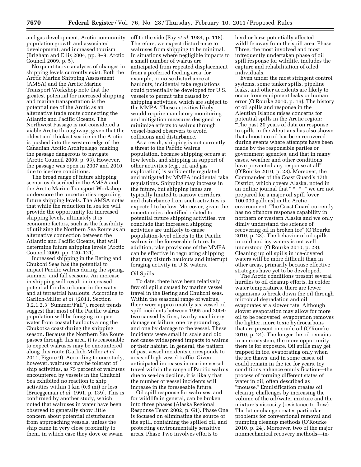and gas development, Arctic community population growth and associated development, and increased tourism (Brigham and Ellis 2004, pp. 8–9; Arctic Council 2009, p. 5).

No quantitative analyses of changes in shipping levels currently exist. Both the Arctic Marine Shipping Assessment (AMSA) and the Arctic Marine Transport Workshop note that the greatest potential for increased shipping and marine transportation is the potential use of the Arctic as an alternative trade route connecting the Atlantic and Pacific Oceans. The Northwest Passage is not considered a viable Arctic throughway, given that the oldest and thickest sea ice in the Arctic is pushed into the western edge of the Canadian Arctic Archipelago, making the passage dangerous to navigate (Arctic Council 2009, p. 93). However, the passage was open in 2007 and 2010, due to ice-free conditions.

The broad range of future shipping scenarios described in the AMSA and the Arctic Marine Transport Workshop underscore the uncertainties regarding future shipping levels. The AMSA notes that while the reduction in sea ice will provide the opportunity for increased shipping levels, ultimately it is economic factors, such as the feasibility of utilizing the Northern Sea Route as an alternative connection between the Atlantic and Pacific Oceans, that will determine future shipping levels (Arctic Council 2009, pp. 120–121).

Increased shipping in the Bering and Chukchi Seas has the potential to impact Pacific walrus during the spring, summer, and fall seasons. An increase in shipping will result in increased potential for disturbance in the water and at terrestrial haulouts. According to Garlich-Miller *et al.* (2011, Section 3.2.1.2.3 ''Summer/Fall''), recent trends suggest that most of the Pacific walrus population will be foraging in open water from coastal haulouts along the Chukotka coast during the shipping season. Because the Northern Sea Route passes through this area, it is reasonable to expect walruses may be encountered along this route (Garlich-Miller *et al.*  2011, Figure 9). According to one study, however, walruses may be tolerant of ship activities, as 75 percent of walruses encountered by vessels in the Chukchi Sea exhibited no reaction to ship activities within 1 km (0.6 mi) or less (Brueggeman *et al.* 1991, p. 139). This is confirmed by another study, which noted that walruses in water have been observed to generally show little concern about potential disturbance from approaching vessels, unless the ship came in very close proximity to them, in which case they dove or swam

off to the side (Fay *et al.* 1984, p. 118). Therefore, we expect disturbance to walruses from shipping to be minimal. In situations where negligible impacts to a small number of walrus are anticipated from repeated displacement from a preferred feeding area, for example, or noise disturbance at haulouts, incidental take regulations could potentially be developed for U.S. vessels to permit take caused by shipping activities, which are subject to the MMPA. These activities likely would require mandatory monitoring and mitigation measures designed to minimize effects to walrus through vessel-based observers to avoid collisions and disturbance.

As a result, shipping is not currently a threat to the Pacific walrus population, because shipping occurs at low levels, and shipping in support of other activities (*e.g.,* oil and gas exploration) is sufficiently regulated and mitigated by MMPA incidental take regulations. Shipping may increase in the future, but shipping lanes are typically limited to narrow corridors, and disturbance from such activities is expected to be low. Moreover, given the uncertainties identified related to potential future shipping activities, we conclude that increased shipping activities are unlikely to cause population-level effects to the Pacific walrus in the foreseeable future. In addition, take provisions of the MMPA can be effective in regulating shipping that may disturb haulouts and interrupt foraging activity in U.S. waters.

#### Oil Spills

To date, there have been relatively few oil spills caused by marine vessel travel in the Bering and Chukchi seas. Within the seasonal range of walrus, there were approximately six vessel oil spill incidents between 1995 and 2004: two caused by fires, two by machinery damage or failure, one by grounding, and one by damage to the vessel. These incidents were small in scale and did not cause widespread impacts to walrus or their habitat. In general, the pattern of past vessel incidents corresponds to areas of high vessel traffic. Given anticipated increases in marine vessel travel within the range of Pacific walrus due to sea-ice decline, it is likely that the number of vessel incidents will increase in the foreseeable future.

Oil spill response for walruses, and for wildlife in general, can be broken into three phases (Alaska Regional Response Team 2002, p. G1). Phase One is focused on eliminating the source of the spill, containing the spilled oil, and protecting environmentally sensitive areas. Phase Two involves efforts to

herd or haze potentially affected wildlife away from the spill area. Phase Three, the most involved and most infrequently undertaken phase of oil spill response for wildlife, includes the capture and rehabilitation of oiled individuals.

Even under the most stringent control systems, some tanker spills, pipeline leaks, and other accidents are likely to occur from equipment leaks or human error (O'Rourke 2010, p. 16). The history of oil spills and response in the Aleutian Islands raises concerns for potential spills in the Arctic region: ''The past 20 years of data on response to spills in the Aleutians has also shown that almost no oil has been recovered during events where attempts have been made by the responsible parties or government agencies, and that in many cases, weather and other conditions have prevented any response at all'' (O'Rourke 2010, p. 23). Moreover, the Commander of the Coast Guard's 17th District, which covers Alaska, noted in an online journal that " \* \* \* we are not prepared for a major oil spill [over 100,000 gallons] in the Arctic environment. The Coast Guard currently has no offshore response capability in northern or western Alaska and we only dimly understand the science of recovering oil in broken ice'' (O'Rourke 2010, p. 23). The behavior of oil spills in cold and icy waters is not well understood (O'Rourke 2010, p. 23). Cleaning up oil spills in ice-covered waters will be more difficult than in other areas, primarily because effective strategies have yet to be developed.

The Arctic conditions present several hurdles to oil cleanup efforts. In colder water temperatures, there are fewer organisms to break down the oil through microbial degradation and oil evaporates at a slower rate. Although slower evaporation may allow for more oil to be recovered, evaporation removes the lighter, more toxic hydrocarbons that are present in crude oil (O'Rourke 2010, p. 24). The longer the oil remains in an ecosystem, the more opportunity there is for exposure. Oil spills may get trapped in ice, evaporating only when the ice thaws, and in some cases, oil could remain in the ice for years. Icy conditions enhance emulsification—the process of forming different states of water in oil, often described as ''mousse.'' Emulsification creates oil cleanup challenges by increasing the volume of the oil/water mixture and the mixture's viscosity (resistance to flow). The latter change creates particular problems for conventional removal and pumping cleanup methods (O'Rourke 2010, p. 24). Moreover, two of the major nonmechanical recovery methods—in-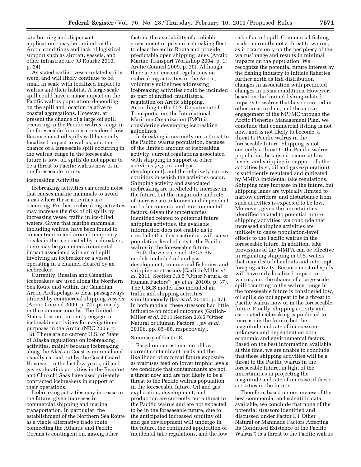situ burning and dispersant application—may be limited by the Arctic conditions and lack of logistical support such as aircraft, vessels, and other infrastructure (O'Rourke 2010, p. 24).

As stated earlier, vessel-related spills were, and will likely continue to be, small in scale with localized impact to walrus and their habitat. A large-scale spill could have a major impact on the Pacific walrus population, depending on the spill and location relative to coastal aggregations. However, at present the chance of a large oil spill occurring in the Pacific walrus' range in the foreseeable future is considered low. Because most oil spills will have only localized impact to walrus, and the chance of a large-scale spill occurring in the walrus' range in the foreseeable future is low, oil spills do not appear to be a threat to Pacific walrus now or in the foreseeable future.

## Icebreaking Activities

Icebreaking activities can create noise that causes marine mammals to avoid areas where these activities are occurring. Further, icebreaking activities may increase the risk of oil spills by increasing vessel traffic in ice-filled waters. Given that marine mammals, including walrus, have been found to concentrate in and around temporary breaks in the ice created by icebreakers, there may be greater environmental impact associated with an oil spill involving an icebreaker or a vessel operating in a channel cleared by an icebreaker.

Currently, Russian and Canadian icebreakers are used along the Northern Sea Route and within the Canadian Arctic Archipelago to clear passageways utilized by commercial shipping vessels (Arctic Council 2009, p. 74), primarily in the summer months. The United States does not currently engage in icebreaking activities for navigational purposes in the Arctic (NRC 2005, p. 16). There are no current U.S. or State of Alaska regulations on icebreaking activities, mainly because icebreaking along the Alaskan Coast is minimal and usually carried out by the Coast Guard. However, in the last few years, oil and gas exploration activities in the Beaufort and Chukchi Seas have used privately contracted icebreakers in support of their operations.

Icebreaking activities may increase in the future, given increases in commercial shipping and marine transportation. In particular, the establishment of the Northern Sea Route as a viable alternative trade route connecting the Atlantic and Pacific Oceans is contingent on, among other

factors, the availability of a reliable government or private icebreaking fleet to clear the entire Route and provide predictable open shipping lanes (Arctic Marine Transport Workshop 2004, p. 1; Arctic Council 2009, p. 20). Although there are no current regulations on icebreaking activities in the Arctic, voluntary guidelines addressing icebreaking activities could be included as part of unified, multilateral regulation on Arctic shipping. According to the U.S. Department of Transportation, the International Maritime Organization (IMO) is considering developing icebreaking guidelines.

Icebreaking is currently not a threat to the Pacific walrus population, because of the limited amount of icebreaking activity, current regulations associated with shipping in support of other activities (*e.g.,* oil and gas development), and the relatively narrow corridors in which the activities occur. Shipping activity and associated icebreaking are predicted to increase in the future, but the magnitude and rate of increase are unknown and dependent on both economic and environmental factors. Given the uncertainties identified related to potential future shipping activities, the available information does not enable us to conclude that these activities will cause population-level effects to the Pacific walrus in the foreseeable future.

Both the Service and USGS BN models included oil and gas development, commercial fisheries, and shipping as stressors (Garlich-Miller *et al.* 2011, Section 3.8.5 ''Other Natural or Human Factors''; Jay *et al.* 2010b, p. 37). The USGS model also included air traffic and shipping activities simultaneously (Jay *et al.* 2010b, p. 37). In both models, these stressors had little influence on model outcomes (Garlich-Miller *et al.* 2011 Section 3.8.5 ''Other Natural or Human Factors''; Jay *et al.*  2010b, pp. 85–86, respectively).

#### Summary of Factor E

Based on our estimation of low current contaminant loads and the likelihood of minimal future exposure as walruses feed on lower trophic levels, we conclude that contaminants are not a threat now and are not likely to be a threat to the Pacific walrus population in the foreseeable future. Oil and gas exploration, development, and production are currently not a threat to the Pacific walrus and are not expected to be in the foreseeable future, due to the anticipated increased scrutiny oil and gas development will undergo in the future, the continued application of incidental take regulations, and the low

risk of an oil spill. Commercial fishing is also currently not a threat to walrus, as it occurs only on the periphery of the walrus' range and results in minimal impacts on the population. We recognize the potential future interest by the fishing industry to initiate fisheries further north as fish distribution changes in association with predicted changes in ocean conditions. However, based on the limited fishing-related impacts to walrus that have occurred in other areas to date, and the active engagement of the NPFMC through the Arctic Fisheries Management Plan, we conclude that commercial fishing is not now, and is not likely to become, a threat to Pacific walrus in the foreseeable future. Shipping is not currently a threat to the Pacific walrus population, because it occurs at low levels, and shipping in support of other activities (*e.g.,* oil and gas exploration) is sufficiently regulated and mitigated by MMPA incidental take regulations. Shipping may increase in the future, but shipping lanes are typically limited to narrow corridors, and disturbance from such activities is expected to be low. Moreover, given the uncertainties identified related to potential future shipping activities, we conclude that increased shipping activities are unlikely to cause population-level effects to the Pacific walrus in the foreseeable future. In addition, take provisions of the MMPA can be effective in regulating shipping in U.S. waters that may disturb haulouts and interrupt foraging activity. Because most oil spills will have only localized impact to walrus, and the chance of a large-scale spill occurring in the walrus' range in the foreseeable future is considered low, oil spills do not appear to be a threat to Pacific walrus now or in the foreseeable future. Finally, shipping activity and associated icebreaking is predicted to increase in the future, but the magnitude and rate of increase are unknown and dependent on both economic and environmental factors. Based on the best information available at this time, we are unable to conclude that these shipping activities will be a threat to the Pacific walrus in the foreseeable future, in light of the uncertainties in projecting the magnitude and rate of increase of these activities in the future.

Therefore, based on our review of the best commercial and scientific data available, we conclude that none of the potential stressors identified and discussed under Factor E (''Other Natural or Manmade Factors Affecting Its Continued Existence of the Pacific Walrus'') is a threat to the Pacific walrus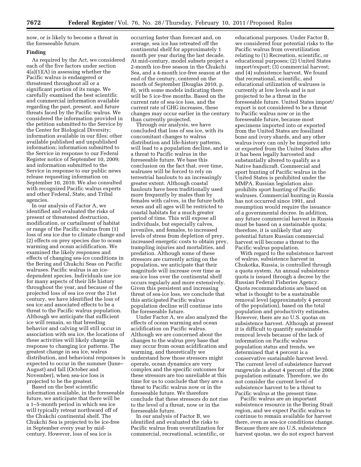now, or is likely to become a threat in the foreseeable future.

#### **Finding**

As required by the Act, we considered each of the five factors under section  $4(a)(1)(A)$  in assessing whether the Pacific walrus is endangered or threatened throughout all or a significant portion of its range. We carefully examined the best scientific and commercial information available regarding the past, present, and future threats faced by the Pacific walrus. We considered the information provided in the petition submitted to the Service by the Center for Biological Diversity; information available in our files; other available published and unpublished information; information submitted to the Service in response to our Federal Register notice of September 10, 2009; and information submitted to the Service in response to our public news release requesting information on September 10, 2010. We also consulted with recognized Pacific walrus experts and other Federal, State, and Tribal agencies.

In our analysis of Factor A, we identified and evaluated the risks of present or threatened destruction, modification, or curtailment of habitat or range of the Pacific walrus from (1) loss of sea ice due to climate change and (2) effects on prey species due to ocean warming and ocean acidification. We examined the likely responses and effects of changing sea-ice conditions in the Bering and Chukchi Seas on Pacific walruses. Pacific walrus is an icedependent species. Individuals use ice for many aspects of their life history throughout the year, and because of the projected loss of sea ice over the 21st century, we have identified the loss of sea ice and associated effects to be a threat to the Pacific walrus population. Although we anticipate that sufficient ice will remain, so that breeding behavior and calving will still occur in association with sea ice, the locations of these activities will likely change in response to changing ice patterns. The greatest change in sea ice, walrus distribution, and behavioral responses is expected to occur in the summer (June– August) and fall (October and November), when sea-ice loss is projected to be the greatest.

Based on the best scientific information available, in the foreseeable future, we anticipate that there will be a 1–5-month period in which sea ice will typically retreat northward off of the Chukchi continental shelf. The Chukchi Sea is projected to be ice-free in September every year by midcentury. However, loss of sea ice is

occurring faster than forecast and, on average, sea ice has retreated off the continental shelf for approximately 1 month per year during the last decade. At mid-century, model subsets project a 2-month ice-free season in the Chukchi Sea, and a 4-month ice-free season at the end of the century, centered on the month of September (Douglas 2010, p. 8), with some models indicating there will be 5 ice-free months. Based on the current rate of sea-ice loss, and the current rate of GHG increases, these changes may occur earlier in the century than currently projected.

Through our analysis, we have concluded that loss of sea ice, with its concomitant changes to walrus distribution and life-history patterns, will lead to a population decline, and is a threat to Pacific walrus in the foreseeable future. We base this conclusion on the fact that, over time, walruses will be forced to rely on terrestrial haulouts to an increasingly greater extent. Although coastal haulouts have been traditionally used more frequently by males than by females with calves, in the future both sexes and all ages will be restricted to coastal habitats for a much greater period of time. This will expose all individuals, but especially calves, juveniles, and females, to increased levels of stress from depletion of prey, increased energetic costs to obtain prey, trampling injuries and mortalities, and predation. Although some of these stressors are currently acting on the population, we anticipate that their magnitude will increase over time as sea-ice loss over the continental shelf occurs regularly and more extensively. Given this persistent and increasing threat of sea-ice loss, we conclude that this anticipated Pacific walrus population decline will continue into the foreseeable future.

Under Factor A, we also analyzed the effects of ocean warming and ocean acidification on Pacific walrus. Although we are concerned about the changes to the walrus prey base that may occur from ocean acidification and warming, and theoretically we understand how those stressors might operate, ocean dynamics are very complex and the specific outcomes for these stressors are too unreliable at this time for us to conclude that they are a threat to Pacific walrus now or in the foreseeable future. We therefore conclude that these stressors do not rise to the level of a threat, now or in the foreseeable future.

In our analysis of Factor B, we identified and evaluated the risks to Pacific walrus from overutilization for commercial, recreational, scientific, or

educational purposes. Under Factor B, we considered four potential risks to the Pacific walrus from overutilization relating to (1) Recreation, scientific, or educational purposes; (2) United States import/export; (3) commercial harvest; and (4) subsistence harvest. We found that recreational, scientific, and educational utilization of walruses is currently at low levels and is not projected to be a threat in the foreseeable future. United States import/ export is not considered to be a threat to Pacific walrus now or in the foreseeable future, because most specimens imported into or exported from the United States are fossilized bone and ivory shards, and any other walrus ivory can only be imported into or exported from the United States after it has been legally harvested and substantially altered to qualify as a Native handicraft. Commercial and sport hunting of Pacific walrus in the United States is prohibited under the MMPA. Russian legislation also prohibits sport hunting of Pacific walruses. Commercial hunting in Russia has not occurred since 1991, and resumption would require the issuance of a governmental decree. In addition, any future commercial harvest in Russia must be based on a sustainable quota; therefore, it is unlikely that any potential future Russian commercial harvest will become a threat to the Pacific walrus population.

With regard to the subsistence harvest of walrus, subsistence harvest in Chukotka, Russia, is controlled through a quota system. An annual subsistence quota is issued through a decree by the Russian Federal Fisheries Agency. Quota recommendations are based on what is thought to be a sustainable removal level (approximately 4 percent of the population), based on the total population and productivity estimates. However, there are no U.S. quotas on subsistence harvest. Although at present it is difficult to quantify sustainable removal levels because of the lack of information on Pacific walrus population status and trends, we determined that 4 percent is a conservative sustainable harvest level. The current level of subsistence harvest rangewide is about 4 percent of the 2006 population estimate. Therefore, we do not consider the current level of subsistence harvest to be a threat to Pacific walrus at the present time.

Pacific walrus are an important subsistence resource in the Bering Strait region, and we expect Pacific walrus to continue to remain available for harvest there, even as sea-ice conditions change. Because there are no U.S. subsistence harvest quotas, we do not expect harvest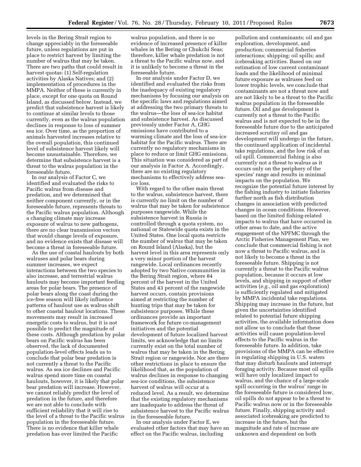levels in the Bering Strait region to change appreciably in the foreseeable future, unless regulations are put in place to restrict harvest by limiting the number of walrus that may be taken. There are two paths that could result in harvest quotas: (1) Self-regulation activities by Alaska Natives; and (2) implementation of procedures in the MMPA. Neither of these is currently in place, except for one quota on Round Island, as discussed below. Instead, we predict that subsistence harvest is likely to continue at similar levels to those currently, even as the walrus population declines in response to loss of summer sea ice. Over time, as the proportion of animals harvested increases relative to the overall population, this continued level of subsistence harvest likely will become unsustainable. Therefore, we determine that subsistence harvest is a threat to the walrus population in the foreseeable future.

In our analysis of Factor C, we identified and evaluated the risks to Pacific walrus from disease and predation, and we determined that neither component currently, or in the foreseeable future, represents threats to the Pacific walrus population. Although a changing climate may increase exposure of walrus to new pathogens, there are no clear transmission vectors that would change levels of exposure, and no evidence exists that disease will become a threat in foreseeable future.

As the use of coastal haulouts by both walruses and polar bears during summer increases, we expect interactions between the two species to also increase, and terrestrial walrus haulouts may become important feeding areas for polar bears. The presence of polar bears along the coast during the ice-free season will likely influence patterns of haulout use as walrus shift to other coastal haulout locations. These movements may result in increased energetic costs to walrus, but it is not possible to predict the magnitude of these costs. Although predation by polar bears on Pacific walrus has been observed, the lack of documented population-level effects leads us to conclude that polar bear predation is not currently a threat to the Pacific walrus. As sea ice declines and Pacific walrus spend more time on coastal haulouts, however, it is likely that polar bear predation will increase. However, we cannot reliably predict the level of predation in the future, and therefore we are not able to conclude with sufficient reliability that it will rise to the level of a threat to the Pacific walrus population in the foreseeable future. There is no evidence that killer whale predation has ever limited the Pacific

walrus population, and there is no evidence of increased presence of killer whales in the Bering or Chukchi Seas; therefore, killer whale predation is not a threat to the Pacific walrus now, and it is unlikely to become a threat in the foreseeable future.

In our analysis under Factor D, we identified and evaluated the risks from the inadequacy of existing regulatory mechanisms by focusing our analysis on the specific laws and regulations aimed at addressing the two primary threats to the walrus—the loss of sea-ice habitat and subsistence harvest. As discussed previously under Factor A, GHG emissions have contributed to a warming climate and the loss of sea-ice habitat for the Pacific walrus. There are currently no regulatory mechanisms in place to reduce or limit GHG emissions. This situation was considered as part of our analysis in Factor A. Accordingly, there are no existing regulatory mechanisms to effectively address seaice loss.

With regard to the other main threat to the walrus, subsistence harvest, there is currently no limit on the number of walrus that may be taken for subsistence purposes rangewide. While the subsistence harvest in Russia is controlled through a quota system, no national or Statewide quota exists in the United States. One local quota restricts the number of walrus that may be taken on Round Island (Alaska), but the harvest level in this area represents only a very minor portion of the harvest rangewide. Local ordinances recently adopted by two Native communities in the Bering Strait region, where 84 percent of the harvest in the United States and 43 percent of the rangewide harvest occurs, contain provisions aimed at restricting the number of hunting trips that may be taken for subsistence purposes. While these ordinances provide an important framework for future co-management initiatives and the potential development of future localized harvest limits, we acknowledge that no limits currently exist on the total number of walrus that may be taken in the Bering Strait region or rangewide. Nor are there other restrictions in place to ensure the likelihood that, as the population of walrus declines in response to changing sea-ice conditions, the subsistence harvest of walrus will occur at a reduced level. As a result, we determine that the existing regulatory mechanisms are inadequate to address the threat of subsistence harvest to the Pacific walrus in the foreseeable future.

In our analysis under Factor E, we evaluated other factors that may have an effect on the Pacific walrus, including

pollution and contaminants; oil and gas exploration, development, and production; commercial fisheries interactions; shipping; oil spills; and icebreaking activities. Based on our estimation of low current contaminant loads and the likelihood of minimal future exposure as walruses feed on lower trophic levels, we conclude that contaminants are not a threat now and are not likely to be a threat to the Pacific walrus population in the foreseeable future. Oil and gas development is currently not a threat to the Pacific walrus and is not expected to be in the foreseeable future due to the anticipated increased scrutiny oil and gas development will undergo in the future, the continued application of incidental take regulations, and the low risk of an oil spill. Commercial fishing is also currently not a threat to walrus as it occurs only on the periphery of the species' range and results in minimal impacts on the population. We recognize the potential future interest by the fishing industry to initiate fisheries further north as fish distribution changes in association with predicted changes in ocean conditions. However, based on the limited fishing-related impacts to walrus that have occurred in other areas to date, and the active engagement of the NPFMC through the Arctic Fisheries Management Plan, we conclude that commercial fishing is not now a threat to Pacific walrus, and is not likely to become a threat in the foreseeable future. Shipping is not currently a threat to the Pacific walrus population, because it occurs at low levels, and shipping in support of other activities (*e.g.,* oil and gas exploration) is sufficiently regulated and mitigated by MMPA incidental take regulations. Shipping may increase in the future, but given the uncertainties identified related to potential future shipping activities, the available information does not allow us to conclude that these activities will cause population-level effects to the Pacific walrus in the foreseeable future. In addition, take provisions of the MMPA can be effective in regulating shipping in U.S. waters that may disturb haulouts and interrupt foraging activity. Because most oil spills will have only localized impact to walrus, and the chance of a large-scale spill occurring in the walrus' range in the foreseeable future is considered low, oil spills do not appear to be a threat to Pacific walrus now or in the foreseeable future. Finally, shipping activity and associated icebreaking are predicted to increase in the future, but the magnitude and rate of increase are unknown and dependent on both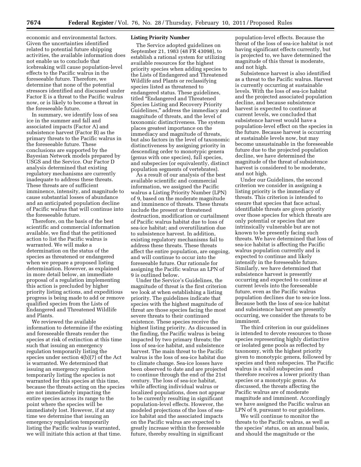economic and environmental factors. Given the uncertainties identified related to potential future shipping activities, the available information does not enable us to conclude that icebreaking will cause population-level effects to the Pacific walrus in the foreseeable future. Therefore, we determine that none of the potential stressors identified and discussed under Factor E is a threat to the Pacific walrus now, or is likely to become a threat in the foreseeable future.

In summary, we identify loss of sea ice in the summer and fall and associated impacts (Factor A) and subsistence harvest (Factor B) as the primary threats to the Pacific walrus in the foreseeable future. These conclusions are supported by the Bayesian Network models prepared by USGS and the Service. Our Factor D analysis determined that existing regulatory mechanisms are currently inadequate to address these threats. These threats are of sufficient imminence, intensity, and magnitude to cause substantial losses of abundance and an anticipated population decline of Pacific walrus that will continue into the foreseeable future.

Therefore, on the basis of the best scientific and commercial information available, we find that the petitioned action to list the Pacific walrus is warranted. We will make a determination on the status of the species as threatened or endangered when we prepare a proposed listing determination. However, as explained in more detail below, an immediate proposal of a regulation implementing this action is precluded by higher priority listing actions, and expeditious progress is being made to add or remove qualified species from the Lists of Endangered and Threatened Wildlife and Plants.

We reviewed the available information to determine if the existing and foreseeable threats render the species at risk of extinction at this time such that issuing an emergency regulation temporarily listing the species under section 4(b)(7) of the Act is warranted. We determined that issuing an emergency regulation temporarily listing the species is not warranted for this species at this time, because the threats acting on the species are not immediately impacting the entire species across its range to the point where the species will be immediately lost. However, if at any time we determine that issuing an emergency regulation temporarily listing the Pacific walrus is warranted, we will initiate this action at that time.

#### **Listing Priority Number**

The Service adopted guidelines on September 21, 1983 (48 FR 43098), to establish a rational system for utilizing available resources for the highest priority species when adding species to the Lists of Endangered and Threatened Wildlife and Plants or reclassifying species listed as threatened to endangered status. These guidelines, titled ''Endangered and Threatened Species Listing and Recovery Priority Guidelines,'' address the immediacy and magnitude of threats, and the level of taxonomic distinctiveness. The system places greatest importance on the immediacy and magnitude of threats, but also factors in the level of taxonomic distinctiveness by assigning priority in descending order to monotypic genera (genus with one species), full species, and subspecies (or equivalently, distinct population segments of vertebrates).

As a result of our analysis of the best available scientific and commercial information, we assigned the Pacific walrus a Listing Priority Number (LPN) of 9, based on the moderate magnitude and imminence of threats. These threats include the present or threatened destruction, modification or curtailment of Pacific walrus habitat due to loss of sea-ice habitat; and overutilization due to subsistence harvest. In addition, existing regulatory mechanisms fail to address these threats. These threats affect the entire population, are ongoing, and will continue to occur into the foreseeable future. Our rationale for assigning the Pacific walrus an LPN of 9 is outlined below.

Under the Service's Guidelines, the magnitude of threat is the first criterion we look at when establishing a listing priority. The guidelines indicate that species with the highest magnitude of threat are those species facing the most severe threats to their continued existence. These species receive the highest listing priority. As discussed in the finding, the Pacific walrus is being impacted by two primary threats; the loss of sea-ice habitat, and subsistence harvest. The main threat to the Pacific walrus is the loss of sea-ice habitat due to climate change. Sea-ice losses have been observed to date and are projected to continue through the end of the 21st century. The loss of sea-ice habitat, while affecting individual walrus or localized populations, does not appear to be currently resulting in significant population-level effects. However, the modeled projections of the loss of seaice habitat and the associated impacts on the Pacific walrus are expected to greatly increase within the foreseeable future, thereby resulting in significant

population-level effects. Because the threat of the loss of sea-ice habitat is not having significant effects currently, but is projected to, we have determined the magnitude of this threat is moderate, and not high.

Subsistence harvest is also identified as a threat to the Pacific walrus. Harvest is currently occurring at sustainable levels. With the loss of sea-ice habitat and the projected associated population decline, and because subsistence harvest is expected to continue at current levels, we concluded that subsistence harvest would have a population-level effect on the species in the future. Because harvest is occurring at sustainable levels now, but may become unsustainable in the foreseeable future due to the projected population decline, we have determined the magnitude of the threat of subsistence harvest is considered to be moderate, and not high.

Under our Guidelines, the second criterion we consider in assigning a listing priority is the immediacy of threats. This criterion is intended to ensure that species that face actual, identifiable threats are given priority over those species for which threats are only potential or species that are intrinsically vulnerable but are not known to be presently facing such threats. We have determined that loss of sea-ice habitat is affecting the Pacific walrus population currently and is expected to continue and likely intensify in the foreseeable future. Similarly, we have determined that subsistence harvest is presently occurring and expected to continue at current levels into the foreseeable future, even as the Pacific walrus population declines due to sea-ice loss. Because both the loss of sea-ice habitat and subsistence harvest are presently occurring, we consider the threats to be imminent.

The third criterion in our guidelines is intended to devote resources to those species representing highly distinctive or isolated gene pools as reflected by taxonomy, with the highest priority given to monotypic genera, followed by species and then subspecies. The Pacific walrus is a valid subspecies and therefore receives a lower priority than species or a monotypic genus. As discussed, the threats affecting the Pacific walrus are of moderate magnitude and imminent. Accordingly we have assigned the Pacific walrus an LPN of 9, pursuant to our guidelines.

We will continue to monitor the threats to the Pacific walrus, as well as the species' status, on an annual basis, and should the magnitude or the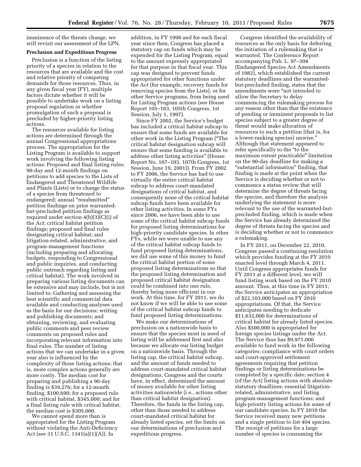imminence of the threats change, we will revisit our assessment of the LPN.

# **Preclusion and Expeditious Progress**

Preclusion is a function of the listing priority of a species in relation to the resources that are available and the cost and relative priority of competing demands for those resources. Thus, in any given fiscal year (FY), multiple factors dictate whether it will be possible to undertake work on a listing proposal regulation or whether promulgation of such a proposal is precluded by higher-priority listing actions.

The resources available for listing actions are determined through the annual Congressional appropriations process. The appropriation for the Listing Program is available to support work involving the following listing actions: Proposed and final listing rules; 90-day and 12-month findings on petitions to add species to the Lists of Endangered and Threatened Wildlife and Plants (Lists) or to change the status of a species from threatened to endangered; annual "resubmitted" petition findings on prior warrantedbut-precluded petition findings as required under section 4(b)(3)(C)(i) of the Act; critical habitat petition findings; proposed and final rules designating critical habitat; and litigation-related, administrative, and program-management functions (including preparing and allocating budgets, responding to Congressional and public inquiries, and conducting public outreach regarding listing and critical habitat). The work involved in preparing various listing documents can be extensive and may include, but is not limited to: Gathering and assessing the best scientific and commercial data available and conducting analyses used as the basis for our decisions; writing and publishing documents; and obtaining, reviewing, and evaluating public comments and peer review comments on proposed rules and incorporating relevant information into final rules. The number of listing actions that we can undertake in a given year also is influenced by the complexity of those listing actions; that is, more complex actions generally are more costly. The median cost for preparing and publishing a 90-day finding is \$39,276; for a 12-month finding, \$100,690; for a proposed rule with critical habitat, \$345,000; and for a final listing rule with critical habitat, the median cost is \$305,000.

We cannot spend more than is appropriated for the Listing Program without violating the Anti-Deficiency Act (see 31 U.S.C. 1341(a)(1)(A)). In

addition, in FY 1998 and for each fiscal year since then, Congress has placed a statutory cap on funds which may be expended for the Listing Program, equal to the amount expressly appropriated for that purpose in that fiscal year. This cap was designed to prevent funds appropriated for other functions under the Act (for example, recovery funds for removing species from the Lists), or for other Service programs, from being used for Listing Program actions (see House Report 105–163, 105th Congress, 1st Session, July 1, 1997).

Since FY 2002, the Service's budget has included a critical habitat subcap to ensure that some funds are available for other work in the Listing Program (''The critical habitat designation subcap will ensure that some funding is available to address other listing activities'' (House Report No. 107–103, 107th Congress, 1st Session, June 19, 2001)). From FY 2002 to FY 2006, the Service has had to use virtually the entire critical habitat subcap to address court-mandated designations of critical habitat, and consequently none of the critical habitat subcap funds have been available for other listing activities. In some FYs since 2006, we have been able to use some of the critical habitat subcap funds for proposed listing determinations for high-priority candidate species. In other FYs, while we were unable to use any of the critical habitat subcap funds to fund proposed listing determinations, we did use some of this money to fund the critical habitat portion of some proposed listing determinations so that the proposed listing determination and proposed critical habitat designation could be combined into one rule, thereby being more efficient in our work. At this time, for FY 2011, we do not know if we will be able to use some of the critical habitat subcap funds to fund proposed listing determinations.

We make our determinations of preclusion on a nationwide basis to ensure that the species most in need of listing will be addressed first and also because we allocate our listing budget on a nationwide basis. Through the listing cap, the critical habitat subcap, and the amount of funds needed to address court-mandated critical habitat designations, Congress and the courts have, in effect, determined the amount of money available for other listing activities nationwide (i.e., actions other than critical habitat designation). Therefore, the funds in the listing cap, other than those needed to address court-mandated critical habitat for already listed species, set the limits on our determinations of preclusion and expeditious progress.

Congress identified the availability of resources as the only basis for deferring the initiation of a rulemaking that is warranted. The Conference Report accompanying Pub. L. 97–304 (Endangered Species Act Amendments of 1982), which established the current statutory deadlines and the warrantedbut-precluded finding, states that the amendments were ''not intended to allow the Secretary to delay commencing the rulemaking process for any reason other than that the existence of pending or imminent proposals to list species subject to a greater degree of threat would make allocation of resources to such a petition [that is, for a lower-ranking species] unwise.'' Although that statement appeared to refer specifically to the ''to the maximum extent practicable'' limitation on the 90-day deadline for making a ''substantial information'' finding, that finding is made at the point when the Service is deciding whether or not to commence a status review that will determine the degree of threats facing the species, and therefore the analysis underlying the statement is more relevant to the use of the warranted-butprecluded finding, which is made when the Service has already determined the degree of threats facing the species and is deciding whether or not to commence a rulemaking.

In FY 2011, on December 22, 2010, Congress passed a continuing resolution which provides funding at the FY 2010 enacted level through March 4, 2011. Until Congress appropriates funds for FY 2011 at a different level, we will fund listing work based on the FY 2010 amount. Thus, at this time in FY 2011, the Service anticipates an appropriation of \$22,103,000 based on FY 2010 appropriations. Of that, the Service anticipates needing to dedicate \$11,632,000 for determinations of critical habitat for already listed species. Also \$500,000 is appropriated for foreign species listings under the Act. The Service thus has \$9,971,000 available to fund work in the following categories: compliance with court orders and court-approved settlement agreements requiring that petition findings or listing determinations be completed by a specific date; section 4 (of the Act) listing actions with absolute statutory deadlines; essential litigationrelated, administrative, and listing program-management functions; and high-priority listing actions for some of our candidate species. In FY 2010 the Service received many new petitions and a single petition to list 404 species. The receipt of petitions for a large number of species is consuming the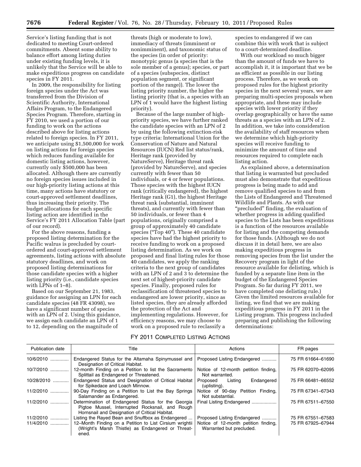Service's listing funding that is not dedicated to meeting Court-ordered commitments. Absent some ability to balance effort among listing duties under existing funding levels, it is unlikely that the Service will be able to make expeditious progress on candidate species in FY 2011.

In 2009, the responsibility for listing foreign species under the Act was transferred from the Division of Scientific Authority, International Affairs Program, to the Endangered Species Program. Therefore, starting in FY 2010, we used a portion of our funding to work on the actions described above for listing actions related to foreign species. In FY 2011, we anticipate using \$1,500,000 for work on listing actions for foreign species which reduces funding available for domestic listing actions, however, currently only \$500,000 has been allocated. Although there are currently no foreign species issues included in our high-priority listing actions at this time, many actions have statutory or court-approved settlement deadlines, thus increasing their priority. The budget allocations for each specific listing action are identified in the Service's FY 2011 Allocation Table (part of our record).

For the above reasons, funding a proposed listing determination for the Pacific walrus is precluded by courtordered and court-approved settlement agreements, listing actions with absolute statutory deadlines, and work on proposed listing determinations for those candidate species with a higher listing priority (i.e., candidate species with  $LPNs$  of  $1-8$ ).

Based on our September 21, 1983, guidance for assigning an LPN for each candidate species (48 FR 43098), we have a significant number of species with an LPN of 2. Using this guidance, we assign each candidate an LPN of 1 to 12, depending on the magnitude of

threats (high or moderate to low), immediacy of threats (imminent or nonimminent), and taxonomic status of the species (in order of priority: monotypic genus (a species that is the sole member of a genus); species, or part of a species (subspecies, distinct population segment, or significant portion of the range)). The lower the listing priority number, the higher the listing priority (that is, a species with an LPN of 1 would have the highest listing priority).

Because of the large number of highpriority species, we have further ranked the candidate species with an LPN of 2 by using the following extinction-risk type criteria: International Union for the Conservation of Nature and Natural Resources (IUCN) Red list status/rank, Heritage rank (provided by NatureServe), Heritage threat rank (provided by NatureServe), and species currently with fewer than 50 individuals, or 4 or fewer populations. Those species with the highest IUCN rank (critically endangered), the highest Heritage rank (G1), the highest Heritage threat rank (substantial, imminent threats), and currently with fewer than 50 individuals, or fewer than 4 populations, originally comprised a group of approximately 40 candidate species ("Top 40"). These 40 candidate species have had the highest priority to receive funding to work on a proposed listing determination. As we work on proposed and final listing rules for those 40 candidates, we apply the ranking criteria to the next group of candidates with an LPN of 2 and 3 to determine the next set of highest-priority candidate species. Finally, proposed rules for reclassification of threatened species to endangered are lower priority, since as listed species, they are already afforded the protection of the Act and implementing regulations. However, for efficiency reasons, we may choose to work on a proposed rule to reclassify a

species to endangered if we can combine this with work that is subject to a court-determined deadline.

With our workload so much bigger than the amount of funds we have to accomplish it, it is important that we be as efficient as possible in our listing process. Therefore, as we work on proposed rules for the highest priority species in the next several years, we are preparing multi-species proposals when appropriate, and these may include species with lower priority if they overlap geographically or have the same threats as a species with an LPN of 2. In addition, we take into consideration the availability of staff resources when we determine which high-priority species will receive funding to minimize the amount of time and resources required to complete each listing action.

As explained above, a determination that listing is warranted but precluded must also demonstrate that expeditious progress is being made to add and remove qualified species to and from the Lists of Endangered and Threatened Wildlife and Plants. As with our "precluded" finding, the evaluation of whether progress in adding qualified species to the Lists has been expeditious is a function of the resources available for listing and the competing demands for those funds. (Although we do not discuss it in detail here, we are also making expeditious progress in removing species from the list under the Recovery program in light of the resource available for delisting, which is funded by a separate line item in the budget of the Endangered Species Program. So far during FY 2011, we have completed one delisting rule.) Given the limited resources available for listing, we find that we are making expeditious progress in FY 2011 in the Listing program. This progress included preparing and publishing the following determinations:

# FY 2011 COMPLETED LISTING ACTIONS

| <b>Publication date</b> | Title                                                                                                                                                   | Actions                                                          | FR pages          |
|-------------------------|---------------------------------------------------------------------------------------------------------------------------------------------------------|------------------------------------------------------------------|-------------------|
| 10/6/2010               | Endangered Status for the Altamaha Spinymussel and<br>Designation of Critical Habitat.                                                                  | Proposed Listing Endangered                                      | 75 FR 61664-61690 |
| 10/7/2010               | 12-month Finding on a Petition to list the Sacramento<br>Splittail as Endangered or Threatened.                                                         | Notice of 12-month petition finding,<br>Not warranted.           | 75 FR 62070-62095 |
| 10/28/2010              | Endangered Status and Designation of Critical Habitat<br>for Spikedace and Loach Minnow.                                                                | Endangered<br>Listing<br>Proposed<br>(uplisting).                | 75 FR 66481-66552 |
| 11/2/2010               | 90-Day Finding on a Petition to List the Bay Springs<br>Salamander as Endangered.                                                                       | Notice of 90-day Petition Finding,<br>Not substantial.           | 75 FR 67341-67343 |
| $11/2/2010$             | Determination of Endangered Status for the Georgia<br>Pigtoe Mussel, Interrupted Rocksnail, and Rough<br>Hornsnail and Designation of Critical Habitat. | Final Listing Endangered                                         | 75 FR 67511-67550 |
| 11/2/2010               | Listing the Rayed Bean and Snuffbox as Endangered                                                                                                       | Proposed Listing Endangered                                      | 75 FR 67551-67583 |
| $11/4/2010$             | 12-Month Finding on a Petition to List Cirsium wrightii<br>(Wright's Marsh Thistle) as Endangered or Threat-<br>ened.                                   | Notice of 12-month petition finding,<br>Warranted but precluded. | 75 FR 67925-67944 |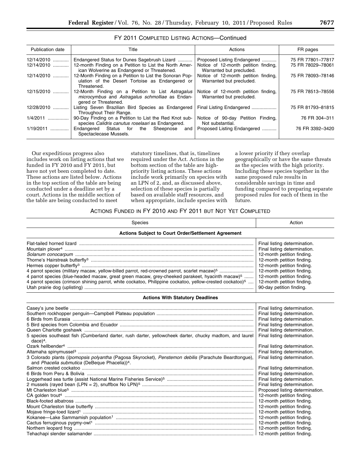| FY 2011 COMPLETED LISTING ACTIONS-Continued |  |  |  |
|---------------------------------------------|--|--|--|
|---------------------------------------------|--|--|--|

| Publication date | Title                                                                                                                        | Actions                                                          | FR pages          |
|------------------|------------------------------------------------------------------------------------------------------------------------------|------------------------------------------------------------------|-------------------|
| 12/14/2010       | Endangered Status for Dunes Sagebrush Lizard                                                                                 | Proposed Listing Endangered                                      | 75 FR 77801-77817 |
| 12/14/2010       | 12-month Finding on a Petition to List the North Amer-<br>ican Wolverine as Endangered or Threatened.                        | Notice of 12-month petition finding,<br>Warranted but precluded. | 75 FR 78029-78061 |
| 12/14/2010       | 12-Month Finding on a Petition to List the Sonoran Pop-<br>ulation of the Desert Tortoise as Endangered or<br>Threatened.    | Notice of 12-month petition finding,<br>Warranted but precluded. | 75 FR 78093-78146 |
| 12/15/2010       | 12-Month Finding on a Petition to List Astragalus<br>microcymbus and Astragalus schmolliae as Endan-<br>gered or Threatened. | Notice of 12-month petition finding,<br>Warranted but precluded. | 75 FR 78513-78556 |
| 12/28/2010<br>.  | Listing Seven Brazilian Bird Species as Endangered<br>Throughout Their Range.                                                | Final Listing Endangered                                         | 75 FR 81793-81815 |
| 1/4/2011<br>.    | 90-Day Finding on a Petition to List the Red Knot sub-<br>species Calidris canutus roselaari as Endangered.                  | Notice of 90-day Petition Finding,<br>Not substantial.           | 76 FR 304-311     |
| 1/19/2011<br>.   | Endangered Status for the Sheepnose<br>and<br>Spectaclecase Mussels.                                                         | Proposed Listing Endangered                                      | 76 FR 3392-3420   |

Our expeditious progress also includes work on listing actions that we funded in FY 2010 and FY 2011, but have not yet been completed to date. These actions are listed below. Actions in the top section of the table are being conducted under a deadline set by a court. Actions in the middle section of the table are being conducted to meet

statutory timelines, that is, timelines required under the Act. Actions in the bottom section of the table are highpriority listing actions. These actions include work primarily on species with an LPN of 2, and, as discussed above, selection of these species is partially based on available staff resources, and when appropriate, include species with a lower priority if they overlap geographically or have the same threats as the species with the high priority. Including these species together in the same proposed rule results in considerable savings in time and funding compared to preparing separate proposed rules for each of them in the future.

# ACTIONS FUNDED IN FY 2010 AND FY 2011 BUT NOT YET COMPLETED

| Species                                                                                                                                                                                                                                                                                                                                        | Action                                                                                                                                                                                                                                                                                                                                                                          |  |  |
|------------------------------------------------------------------------------------------------------------------------------------------------------------------------------------------------------------------------------------------------------------------------------------------------------------------------------------------------|---------------------------------------------------------------------------------------------------------------------------------------------------------------------------------------------------------------------------------------------------------------------------------------------------------------------------------------------------------------------------------|--|--|
| <b>Actions Subject to Court Order/Settlement Agreement</b>                                                                                                                                                                                                                                                                                     |                                                                                                                                                                                                                                                                                                                                                                                 |  |  |
| 4 parrot species (military macaw, yellow-billed parrot, red-crowned parrot, scarlet macaw) <sup>5</sup><br>4 parrot species (blue-headed macaw, great green macaw, grey-cheeked parakeet, hyacinth macaw) <sup>5</sup><br>4 parrot species (crimson shining parrot, white cockatoo, Philippine cockatoo, yellow-crested cockatoo) <sup>5</sup> | Final listing determination.<br>Final listing determination.<br>12-month petition finding.<br>12-month petition finding.<br>12-month petition finding.<br>12-month petition finding.<br>12-month petition finding.<br>12-month petition finding.<br>90-day petition finding.                                                                                                    |  |  |
| <b>Actions With Statutory Deadlines</b>                                                                                                                                                                                                                                                                                                        |                                                                                                                                                                                                                                                                                                                                                                                 |  |  |
| 5 species southeast fish (Cumberland darter, rush darter, yellowcheek darter, chucky madtom, and laurel<br>$dace)$ <sup>4</sup> .<br>3 Colorado plants (Ipomopsis polyantha (Pagosa Skyrocket), Penstemon debilis (Parachute Beardtongue),<br>and Phacelia submutica (DeBeque Phacelia)) <sup>4</sup> .                                        | Final listing determination.<br>Final listing determination.<br>Final listing determination.<br>Final listing determination.<br>Final listing determination.<br>Final listing determination.<br>Final listing determination.<br>Final listing determination.<br>Final listing determination.<br>Final listing determination.                                                    |  |  |
|                                                                                                                                                                                                                                                                                                                                                | Final listing determination.<br>Final listing determination.<br>Final listing determination.<br>Proposed listing determination.<br>12-month petition finding.<br>12-month petition finding.<br>12-month petition finding.<br>12-month petition finding.<br>12-month petition finding.<br>12-month petition finding.<br>12-month petition finding.<br>12-month petition finding. |  |  |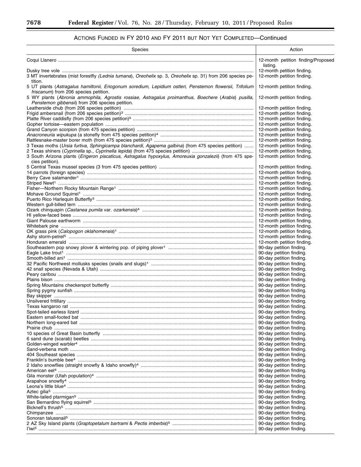۲

# ACTIONS FUNDED IN FY 2010 AND FY 2011 BUT NOT YET COMPLETED—Continued

| Species                                                                                                                                                 | Action                                                   |
|---------------------------------------------------------------------------------------------------------------------------------------------------------|----------------------------------------------------------|
|                                                                                                                                                         | 12-month petition finding/Proposed<br>listing.           |
|                                                                                                                                                         | 12-month petition finding.                               |
| 3 MT invertebrates (mist forestfly (Lednia tumana), Oreohelix sp. 3, Oreohelix sp. 31) from 206 species pe-<br>tition.                                  | 12-month petition finding.                               |
| 5 UT plants (Astragalus hamiltonii, Eriogonum soredium, Lepidium ostleri, Penstemon flowersii, Trifolium                                                | 12-month petition finding.                               |
| friscanum) from 206 species petition.                                                                                                                   |                                                          |
| 5 WY plants (Abronia ammophila, Agrostis rossiae, Astragalus proimanthus, Boechere (Arabis) pusilla,<br>Penstemon gibbensii) from 206 species petition. | 12-month petition finding.                               |
|                                                                                                                                                         | 12-month petition finding.                               |
|                                                                                                                                                         | 12-month petition finding.                               |
|                                                                                                                                                         | 12-month petition finding.<br>12-month petition finding. |
|                                                                                                                                                         | 12-month petition finding.                               |
|                                                                                                                                                         | 12-month petition finding.                               |
|                                                                                                                                                         | 12-month petition finding.                               |
| 3 Texas moths (Ursia furtiva, Sphingicampa blanchardi, Agapema galbina) (from 475 species petition)                                                     | 12-month petition finding.                               |
|                                                                                                                                                         | 12-month petition finding.                               |
| 3 South Arizona plants (Erigeron piscaticus, Astragalus hypoxylus, Amoreuxia gonzalezii) (from 475 spe-                                                 | 12-month petition finding.                               |
| cies petition).                                                                                                                                         | 12-month petition finding.                               |
|                                                                                                                                                         | 12-month petition finding.                               |
|                                                                                                                                                         | 12-month petition finding.                               |
|                                                                                                                                                         | 12-month petition finding.                               |
|                                                                                                                                                         | 12-month petition finding.                               |
|                                                                                                                                                         | 12-month petition finding.                               |
|                                                                                                                                                         | 12-month petition finding.                               |
|                                                                                                                                                         | 12-month petition finding.<br>12-month petition finding. |
|                                                                                                                                                         | 12-month petition finding.                               |
|                                                                                                                                                         | 12-month petition finding.                               |
|                                                                                                                                                         | 12-month petition finding.                               |
|                                                                                                                                                         | 12-month petition finding.                               |
|                                                                                                                                                         | 12-month petition finding.                               |
|                                                                                                                                                         | 12-month petition finding.<br>90-day petition finding.   |
|                                                                                                                                                         | 90-day petition finding.                                 |
|                                                                                                                                                         | 90-day petition finding.                                 |
|                                                                                                                                                         | 90-day petition finding.                                 |
|                                                                                                                                                         | 90-day petition finding.                                 |
|                                                                                                                                                         | 90-day petition finding.                                 |
|                                                                                                                                                         | 90-day petition finding.<br>90-day petition finding.     |
|                                                                                                                                                         | 90-day petition finding.                                 |
|                                                                                                                                                         | 90-day petition finding.                                 |
|                                                                                                                                                         | 90-day petition finding.                                 |
|                                                                                                                                                         | 90-day petition finding.                                 |
|                                                                                                                                                         | 90-day petition finding.                                 |
|                                                                                                                                                         | 90-day petition finding.                                 |
|                                                                                                                                                         | 90-day petition finding.<br>90-day petition finding.     |
|                                                                                                                                                         | 90-day petition finding.                                 |
|                                                                                                                                                         | 90-day petition finding.                                 |
|                                                                                                                                                         | 90-day petition finding.                                 |
|                                                                                                                                                         | 90-day petition finding.                                 |
|                                                                                                                                                         | 90-day petition finding.                                 |
|                                                                                                                                                         | 90-day petition finding.<br>90-day petition finding.     |
|                                                                                                                                                         | 90-day petition finding.                                 |
|                                                                                                                                                         | 90-day petition finding.                                 |
|                                                                                                                                                         | 90-day petition finding.                                 |
|                                                                                                                                                         | 90-day petition finding.                                 |
|                                                                                                                                                         | 90-day petition finding.                                 |
|                                                                                                                                                         | 90-day petition finding.<br>90-day petition finding.     |
|                                                                                                                                                         | 90-day petition finding.                                 |
|                                                                                                                                                         | 90-day petition finding.                                 |
|                                                                                                                                                         | 90-day petition finding.                                 |
|                                                                                                                                                         | 90-day petition finding.                                 |
|                                                                                                                                                         | 90-day petition finding.                                 |